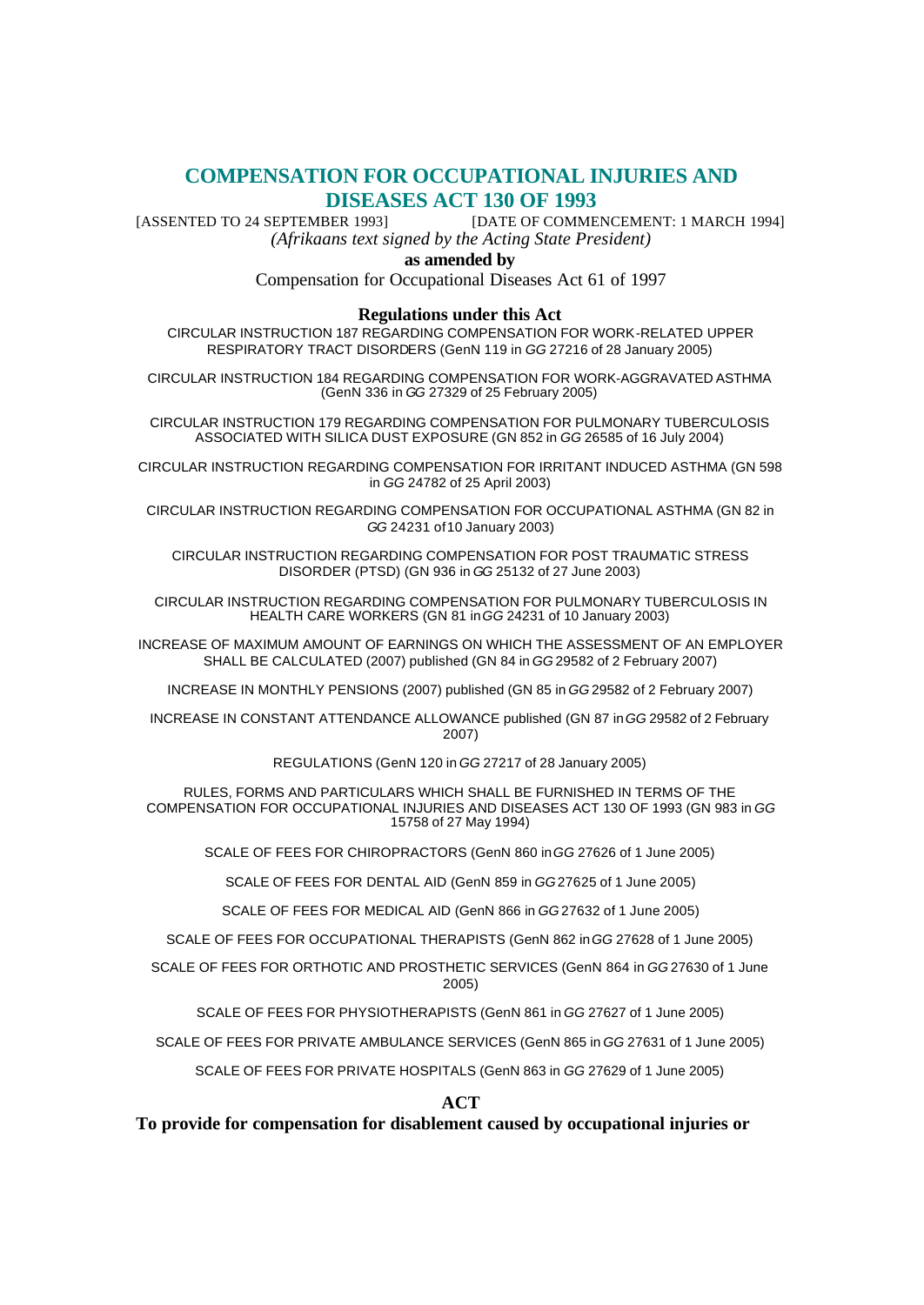# **COMPENSATION FOR OCCUPATIONAL INJURIES AND DISEASES ACT 130 OF 1993**

[ASSENTED TO 24 SEPTEMBER 1993] [DATE OF COMMENCEMENT: 1 MARCH 1994] *(Afrikaans text signed by the Acting State President)*

#### **as amended by**

Compensation for Occupational Diseases Act 61 of 1997

#### **Regulations under this Act**

CIRCULAR INSTRUCTION 187 REGARDING COMPENSATION FOR WORK-RELATED UPPER RESPIRATORY TRACT DISORDERS (GenN 119 in *GG* 27216 of 28 January 2005)

CIRCULAR INSTRUCTION 184 REGARDING COMPENSATION FOR WORK-AGGRAVATED ASTHMA (GenN 336 in *GG* 27329 of 25 February 2005)

CIRCULAR INSTRUCTION 179 REGARDING COMPENSATION FOR PULMONARY TUBERCULOSIS ASSOCIATED WITH SILICA DUST EXPOSURE (GN 852 in *GG* 26585 of 16 July 2004)

CIRCULAR INSTRUCTION REGARDING COMPENSATION FOR IRRITANT INDUCED ASTHMA (GN 598 in *GG* 24782 of 25 April 2003)

CIRCULAR INSTRUCTION REGARDING COMPENSATION FOR OCCUPATIONAL ASTHMA (GN 82 in *GG* 24231 of 10 January 2003)

CIRCULAR INSTRUCTION REGARDING COMPENSATION FOR POST TRAUMATIC STRESS DISORDER (PTSD) (GN 936 in *GG* 25132 of 27 June 2003)

CIRCULAR INSTRUCTION REGARDING COMPENSATION FOR PULMONARY TUBERCULOSIS IN HEALTH CARE WORKERS (GN 81 in *GG* 24231 of 10 January 2003)

INCREASE OF MAXIMUM AMOUNT OF EARNINGS ON WHICH THE ASSESSMENT OF AN EMPLOYER SHALL BE CALCULATED (2007) published (GN 84 in *GG* 29582 of 2 February 2007)

INCREASE IN MONTHLY PENSIONS (2007) published (GN 85 in *GG* 29582 of 2 February 2007)

INCREASE IN CONSTANT ATTENDANCE ALLOWANCE published (GN 87 in *GG* 29582 of 2 February 2007)

REGULATIONS (GenN 120 in *GG* 27217 of 28 January 2005)

RULES, FORMS AND PARTICULARS WHICH SHALL BE FURNISHED IN TERMS OF THE COMPENSATION FOR OCCUPATIONAL INJURIES AND DISEASES ACT 130 OF 1993 (GN 983 in *GG* 15758 of 27 May 1994)

SCALE OF FEES FOR CHIROPRACTORS (GenN 860 in *GG* 27626 of 1 June 2005)

SCALE OF FEES FOR DENTAL AID (GenN 859 in *GG* 27625 of 1 June 2005)

SCALE OF FEES FOR MEDICAL AID (GenN 866 in *GG* 27632 of 1 June 2005)

SCALE OF FEES FOR OCCUPATIONAL THERAPISTS (GenN 862 in *GG* 27628 of 1 June 2005)

SCALE OF FEES FOR ORTHOTIC AND PROSTHETIC SERVICES (GenN 864 in *GG* 27630 of 1 June 2005)

SCALE OF FEES FOR PHYSIOTHERAPISTS (GenN 861 in *GG* 27627 of 1 June 2005)

SCALE OF FEES FOR PRIVATE AMBULANCE SERVICES (GenN 865 in *GG* 27631 of 1 June 2005)

SCALE OF FEES FOR PRIVATE HOSPITALS (GenN 863 in *GG* 27629 of 1 June 2005)

**ACT**

**To provide for compensation for disablement caused by occupational injuries or**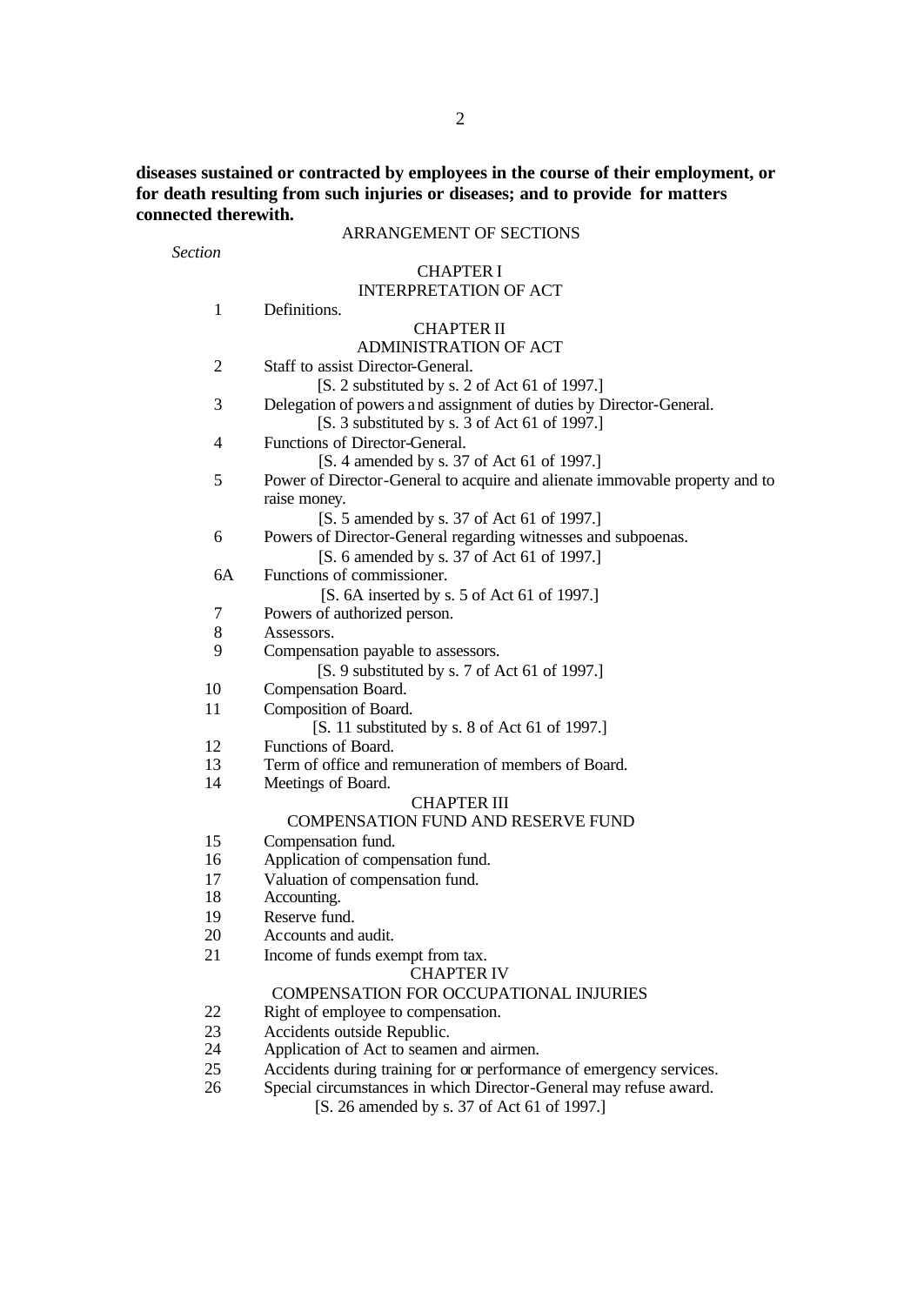**diseases sustained or contracted by employees in the course of their employment, or for death resulting from such injuries or diseases; and to provide for matters connected therewith.**

# ARRANGEMENT OF SECTIONS

*Section*

#### CHAPTER I INTERPRETATION OF ACT

| 1                                                   | Definitions.                                                                |  |
|-----------------------------------------------------|-----------------------------------------------------------------------------|--|
|                                                     | <b>CHAPTER II</b>                                                           |  |
|                                                     | <b>ADMINISTRATION OF ACT</b>                                                |  |
| Staff to assist Director-General.<br>$\overline{c}$ |                                                                             |  |
|                                                     | [S. 2 substituted by s. 2 of Act 61 of 1997.]                               |  |
| 3                                                   | Delegation of powers and assignment of duties by Director-General.          |  |
|                                                     | [S. 3 substituted by s. 3 of Act 61 of 1997.]                               |  |
| 4                                                   | Functions of Director-General.                                              |  |
|                                                     | [S. 4 amended by s. 37 of Act 61 of 1997.]                                  |  |
| 5                                                   | Power of Director-General to acquire and alienate immovable property and to |  |
|                                                     | raise money.                                                                |  |
|                                                     | [S. 5 amended by s. 37 of Act 61 of 1997.]                                  |  |
| 6                                                   | Powers of Director-General regarding witnesses and subpoenas.               |  |
|                                                     | [S. 6 amended by s. 37 of Act 61 of 1997.]                                  |  |
| 6A                                                  | Functions of commissioner.                                                  |  |
|                                                     | [S. 6A inserted by s. 5 of Act 61 of 1997.]                                 |  |
| 7                                                   | Powers of authorized person.                                                |  |
| 8                                                   | Assessors.                                                                  |  |
| 9                                                   | Compensation payable to assessors.                                          |  |
|                                                     | [S. 9 substituted by s. 7 of Act 61 of 1997.]                               |  |
| 10                                                  | Compensation Board.                                                         |  |
| 11                                                  | Composition of Board.                                                       |  |
|                                                     | [S. 11 substituted by s. 8 of Act 61 of 1997.]                              |  |
| 12                                                  | Functions of Board.                                                         |  |
| 13                                                  | Term of office and remuneration of members of Board.                        |  |
| 14                                                  | Meetings of Board.<br><b>CHAPTER III</b>                                    |  |
|                                                     | <b>COMPENSATION FUND AND RESERVE FUND</b>                                   |  |
| 15                                                  | Compensation fund.                                                          |  |
| 16                                                  | Application of compensation fund.                                           |  |
| 17                                                  | Valuation of compensation fund.                                             |  |
| 18                                                  | Accounting.                                                                 |  |
| 19                                                  | Reserve fund.                                                               |  |
| 20                                                  | Accounts and audit.                                                         |  |
| 21                                                  | Income of funds exempt from tax.                                            |  |
|                                                     | <b>CHAPTER IV</b>                                                           |  |
|                                                     | COMPENSATION FOR OCCUPATIONAL INJURIES                                      |  |
| 22                                                  | Right of employee to compensation.                                          |  |
| 23                                                  | Accidents outside Republic.                                                 |  |
| 24                                                  | Application of Act to seamen and airmen.                                    |  |
| 25                                                  | Accidents during training for or performance of emergency services.         |  |

26 Special circumstances in which Director-General may refuse award.

[S. 26 amended by s. 37 of Act 61 of 1997.]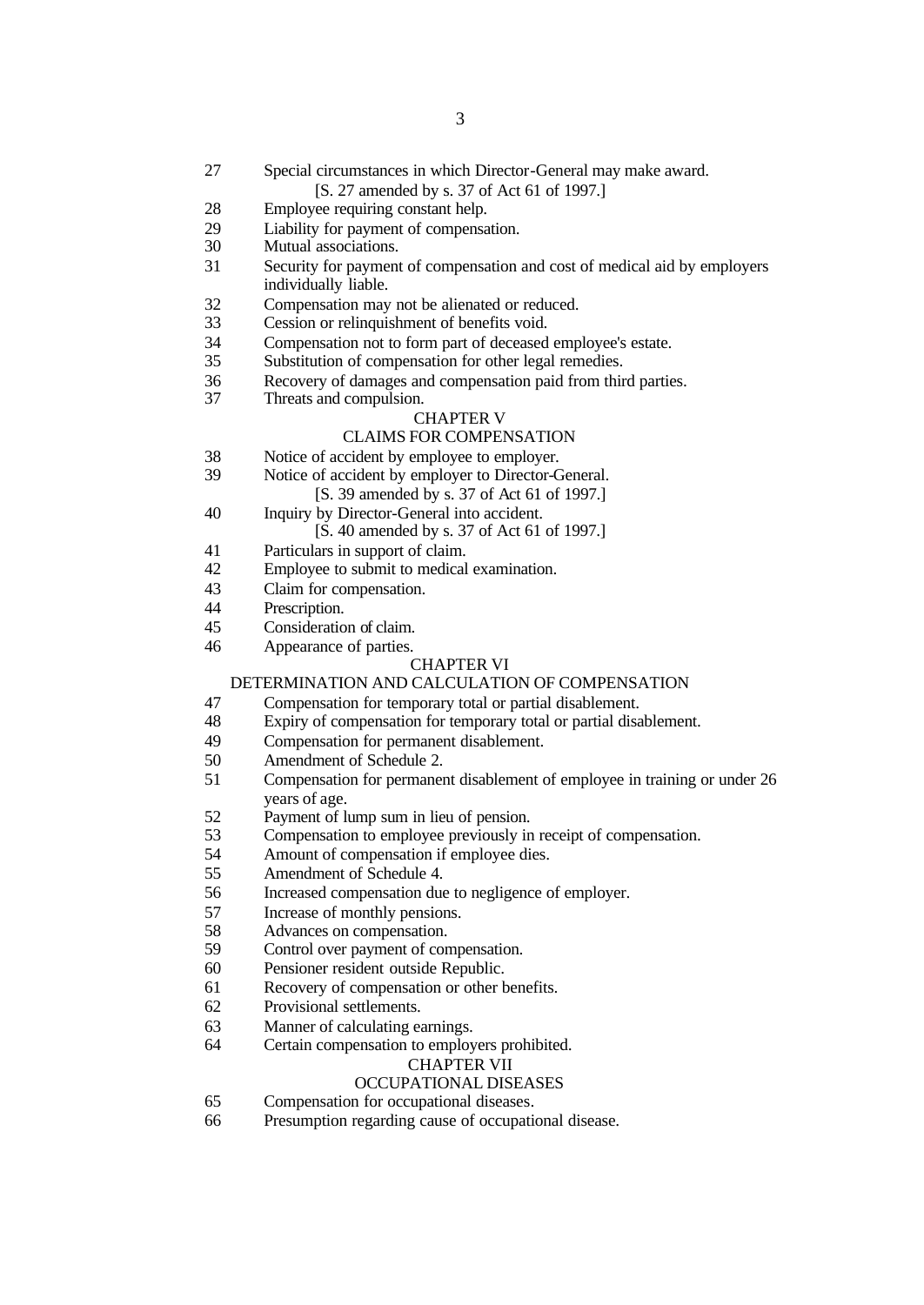- Special circumstances in which Director-General may make award.
	- [S. 27 amended by s. 37 of Act 61 of 1997.]
- Employee requiring constant help.
- 29 Liability for payment of compensation.<br>30 Mutual associations.
- Mutual associations.
- Security for payment of compensation and cost of medical aid by employers individually liable.
- Compensation may not be alienated or reduced.
- Cession or relinquishment of benefits void.
- Compensation not to form part of deceased employee's estate.
- Substitution of compensation for other legal remedies.
- 36 Recovery of damages and compensation paid from third parties.<br>37 Threats and compulsion.
	- Threats and compulsion.

# CHAPTER V

# CLAIMS FOR COMPENSATION

- Notice of accident by employee to employer.
- Notice of accident by employer to Director-General.

[S. 39 amended by s. 37 of Act 61 of 1997.]

- Inquiry by Director-General into accident. [S. 40 amended by s. 37 of Act 61 of 1997.]
- Particulars in support of claim.
- Employee to submit to medical examination.
- Claim for compensation.
- Prescription.
- Consideration of claim.
- Appearance of parties.

#### CHAPTER VI

#### DETERMINATION AND CALCULATION OF COMPENSATION

- Compensation for temporary total or partial disablement.
- Expiry of compensation for temporary total or partial disablement.
- Compensation for permanent disablement.
- Amendment of Schedule 2.
- Compensation for permanent disablement of employee in training or under 26 years of age.
- Payment of lump sum in lieu of pension.
- Compensation to employee previously in receipt of compensation.
- Amount of compensation if employee dies.
- Amendment of Schedule 4.
- Increased compensation due to negligence of employer.
- Increase of monthly pensions.
- Advances on compensation.
- Control over payment of compensation.
- Pensioner resident outside Republic.
- Recovery of compensation or other benefits.
- Provisional settlements.
- Manner of calculating earnings.
- Certain compensation to employers prohibited.

#### CHAPTER VII

# OCCUPATIONAL DISEASES

- Compensation for occupational diseases.
- Presumption regarding cause of occupational disease.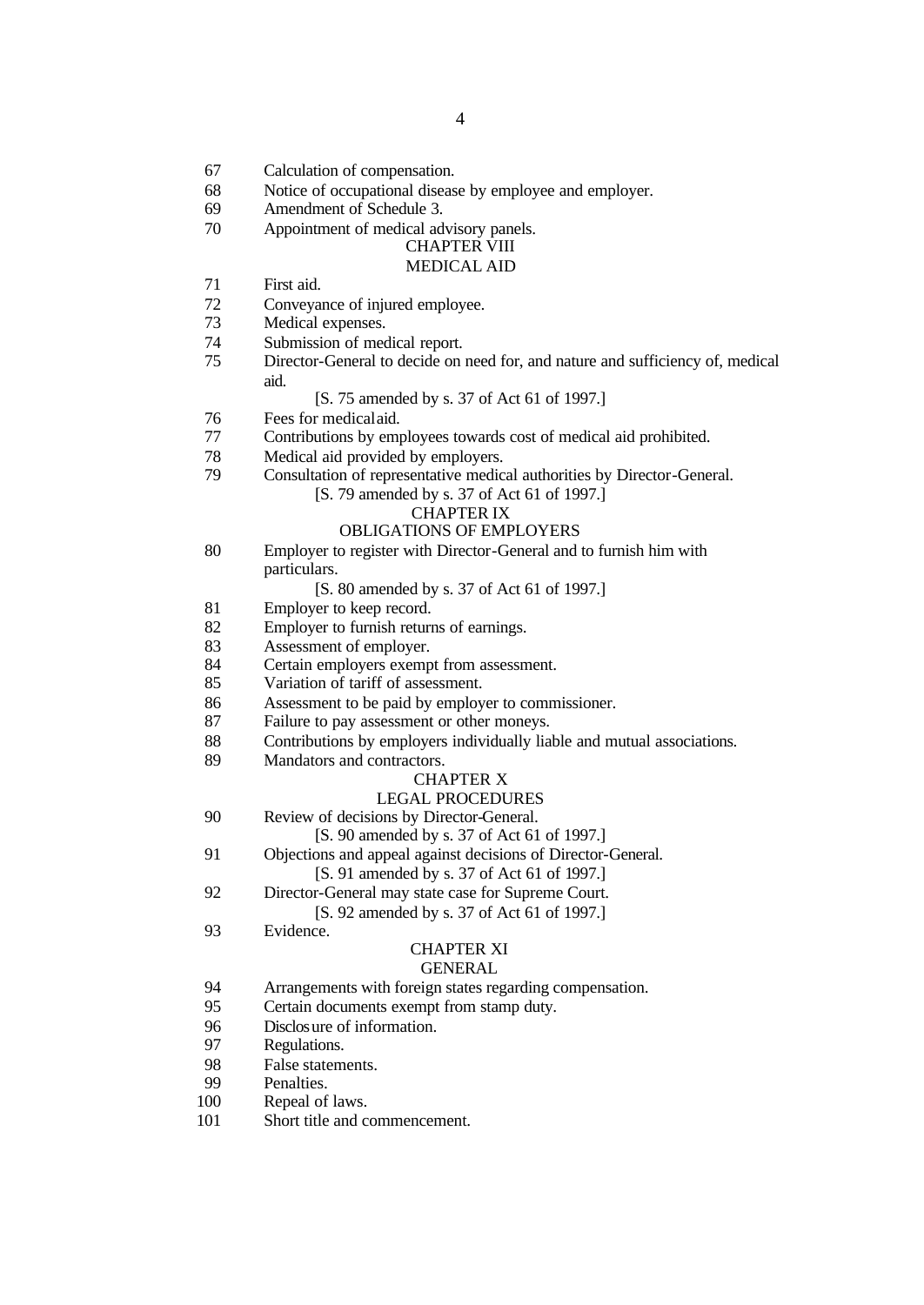- Calculation of compensation.
- Notice of occupational disease by employee and employer.
- Amendment of Schedule 3.
- Appointment of medical advisory panels.

#### CHAPTER VIII MEDICAL AID

- First aid.
- Conveyance of injured employee.
- Medical expenses.
- Submission of medical report.
- Director-General to decide on need for, and nature and sufficiency of, medical aid.

#### [S. 75 amended by s. 37 of Act 61 of 1997.]

- Fees for medical aid.
- Contributions by employees towards cost of medical aid prohibited.
- Medical aid provided by employers.
- Consultation of representative medical authorities by Director-General.
	- [S. 79 amended by s. 37 of Act 61 of 1997.]

#### CHAPTER IX

#### OBLIGATIONS OF EMPLOYERS

 Employer to register with Director-General and to furnish him with particulars.

[S. 80 amended by s. 37 of Act 61 of 1997.]

- Employer to keep record.
- Employer to furnish returns of earnings.
- Assessment of employer.
- Certain employers exempt from assessment.
- Variation of tariff of assessment.
- Assessment to be paid by employer to commissioner.
- Failure to pay assessment or other moneys.
- Contributions by employers individually liable and mutual associations.
- Mandators and contractors.

#### CHAPTER X

#### LEGAL PROCEDURES

Review of decisions by Director-General.

[S. 90 amended by s. 37 of Act 61 of 1997.]

- Objections and appeal against decisions of Director-General.
	- [S. 91 amended by s. 37 of Act 61 of 1997.]
- Director-General may state case for Supreme Court.
	- [S. 92 amended by s. 37 of Act 61 of 1997.]
- Evidence.

# CHAPTER XI

- GENERAL
- Arrangements with foreign states regarding compensation.
- Certain documents exempt from stamp duty.
- Disclosure of information.
- Regulations.
- False statements.
- Penalties.
- Repeal of laws.
- Short title and commencement.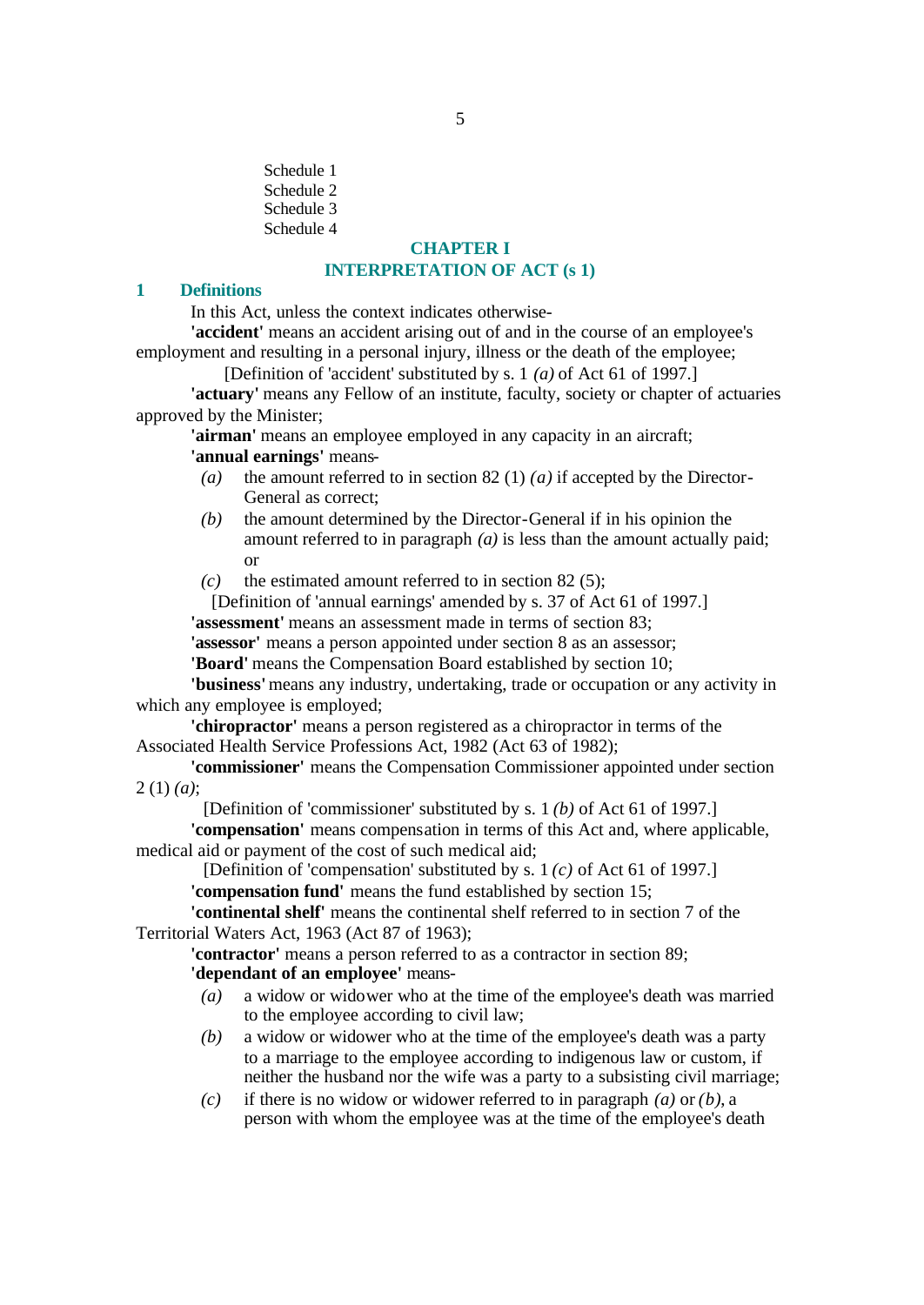Schedule 1 Schedule 2 Schedule 3 Schedule 4

# **CHAPTER I INTERPRETATION OF ACT (s 1)**

#### **1 Definitions**

In this Act, unless the context indicates otherwise-

**'accident'** means an accident arising out of and in the course of an employee's employment and resulting in a personal injury, illness or the death of the employee;

[Definition of 'accident' substituted by s. 1 *(a)* of Act 61 of 1997.]

**'actuary'** means any Fellow of an institute, faculty, society or chapter of actuaries approved by the Minister;

**'airman'** means an employee employed in any capacity in an aircraft; **'annual earnings'** means-

- *(a)* the amount referred to in section 82 (1) *(a)* if accepted by the Director-General as correct;
- *(b)* the amount determined by the Director-General if in his opinion the amount referred to in paragraph *(a)* is less than the amount actually paid; or
- *(c)* the estimated amount referred to in section 82 (5);
- [Definition of 'annual earnings' amended by s. 37 of Act 61 of 1997.]

**'assessment'** means an assessment made in terms of section 83;

**'assessor'** means a person appointed under section 8 as an assessor;

**'Board'** means the Compensation Board established by section 10;

**'business'** means any industry, undertaking, trade or occupation or any activity in which any employee is employed;

**'chiropractor'** means a person registered as a chiropractor in terms of the Associated Health Service Professions Act, 1982 (Act 63 of 1982);

**'commissioner'** means the Compensation Commissioner appointed under section 2 (1) *(a)*;

[Definition of 'commissioner' substituted by s. 1 *(b)* of Act 61 of 1997.]

**'compensation'** means compensation in terms of this Act and, where applicable, medical aid or payment of the cost of such medical aid;

[Definition of 'compensation' substituted by s. 1 *(c)* of Act 61 of 1997.] **'compensation fund'** means the fund established by section 15;

**'continental shelf'** means the continental shelf referred to in section 7 of the Territorial Waters Act, 1963 (Act 87 of 1963);

**'contractor'** means a person referred to as a contractor in section 89; **'dependant of an employee'** means-

- *(a)* a widow or widower who at the time of the employee's death was married to the employee according to civil law;
- *(b)* a widow or widower who at the time of the employee's death was a party to a marriage to the employee according to indigenous law or custom, if neither the husband nor the wife was a party to a subsisting civil marriage;
- *(c)* if there is no widow or widower referred to in paragraph *(a)* or *(b)*, a person with whom the employee was at the time of the employee's death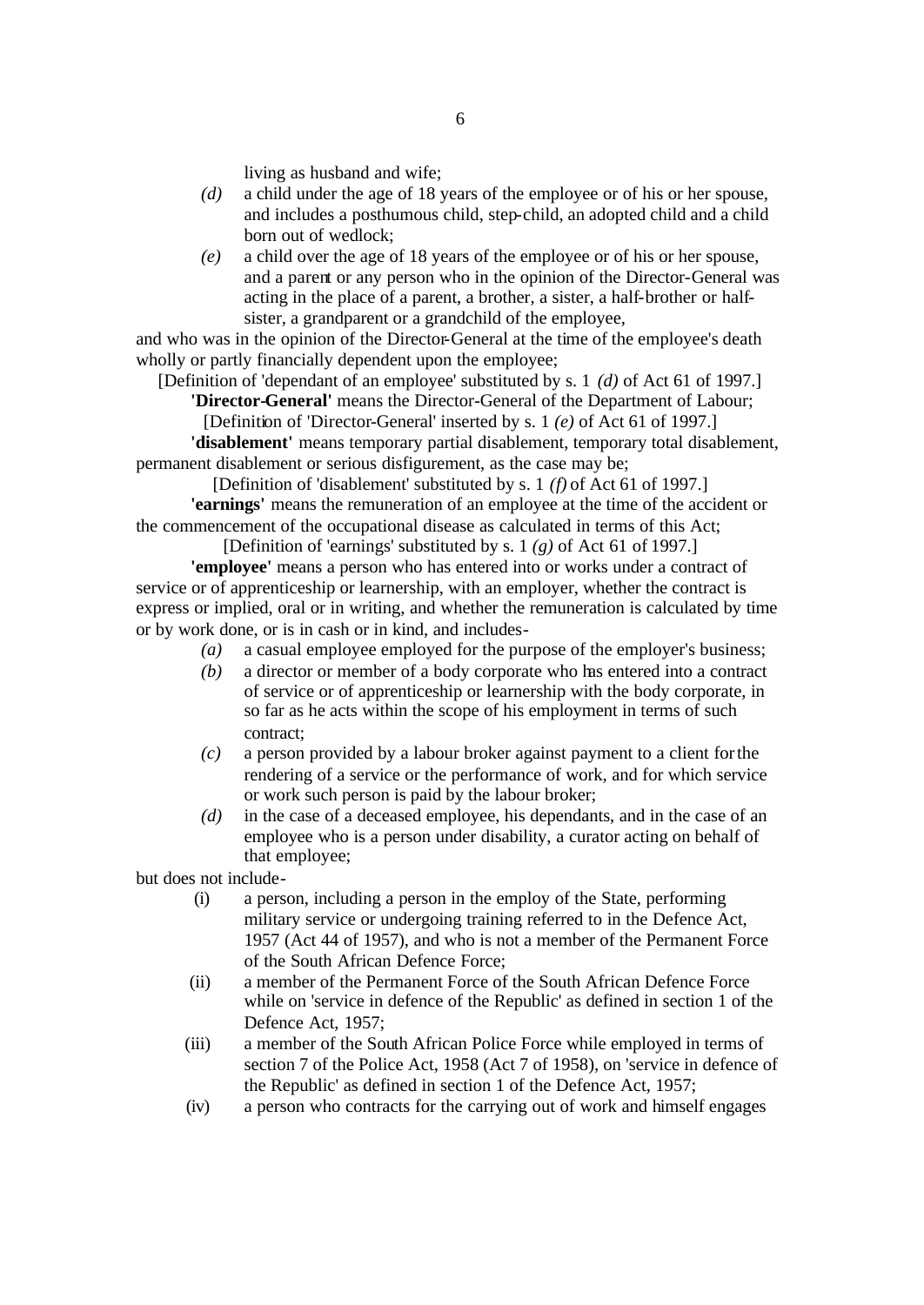living as husband and wife;

- *(d)* a child under the age of 18 years of the employee or of his or her spouse, and includes a posthumous child, step-child, an adopted child and a child born out of wedlock;
- *(e)* a child over the age of 18 years of the employee or of his or her spouse, and a parent or any person who in the opinion of the Director-General was acting in the place of a parent, a brother, a sister, a half-brother or halfsister, a grandparent or a grandchild of the employee,

and who was in the opinion of the Director-General at the time of the employee's death wholly or partly financially dependent upon the employee;

[Definition of 'dependant of an employee' substituted by s. 1 *(d)* of Act 61 of 1997.] **'Director-General'** means the Director-General of the Department of Labour;

[Definition of 'Director-General' inserted by s. 1 *(e)* of Act 61 of 1997.]

**'disablement'** means temporary partial disablement, temporary total disablement, permanent disablement or serious disfigurement, as the case may be;

[Definition of 'disablement' substituted by s. 1 *(f)* of Act 61 of 1997.] **'earnings'** means the remuneration of an employee at the time of the accident or the commencement of the occupational disease as calculated in terms of this Act;

[Definition of 'earnings' substituted by s. 1 *(g)* of Act 61 of 1997.] **'employee'** means a person who has entered into or works under a contract of service or of apprenticeship or learnership, with an employer, whether the contract is express or implied, oral or in writing, and whether the remuneration is calculated by time or by work done, or is in cash or in kind, and includes-

- *(a)* a casual employee employed for the purpose of the employer's business;
- *(b)* a director or member of a body corporate who has entered into a contract of service or of apprenticeship or learnership with the body corporate, in so far as he acts within the scope of his employment in terms of such contract;
- *(c)* a person provided by a labour broker against payment to a client for the rendering of a service or the performance of work, and for which service or work such person is paid by the labour broker;
- *(d)* in the case of a deceased employee, his dependants, and in the case of an employee who is a person under disability, a curator acting on behalf of that employee;

but does not include-

- (i) a person, including a person in the employ of the State, performing military service or undergoing training referred to in the Defence Act, 1957 (Act 44 of 1957), and who is not a member of the Permanent Force of the South African Defence Force;
- (ii) a member of the Permanent Force of the South African Defence Force while on 'service in defence of the Republic' as defined in section 1 of the Defence Act, 1957;
- (iii) a member of the South African Police Force while employed in terms of section 7 of the Police Act, 1958 (Act 7 of 1958), on 'service in defence of the Republic' as defined in section 1 of the Defence Act, 1957;
- (iv) a person who contracts for the carrying out of work and himself engages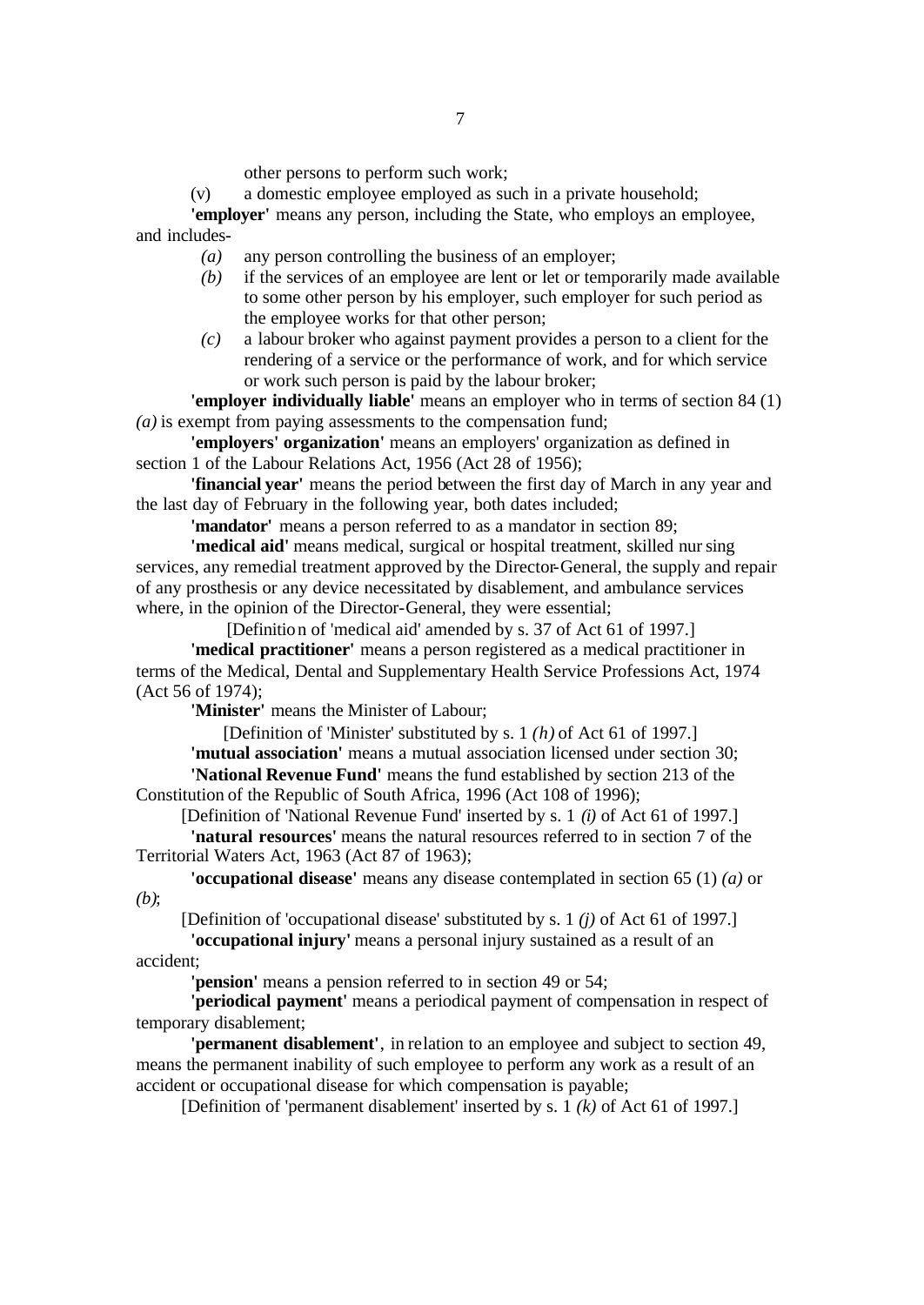other persons to perform such work;

(v) a domestic employee employed as such in a private household;

**'employer'** means any person, including the State, who employs an employee, and includes-

- *(a)* any person controlling the business of an employer;
- *(b)* if the services of an employee are lent or let or temporarily made available to some other person by his employer, such employer for such period as the employee works for that other person;
- *(c)* a labour broker who against payment provides a person to a client for the rendering of a service or the performance of work, and for which service or work such person is paid by the labour broker;

**'employer individually liable'** means an employer who in terms of section 84 (1) *(a)* is exempt from paying assessments to the compensation fund;

**'employers' organization'** means an employers' organization as defined in section 1 of the Labour Relations Act, 1956 (Act 28 of 1956);

**'financial year'** means the period between the first day of March in any year and the last day of February in the following year, both dates included;

**'mandator'** means a person referred to as a mandator in section 89;

**'medical aid'** means medical, surgical or hospital treatment, skilled nursing services, any remedial treatment approved by the Director-General, the supply and repair of any prosthesis or any device necessitated by disablement, and ambulance services where, in the opinion of the Director-General, they were essential;

[Definition of 'medical aid' amended by s. 37 of Act 61 of 1997.]

**'medical practitioner'** means a person registered as a medical practitioner in terms of the Medical, Dental and Supplementary Health Service Professions Act, 1974 (Act 56 of 1974);

**'Minister'** means the Minister of Labour;

[Definition of 'Minister' substituted by s. 1 *(h)* of Act 61 of 1997.]

**'mutual association'** means a mutual association licensed under section 30; **'National Revenue Fund'** means the fund established by section 213 of the

Constitution of the Republic of South Africa, 1996 (Act 108 of 1996); [Definition of 'National Revenue Fund' inserted by s. 1 *(i)* of Act 61 of 1997.]

**'natural resources'** means the natural resources referred to in section 7 of the

Territorial Waters Act, 1963 (Act 87 of 1963);

**'occupational disease'** means any disease contemplated in section 65 (1) *(a)* or *(b)*;

[Definition of 'occupational disease' substituted by s. 1 *(j)* of Act 61 of 1997.]

**'occupational injury'** means a personal injury sustained as a result of an accident;

**'pension'** means a pension referred to in section 49 or 54;

**'periodical payment'** means a periodical payment of compensation in respect of temporary disablement;

**'permanent disablement'**, in relation to an employee and subject to section 49, means the permanent inability of such employee to perform any work as a result of an accident or occupational disease for which compensation is payable;

[Definition of 'permanent disablement' inserted by s. 1 *(k)* of Act 61 of 1997.]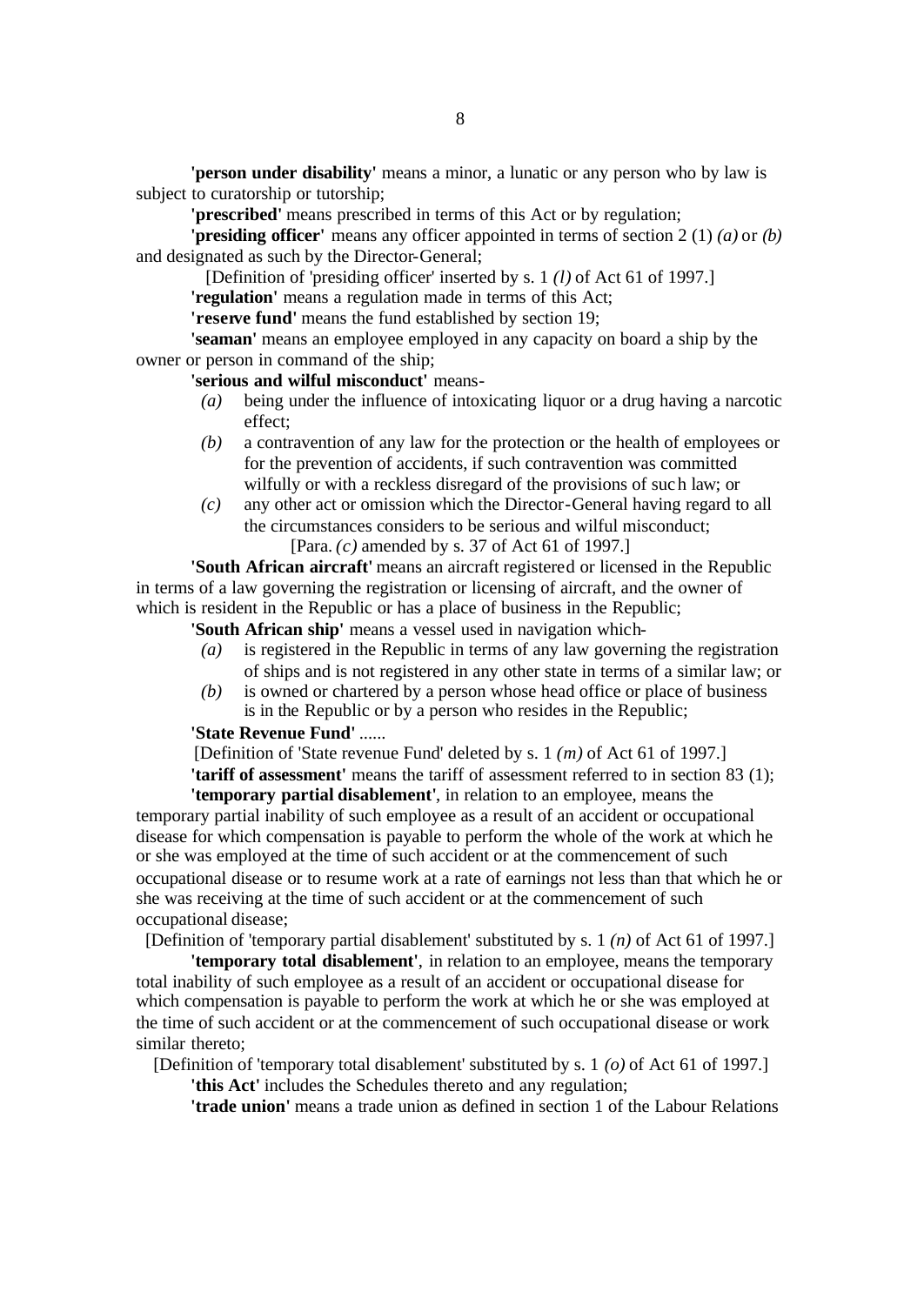**'person under disability'** means a minor, a lunatic or any person who by law is subject to curatorship or tutorship;

**'prescribed'** means prescribed in terms of this Act or by regulation;

**'presiding officer'** means any officer appointed in terms of section 2 (1) *(a)* or *(b)* and designated as such by the Director-General;

[Definition of 'presiding officer' inserted by s. 1 *(l)* of Act 61 of 1997.]

**'regulation'** means a regulation made in terms of this Act;

**'reserve fund'** means the fund established by section 19;

**'seaman'** means an employee employed in any capacity on board a ship by the owner or person in command of the ship;

**'serious and wilful misconduct'** means-

- *(a)* being under the influence of intoxicating liquor or a drug having a narcotic effect;
- *(b)* a contravention of any law for the protection or the health of employees or for the prevention of accidents, if such contravention was committed wilfully or with a reckless disregard of the provisions of such law; or
- *(c)* any other act or omission which the Director-General having regard to all the circumstances considers to be serious and wilful misconduct; [Para. *(c)* amended by s. 37 of Act 61 of 1997.]

**'South African aircraft'** means an aircraft registered or licensed in the Republic in terms of a law governing the registration or licensing of aircraft, and the owner of which is resident in the Republic or has a place of business in the Republic;

**'South African ship'** means a vessel used in navigation which-

- *(a)* is registered in the Republic in terms of any law governing the registration of ships and is not registered in any other state in terms of a similar law; or
- *(b)* is owned or chartered by a person whose head office or place of business is in the Republic or by a person who resides in the Republic;

#### **'State Revenue Fund'** ......

[Definition of 'State revenue Fund' deleted by s. 1 *(m)* of Act 61 of 1997.] **'tariff of assessment'** means the tariff of assessment referred to in section 83 (1);

**'temporary partial disablement'**, in relation to an employee, means the temporary partial inability of such employee as a result of an accident or occupational disease for which compensation is payable to perform the whole of the work at which he or she was employed at the time of such accident or at the commencement of such occupational disease or to resume work at a rate of earnings not less than that which he or she was receiving at the time of such accident or at the commencement of such occupational disease;

[Definition of 'temporary partial disablement' substituted by s. 1 *(n)* of Act 61 of 1997.]

**'temporary total disablement'**, in relation to an employee, means the temporary total inability of such employee as a result of an accident or occupational disease for which compensation is payable to perform the work at which he or she was employed at the time of such accident or at the commencement of such occupational disease or work similar thereto;

[Definition of 'temporary total disablement' substituted by s. 1 *(o)* of Act 61 of 1997.]

**'this Act'** includes the Schedules thereto and any regulation;

**'trade union'** means a trade union as defined in section 1 of the Labour Relations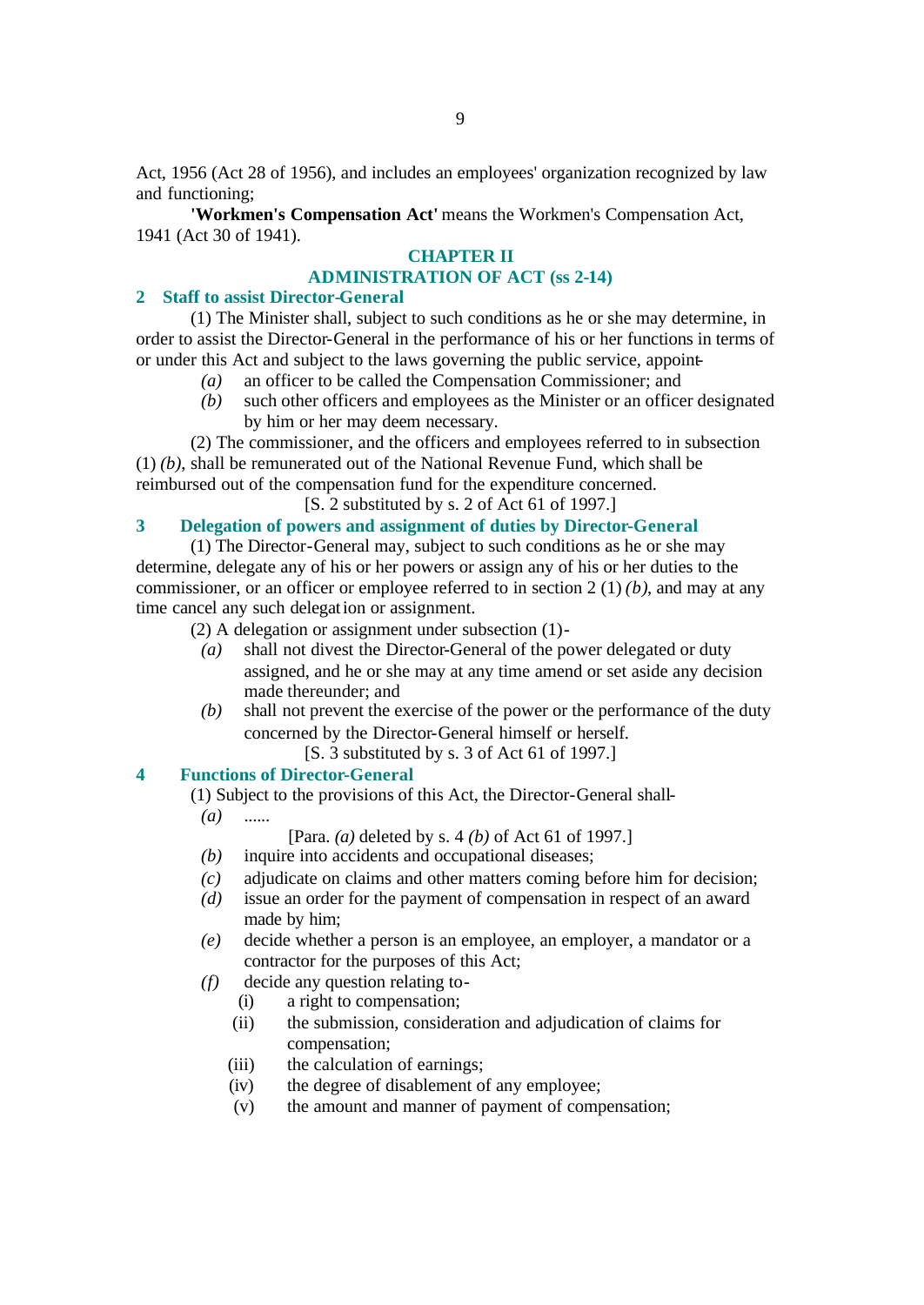Act, 1956 (Act 28 of 1956), and includes an employees' organization recognized by law and functioning;

**'Workmen's Compensation Act'** means the Workmen's Compensation Act, 1941 (Act 30 of 1941).

# **CHAPTER II**

# **ADMINISTRATION OF ACT (ss 2-14)**

# **2 Staff to assist Director-General**

(1) The Minister shall, subject to such conditions as he or she may determine, in order to assist the Director-General in the performance of his or her functions in terms of or under this Act and subject to the laws governing the public service, appoint-

- *(a)* an officer to be called the Compensation Commissioner; and
- *(b)* such other officers and employees as the Minister or an officer designated by him or her may deem necessary.

(2) The commissioner, and the officers and employees referred to in subsection (1) *(b)*, shall be remunerated out of the National Revenue Fund, which shall be reimbursed out of the compensation fund for the expenditure concerned.

[S. 2 substituted by s. 2 of Act 61 of 1997.]

# **3 Delegation of powers and assignment of duties by Director-General**

(1) The Director-General may, subject to such conditions as he or she may determine, delegate any of his or her powers or assign any of his or her duties to the commissioner, or an officer or employee referred to in section 2 (1) *(b)*, and may at any time cancel any such delegation or assignment.

(2) A delegation or assignment under subsection (1)-

- *(a)* shall not divest the Director-General of the power delegated or duty assigned, and he or she may at any time amend or set aside any decision made thereunder; and
- *(b)* shall not prevent the exercise of the power or the performance of the duty concerned by the Director-General himself or herself.
	- [S. 3 substituted by s. 3 of Act 61 of 1997.]

# **4 Functions of Director-General**

(1) Subject to the provisions of this Act, the Director-General shall-

 $(a)$ 

[Para. *(a)* deleted by s. 4 *(b)* of Act 61 of 1997.]

- *(b)* inquire into accidents and occupational diseases;
- *(c)* adjudicate on claims and other matters coming before him for decision;
- *(d)* issue an order for the payment of compensation in respect of an award made by him;
- *(e)* decide whether a person is an employee, an employer, a mandator or a contractor for the purposes of this Act;
- *(f)* decide any question relating to-
	- (i) a right to compensation;
	- (ii) the submission, consideration and adjudication of claims for compensation;
	- (iii) the calculation of earnings;
	- (iv) the degree of disablement of any employee;
	- (v) the amount and manner of payment of compensation;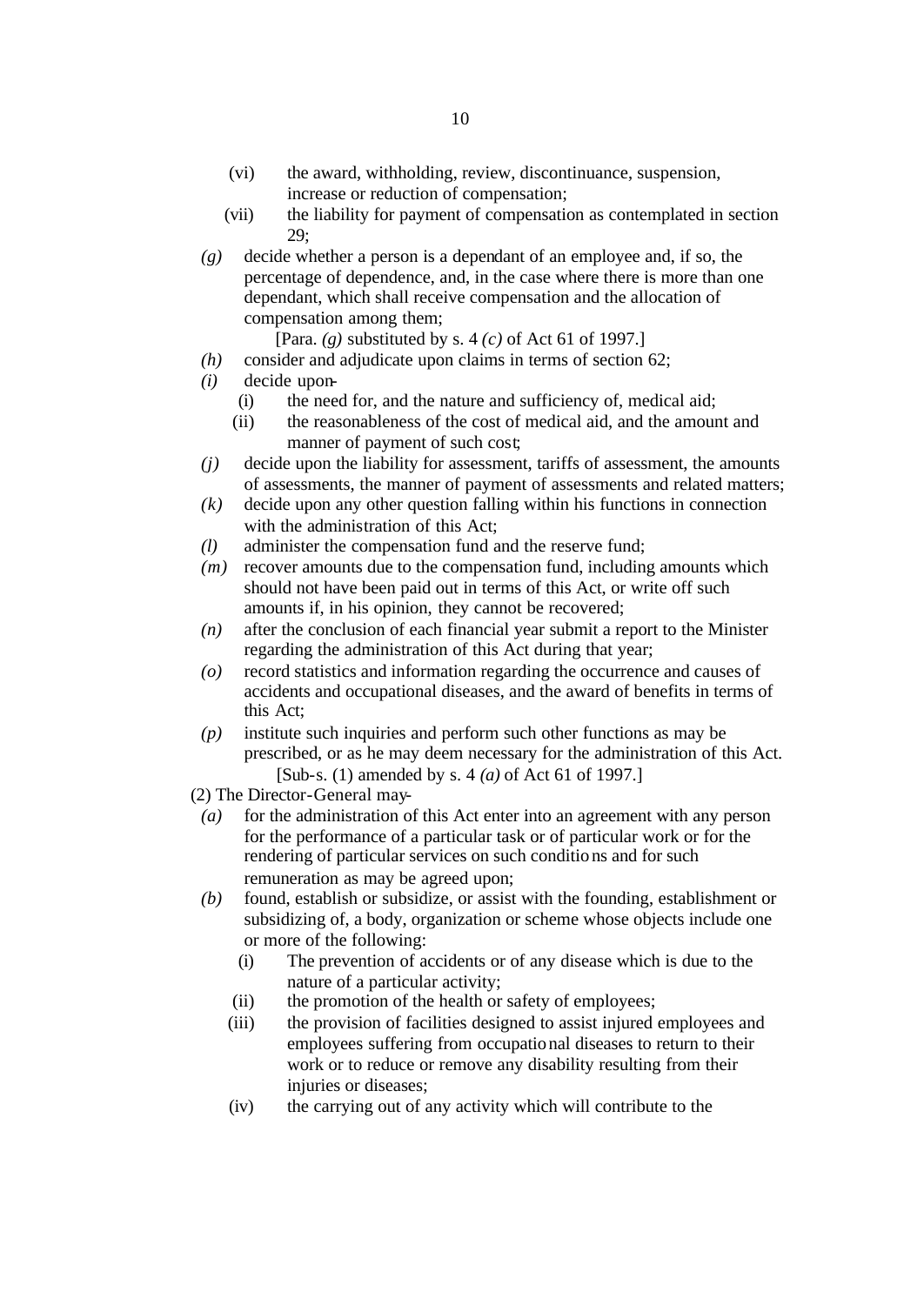- (vi) the award, withholding, review, discontinuance, suspension, increase or reduction of compensation;
- (vii) the liability for payment of compensation as contemplated in section 29;
- *(g)* decide whether a person is a dependant of an employee and, if so, the percentage of dependence, and, in the case where there is more than one dependant, which shall receive compensation and the allocation of compensation among them;

[Para. *(g)* substituted by s. 4 *(c)* of Act 61 of 1997.]

- *(h)* consider and adjudicate upon claims in terms of section 62;
- *(i)* decide upon-
	- (i) the need for, and the nature and sufficiency of, medical aid;
	- (ii) the reasonableness of the cost of medical aid, and the amount and manner of payment of such cost;
- *(j)* decide upon the liability for assessment, tariffs of assessment, the amounts of assessments, the manner of payment of assessments and related matters;
- *(k)* decide upon any other question falling within his functions in connection with the administration of this Act:
- *(l)* administer the compensation fund and the reserve fund;
- *(m)* recover amounts due to the compensation fund, including amounts which should not have been paid out in terms of this Act, or write off such amounts if, in his opinion, they cannot be recovered;
- *(n)* after the conclusion of each financial year submit a report to the Minister regarding the administration of this Act during that year;
- *(o)* record statistics and information regarding the occurrence and causes of accidents and occupational diseases, and the award of benefits in terms of this Act;
- *(p)* institute such inquiries and perform such other functions as may be prescribed, or as he may deem necessary for the administration of this Act. [Sub-s. (1) amended by s. 4 *(a)* of Act 61 of 1997.]
- (2) The Director-General may-
	- *(a)* for the administration of this Act enter into an agreement with any person for the performance of a particular task or of particular work or for the rendering of particular services on such conditio ns and for such remuneration as may be agreed upon;
	- *(b)* found, establish or subsidize, or assist with the founding, establishment or subsidizing of, a body, organization or scheme whose objects include one or more of the following:
		- (i) The prevention of accidents or of any disease which is due to the nature of a particular activity;
		- (ii) the promotion of the health or safety of employees;
		- (iii) the provision of facilities designed to assist injured employees and employees suffering from occupational diseases to return to their work or to reduce or remove any disability resulting from their injuries or diseases;
		- (iv) the carrying out of any activity which will contribute to the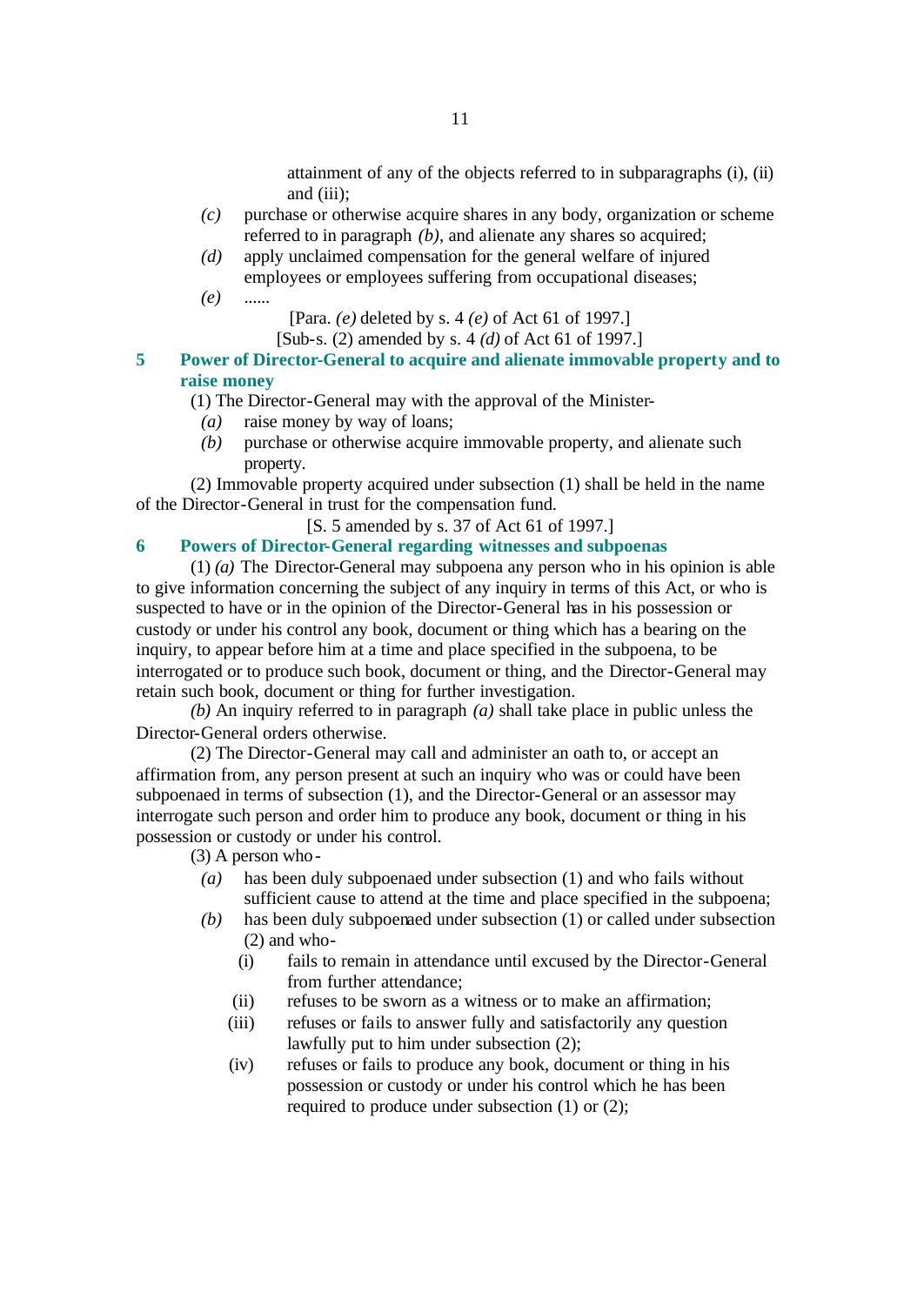attainment of any of the objects referred to in subparagraphs (i), (ii) and (iii);

- *(c)* purchase or otherwise acquire shares in any body, organization or scheme referred to in paragraph *(b)*, and alienate any shares so acquired;
- *(d)* apply unclaimed compensation for the general welfare of injured employees or employees suffering from occupational diseases;
- *(e)* ......

[Para. *(e)* deleted by s. 4 *(e)* of Act 61 of 1997.]

- [Sub-s. (2) amended by s. 4 *(d)* of Act 61 of 1997.]
- **5 Power of Director-General to acquire and alienate immovable property and to raise money**
	- (1) The Director-General may with the approval of the Minister-
		- *(a)* raise money by way of loans;
		- *(b)* purchase or otherwise acquire immovable property, and alienate such property.

(2) Immovable property acquired under subsection (1) shall be held in the name of the Director-General in trust for the compensation fund.

[S. 5 amended by s. 37 of Act 61 of 1997.]

#### **6 Powers of Director-General regarding witnesses and subpoenas**

(1) *(a)* The Director-General may subpoena any person who in his opinion is able to give information concerning the subject of any inquiry in terms of this Act, or who is suspected to have or in the opinion of the Director-General has in his possession or custody or under his control any book, document or thing which has a bearing on the inquiry, to appear before him at a time and place specified in the subpoena, to be interrogated or to produce such book, document or thing, and the Director-General may retain such book, document or thing for further investigation.

*(b)* An inquiry referred to in paragraph *(a)* shall take place in public unless the Director-General orders otherwise.

(2) The Director-General may call and administer an oath to, or accept an affirmation from, any person present at such an inquiry who was or could have been subpoenaed in terms of subsection (1), and the Director-General or an assessor may interrogate such person and order him to produce any book, document or thing in his possession or custody or under his control.

(3) A person who-

- *(a)* has been duly subpoenaed under subsection (1) and who fails without sufficient cause to attend at the time and place specified in the subpoena;
- *(b)* has been duly subpoenaed under subsection (1) or called under subsection (2) and who-
	- (i) fails to remain in attendance until excused by the Director-General from further attendance;
	- (ii) refuses to be sworn as a witness or to make an affirmation;
	- (iii) refuses or fails to answer fully and satisfactorily any question lawfully put to him under subsection (2);
	- (iv) refuses or fails to produce any book, document or thing in his possession or custody or under his control which he has been required to produce under subsection (1) or (2);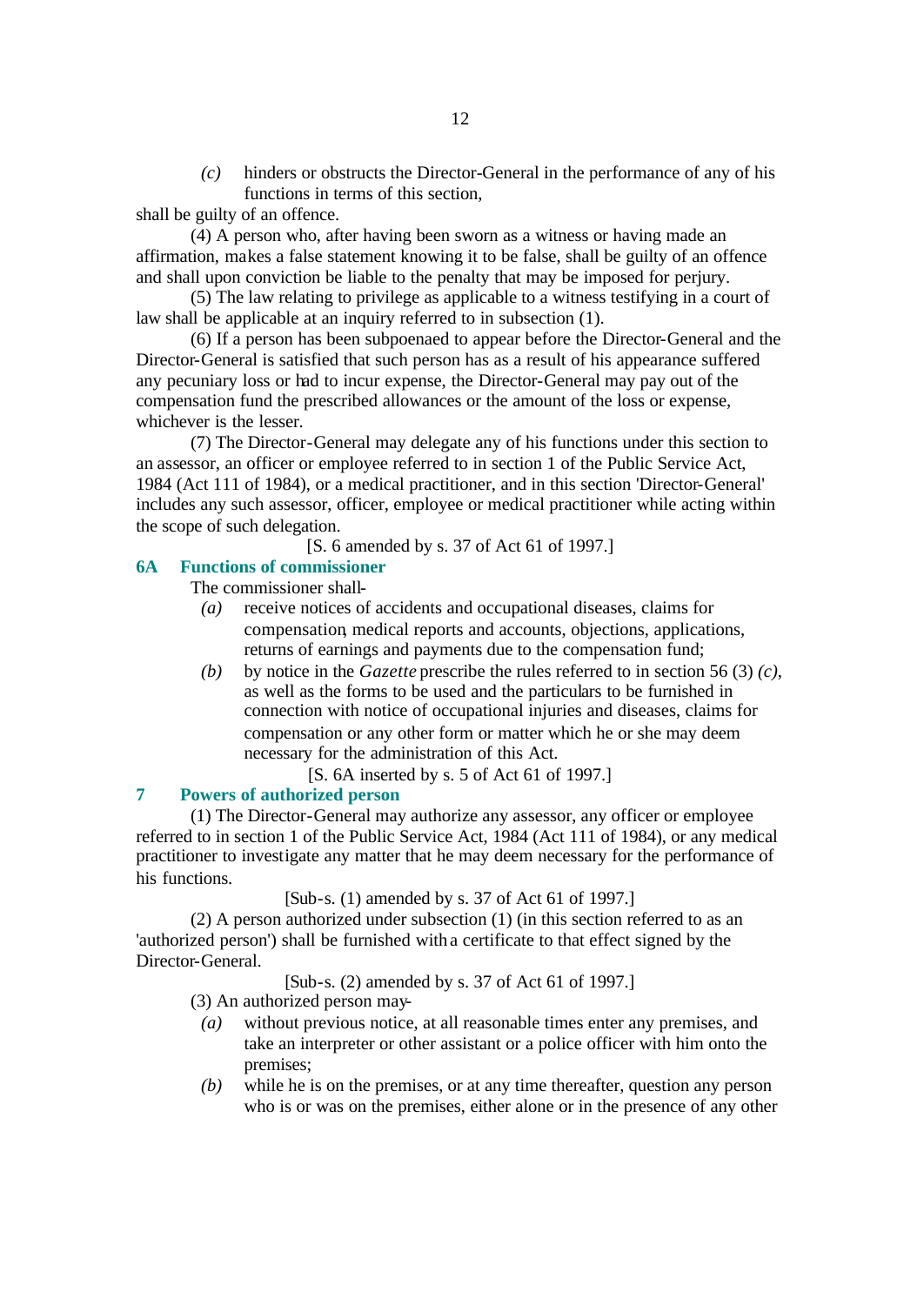*(c)* hinders or obstructs the Director-General in the performance of any of his functions in terms of this section,

shall be guilty of an offence.

(4) A person who, after having been sworn as a witness or having made an affirmation, makes a false statement knowing it to be false, shall be guilty of an offence and shall upon conviction be liable to the penalty that may be imposed for perjury.

(5) The law relating to privilege as applicable to a witness testifying in a court of law shall be applicable at an inquiry referred to in subsection (1).

(6) If a person has been subpoenaed to appear before the Director-General and the Director-General is satisfied that such person has as a result of his appearance suffered any pecuniary loss or had to incur expense, the Director-General may pay out of the compensation fund the prescribed allowances or the amount of the loss or expense, whichever is the lesser.

(7) The Director-General may delegate any of his functions under this section to an assessor, an officer or employee referred to in section 1 of the Public Service Act, 1984 (Act 111 of 1984), or a medical practitioner, and in this section 'Director-General' includes any such assessor, officer, employee or medical practitioner while acting within the scope of such delegation.

[S. 6 amended by s. 37 of Act 61 of 1997.]

# **6A Functions of commissioner**

The commissioner shall-

- *(a)* receive notices of accidents and occupational diseases, claims for compensation, medical reports and accounts, objections, applications, returns of earnings and payments due to the compensation fund;
- *(b)* by notice in the *Gazette* prescribe the rules referred to in section 56 (3) *(c)*, as well as the forms to be used and the particulars to be furnished in connection with notice of occupational injuries and diseases, claims for compensation or any other form or matter which he or she may deem necessary for the administration of this Act.

[S. 6A inserted by s. 5 of Act 61 of 1997.]

# **7 Powers of authorized person**

(1) The Director-General may authorize any assessor, any officer or employee referred to in section 1 of the Public Service Act, 1984 (Act 111 of 1984), or any medical practitioner to investigate any matter that he may deem necessary for the performance of his functions.

[Sub-s. (1) amended by s. 37 of Act 61 of 1997.]

(2) A person authorized under subsection (1) (in this section referred to as an 'authorized person') shall be furnished with a certificate to that effect signed by the Director-General.

[Sub-s. (2) amended by s. 37 of Act 61 of 1997.]

(3) An authorized person may-

- *(a)* without previous notice, at all reasonable times enter any premises, and take an interpreter or other assistant or a police officer with him onto the premises;
- *(b)* while he is on the premises, or at any time thereafter, question any person who is or was on the premises, either alone or in the presence of any other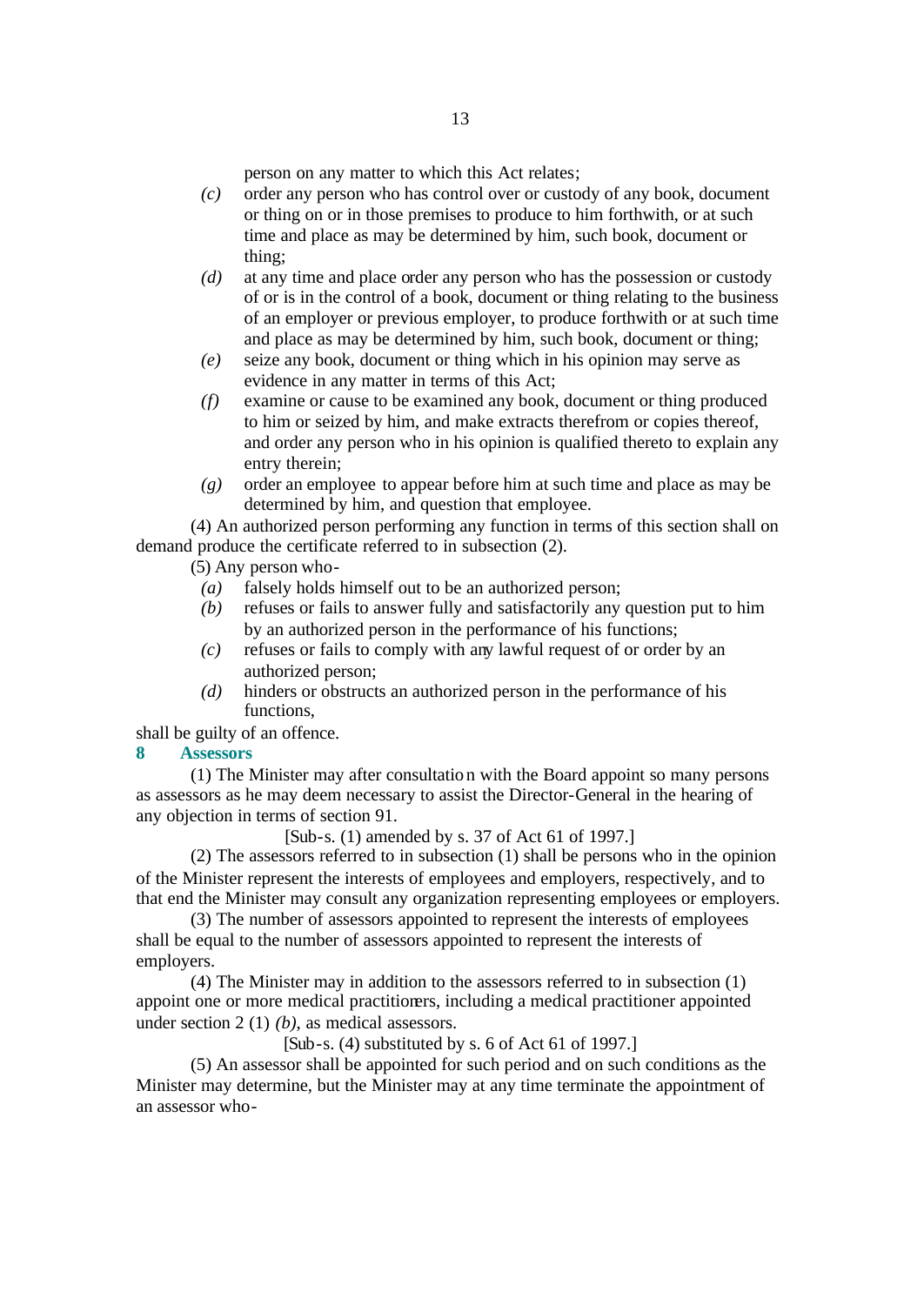person on any matter to which this Act relates;

- *(c)* order any person who has control over or custody of any book, document or thing on or in those premises to produce to him forthwith, or at such time and place as may be determined by him, such book, document or thing;
- *(d)* at any time and place order any person who has the possession or custody of or is in the control of a book, document or thing relating to the business of an employer or previous employer, to produce forthwith or at such time and place as may be determined by him, such book, document or thing;
- *(e)* seize any book, document or thing which in his opinion may serve as evidence in any matter in terms of this Act;
- *(f)* examine or cause to be examined any book, document or thing produced to him or seized by him, and make extracts therefrom or copies thereof, and order any person who in his opinion is qualified thereto to explain any entry therein;
- *(g)* order an employee to appear before him at such time and place as may be determined by him, and question that employee.

(4) An authorized person performing any function in terms of this section shall on demand produce the certificate referred to in subsection (2).

(5) Any person who-

- *(a)* falsely holds himself out to be an authorized person;
- *(b)* refuses or fails to answer fully and satisfactorily any question put to him by an authorized person in the performance of his functions;
- *(c)* refuses or fails to comply with any lawful request of or order by an authorized person;
- *(d)* hinders or obstructs an authorized person in the performance of his functions,
- shall be guilty of an offence.
- **8 Assessors**

(1) The Minister may after consultation with the Board appoint so many persons as assessors as he may deem necessary to assist the Director-General in the hearing of any objection in terms of section 91.

[Sub-s. (1) amended by s. 37 of Act 61 of 1997.]

(2) The assessors referred to in subsection (1) shall be persons who in the opinion of the Minister represent the interests of employees and employers, respectively, and to that end the Minister may consult any organization representing employees or employers.

(3) The number of assessors appointed to represent the interests of employees shall be equal to the number of assessors appointed to represent the interests of employers.

(4) The Minister may in addition to the assessors referred to in subsection (1) appoint one or more medical practitioners, including a medical practitioner appointed under section 2 (1) *(b)*, as medical assessors.

[Sub-s. (4) substituted by s. 6 of Act 61 of 1997.]

(5) An assessor shall be appointed for such period and on such conditions as the Minister may determine, but the Minister may at any time terminate the appointment of an assessor who-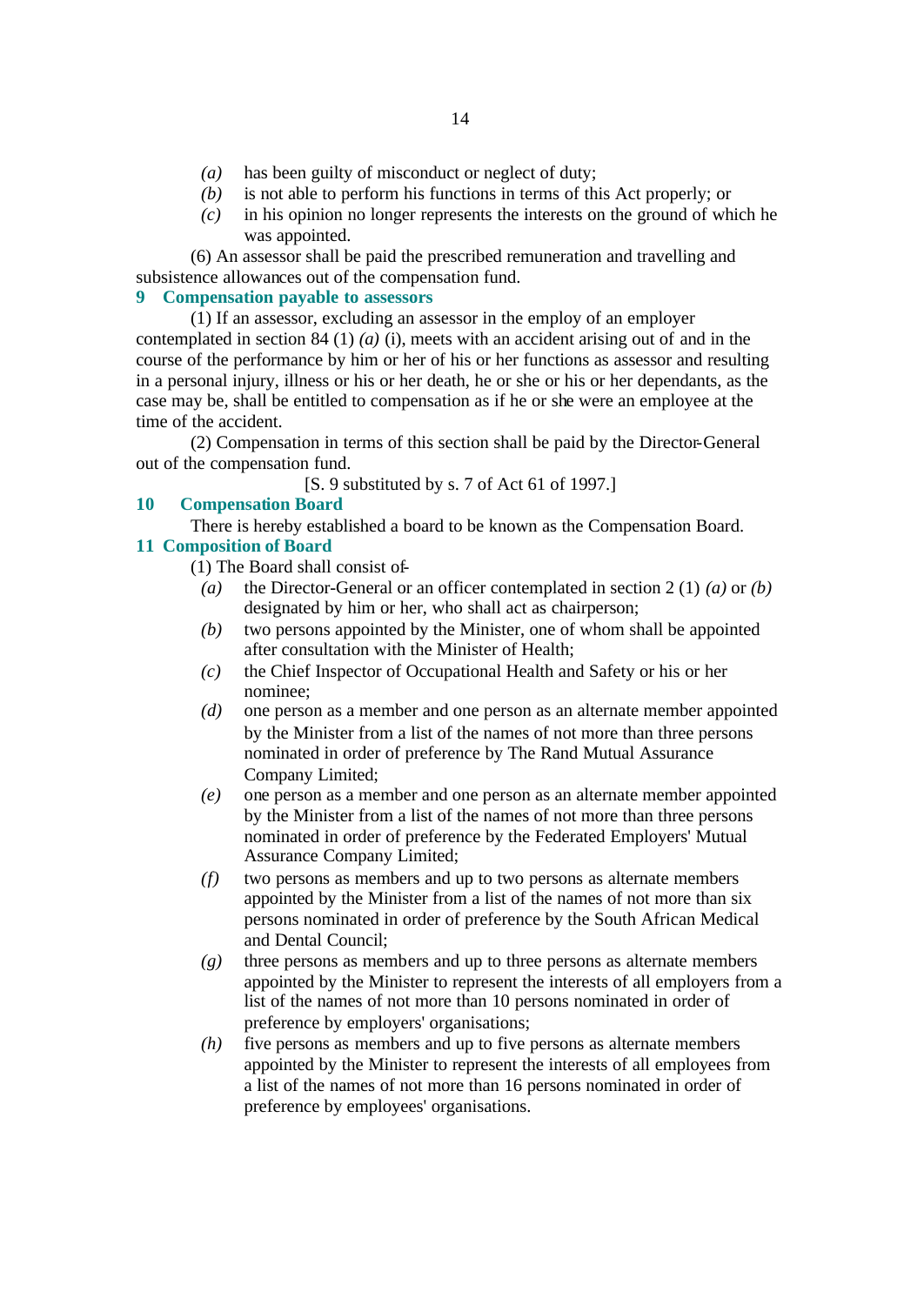- *(a)* has been guilty of misconduct or neglect of duty;
- *(b)* is not able to perform his functions in terms of this Act properly; or
- *(c)* in his opinion no longer represents the interests on the ground of which he was appointed.

(6) An assessor shall be paid the prescribed remuneration and travelling and subsistence allowances out of the compensation fund.

# **9 Compensation payable to assessors**

(1) If an assessor, excluding an assessor in the employ of an employer contemplated in section 84 (1)  $(a)$  (i), meets with an accident arising out of and in the course of the performance by him or her of his or her functions as assessor and resulting in a personal injury, illness or his or her death, he or she or his or her dependants, as the case may be, shall be entitled to compensation as if he or she were an employee at the time of the accident.

(2) Compensation in terms of this section shall be paid by the Director-General out of the compensation fund.

[S. 9 substituted by s. 7 of Act 61 of 1997.]

# **10 Compensation Board**

There is hereby established a board to be known as the Compensation Board. **11 Composition of Board** 

(1) The Board shall consist of-

- *(a)* the Director-General or an officer contemplated in section 2 (1) *(a)* or *(b)* designated by him or her, who shall act as chairperson;
- *(b)* two persons appointed by the Minister, one of whom shall be appointed after consultation with the Minister of Health;
- *(c)* the Chief Inspector of Occupational Health and Safety or his or her nominee;
- *(d)* one person as a member and one person as an alternate member appointed by the Minister from a list of the names of not more than three persons nominated in order of preference by The Rand Mutual Assurance Company Limited;
- *(e)* one person as a member and one person as an alternate member appointed by the Minister from a list of the names of not more than three persons nominated in order of preference by the Federated Employers' Mutual Assurance Company Limited;
- *(f)* two persons as members and up to two persons as alternate members appointed by the Minister from a list of the names of not more than six persons nominated in order of preference by the South African Medical and Dental Council;
- *(g)* three persons as members and up to three persons as alternate members appointed by the Minister to represent the interests of all employers from a list of the names of not more than 10 persons nominated in order of preference by employers' organisations;
- *(h)* five persons as members and up to five persons as alternate members appointed by the Minister to represent the interests of all employees from a list of the names of not more than 16 persons nominated in order of preference by employees' organisations.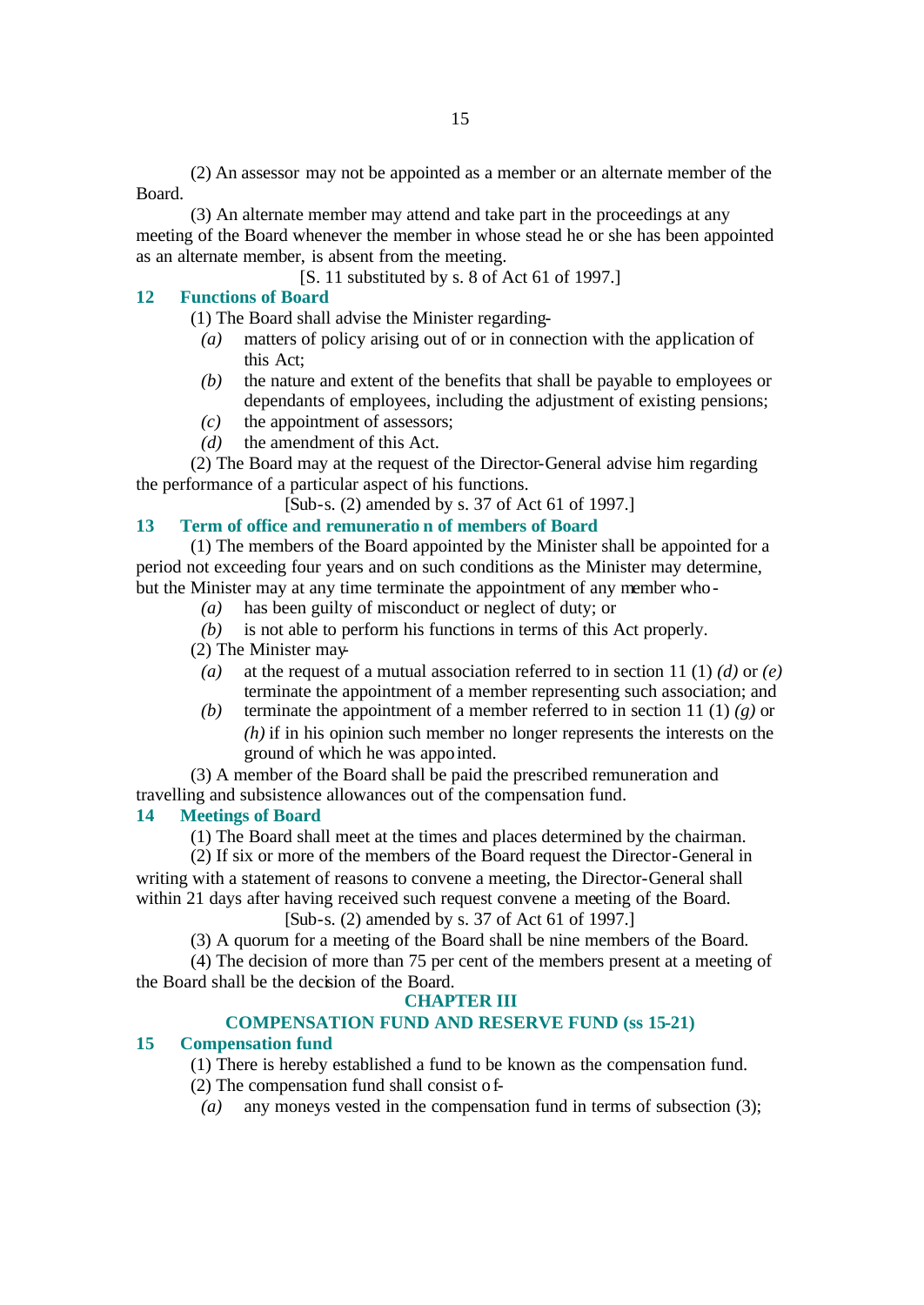(2) An assessor may not be appointed as a member or an alternate member of the Board.

(3) An alternate member may attend and take part in the proceedings at any meeting of the Board whenever the member in whose stead he or she has been appointed as an alternate member, is absent from the meeting.

[S. 11 substituted by s. 8 of Act 61 of 1997.]

# **12 Functions of Board**

(1) The Board shall advise the Minister regarding-

- *(a)* matters of policy arising out of or in connection with the application of this Act;
- *(b)* the nature and extent of the benefits that shall be payable to employees or dependants of employees, including the adjustment of existing pensions;
- *(c)* the appointment of assessors;
- *(d)* the amendment of this Act.

(2) The Board may at the request of the Director-General advise him regarding the performance of a particular aspect of his functions.

[Sub-s. (2) amended by s. 37 of Act 61 of 1997.]

# **13 Term of office and remuneratio n of members of Board**

(1) The members of the Board appointed by the Minister shall be appointed for a period not exceeding four years and on such conditions as the Minister may determine, but the Minister may at any time terminate the appointment of any member who-

*(a)* has been guilty of misconduct or neglect of duty; or

*(b)* is not able to perform his functions in terms of this Act properly.

(2) The Minister may-

- *(a)* at the request of a mutual association referred to in section 11 (1) *(d)* or *(e)* terminate the appointment of a member representing such association; and
- *(b)* terminate the appointment of a member referred to in section 11 (1) *(g)* or *(h)* if in his opinion such member no longer represents the interests on the ground of which he was appointed.

(3) A member of the Board shall be paid the prescribed remuneration and travelling and subsistence allowances out of the compensation fund.

# **14 Meetings of Board**

(1) The Board shall meet at the times and places determined by the chairman.

(2) If six or more of the members of the Board request the Director-General in writing with a statement of reasons to convene a meeting, the Director-General shall within 21 days after having received such request convene a meeting of the Board.

# [Sub-s. (2) amended by s. 37 of Act 61 of 1997.]

(3) A quorum for a meeting of the Board shall be nine members of the Board.

(4) The decision of more than 75 per cent of the members present at a meeting of the Board shall be the decision of the Board.

# **CHAPTER III**

# **COMPENSATION FUND AND RESERVE FUND (ss 15-21)**

# **15 Compensation fund**

(1) There is hereby established a fund to be known as the compensation fund.

(2) The compensation fund shall consist of-

*(a)* any moneys vested in the compensation fund in terms of subsection (3);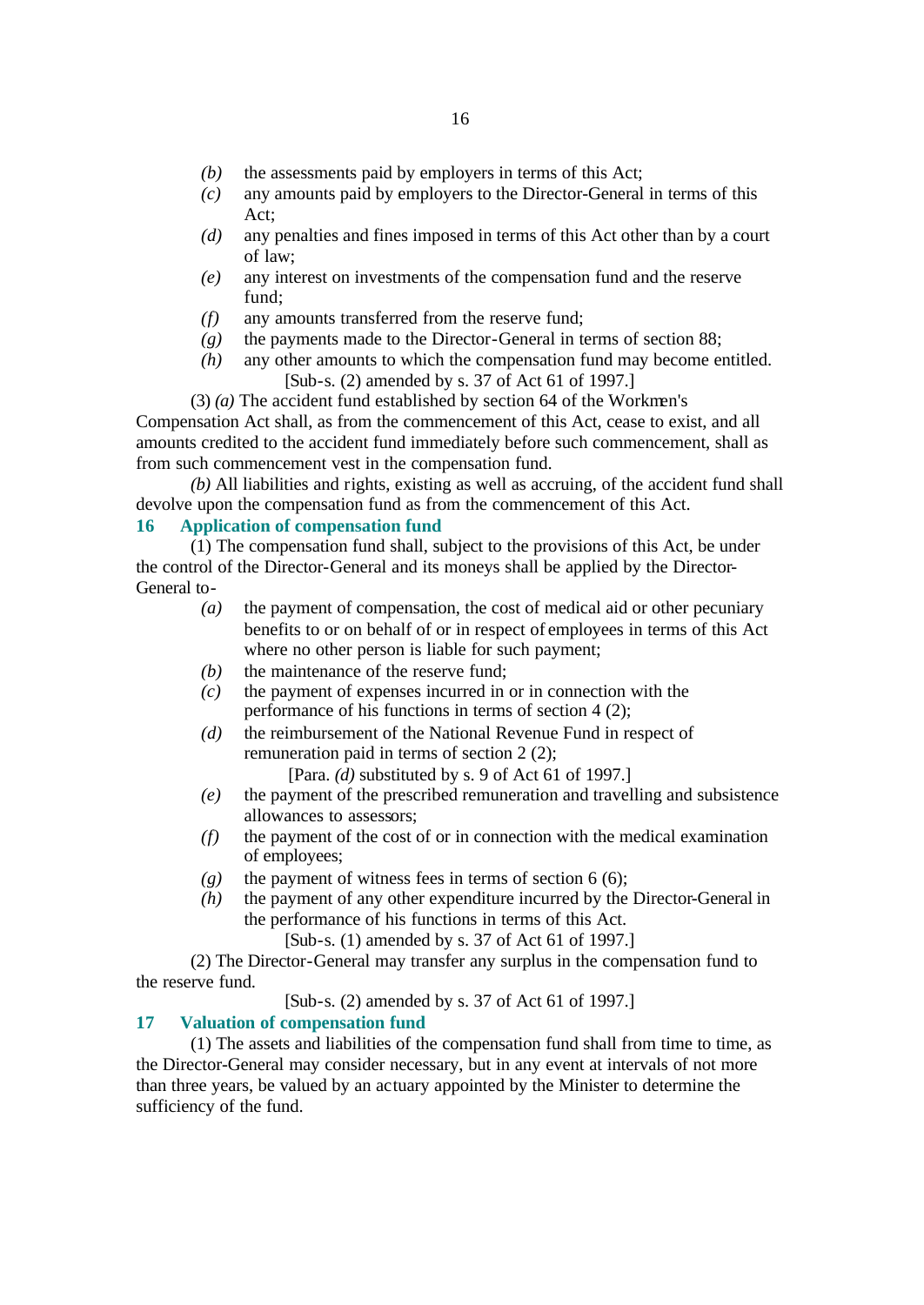- *(b)* the assessments paid by employers in terms of this Act;
- *(c)* any amounts paid by employers to the Director-General in terms of this Act;
- *(d)* any penalties and fines imposed in terms of this Act other than by a court of law;
- *(e)* any interest on investments of the compensation fund and the reserve fund;
- *(f)* any amounts transferred from the reserve fund;
- *(g)* the payments made to the Director-General in terms of section 88;
- *(h)* any other amounts to which the compensation fund may become entitled. [Sub-s. (2) amended by s. 37 of Act 61 of 1997.]

(3) *(a)* The accident fund established by section 64 of the Workmen's Compensation Act shall, as from the commencement of this Act, cease to exist, and all amounts credited to the accident fund immediately before such commencement, shall as from such commencement vest in the compensation fund.

*(b)* All liabilities and rights, existing as well as accruing, of the accident fund shall devolve upon the compensation fund as from the commencement of this Act.

# **16 Application of compensation fund**

(1) The compensation fund shall, subject to the provisions of this Act, be under the control of the Director-General and its moneys shall be applied by the Director-General to-

- *(a)* the payment of compensation, the cost of medical aid or other pecuniary benefits to or on behalf of or in respect of employees in terms of this Act where no other person is liable for such payment;
- *(b)* the maintenance of the reserve fund;
- *(c)* the payment of expenses incurred in or in connection with the performance of his functions in terms of section 4 (2);
- *(d)* the reimbursement of the National Revenue Fund in respect of remuneration paid in terms of section 2 (2);

[Para. *(d)* substituted by s. 9 of Act 61 of 1997.]

- *(e)* the payment of the prescribed remuneration and travelling and subsistence allowances to assessors;
- *(f)* the payment of the cost of or in connection with the medical examination of employees;
- $(g)$  the payment of witness fees in terms of section 6 (6);
- *(h)* the payment of any other expenditure incurred by the Director-General in the performance of his functions in terms of this Act.
	- [Sub-s. (1) amended by s. 37 of Act 61 of 1997.]

(2) The Director-General may transfer any surplus in the compensation fund to the reserve fund.

[Sub-s. (2) amended by s. 37 of Act 61 of 1997.]

## **17 Valuation of compensation fund**

(1) The assets and liabilities of the compensation fund shall from time to time, as the Director-General may consider necessary, but in any event at intervals of not more than three years, be valued by an actuary appointed by the Minister to determine the sufficiency of the fund.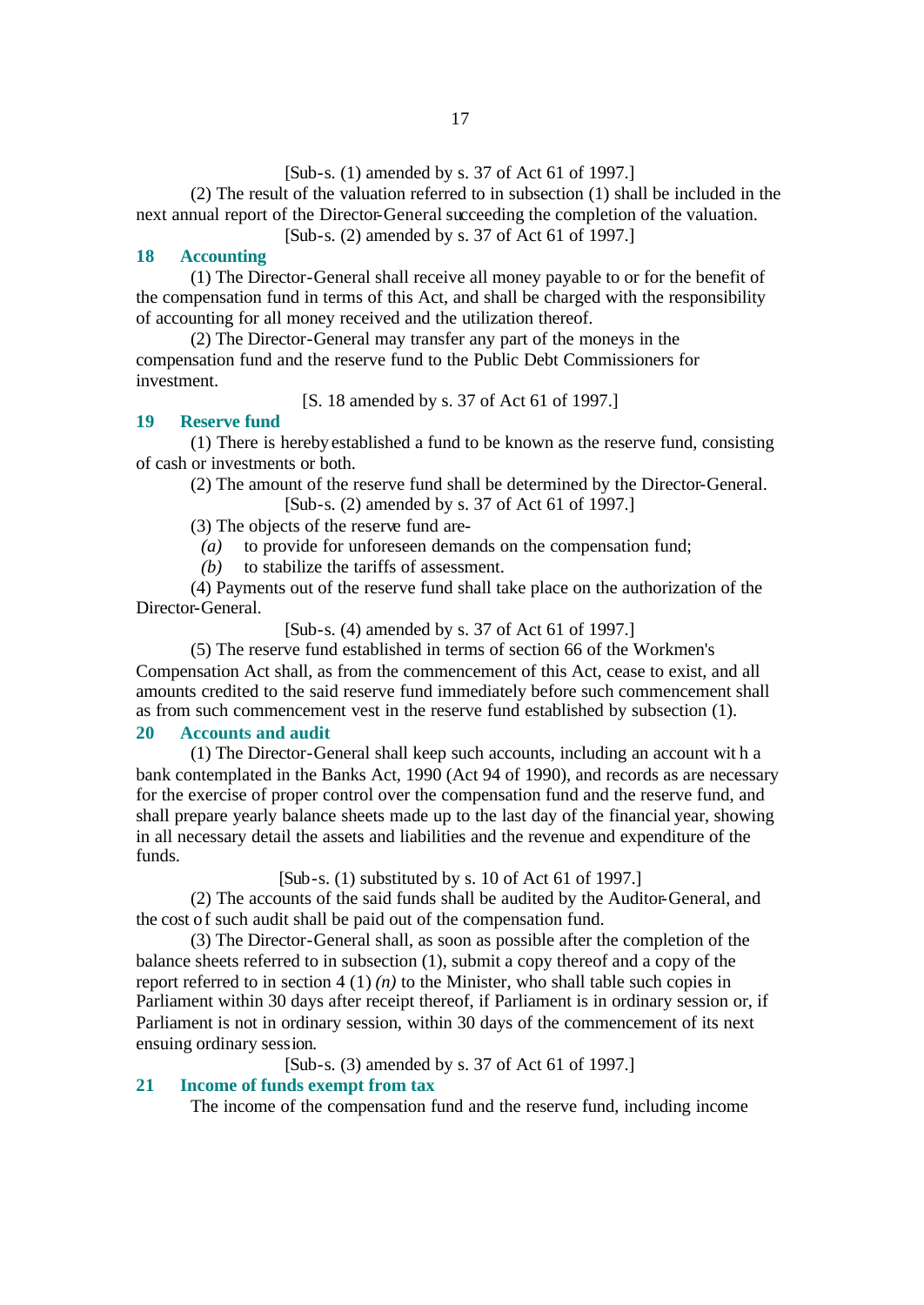[Sub-s. (1) amended by s. 37 of Act 61 of 1997.]

(2) The result of the valuation referred to in subsection (1) shall be included in the next annual report of the Director-General succeeding the completion of the valuation.

[Sub-s. (2) amended by s. 37 of Act 61 of 1997.]

# **18 Accounting**

(1) The Director-General shall receive all money payable to or for the benefit of the compensation fund in terms of this Act, and shall be charged with the responsibility of accounting for all money received and the utilization thereof.

(2) The Director-General may transfer any part of the moneys in the compensation fund and the reserve fund to the Public Debt Commissioners for investment.

[S. 18 amended by s. 37 of Act 61 of 1997.]

## **19 Reserve fund**

(1) There is hereby established a fund to be known as the reserve fund, consisting of cash or investments or both.

(2) The amount of the reserve fund shall be determined by the Director-General. [Sub-s. (2) amended by s. 37 of Act 61 of 1997.]

(3) The objects of the reserve fund are-

*(a)* to provide for unforeseen demands on the compensation fund;

*(b)* to stabilize the tariffs of assessment.

(4) Payments out of the reserve fund shall take place on the authorization of the Director-General.

[Sub-s. (4) amended by s. 37 of Act 61 of 1997.]

(5) The reserve fund established in terms of section 66 of the Workmen's Compensation Act shall, as from the commencement of this Act, cease to exist, and all amounts credited to the said reserve fund immediately before such commencement shall as from such commencement vest in the reserve fund established by subsection (1).

#### **20 Accounts and audit**

(1) The Director-General shall keep such accounts, including an account wit h a bank contemplated in the Banks Act, 1990 (Act 94 of 1990), and records as are necessary for the exercise of proper control over the compensation fund and the reserve fund, and shall prepare yearly balance sheets made up to the last day of the financial year, showing in all necessary detail the assets and liabilities and the revenue and expenditure of the funds.

[Sub-s. (1) substituted by s. 10 of Act 61 of 1997.]

(2) The accounts of the said funds shall be audited by the Auditor-General, and the cost of such audit shall be paid out of the compensation fund.

(3) The Director-General shall, as soon as possible after the completion of the balance sheets referred to in subsection (1), submit a copy thereof and a copy of the report referred to in section  $4(1)(n)$  to the Minister, who shall table such copies in Parliament within 30 days after receipt thereof, if Parliament is in ordinary session or, if Parliament is not in ordinary session, within 30 days of the commencement of its next ensuing ordinary session.

[Sub-s. (3) amended by s. 37 of Act 61 of 1997.]

# **21 Income of funds exempt from tax**

The income of the compensation fund and the reserve fund, including income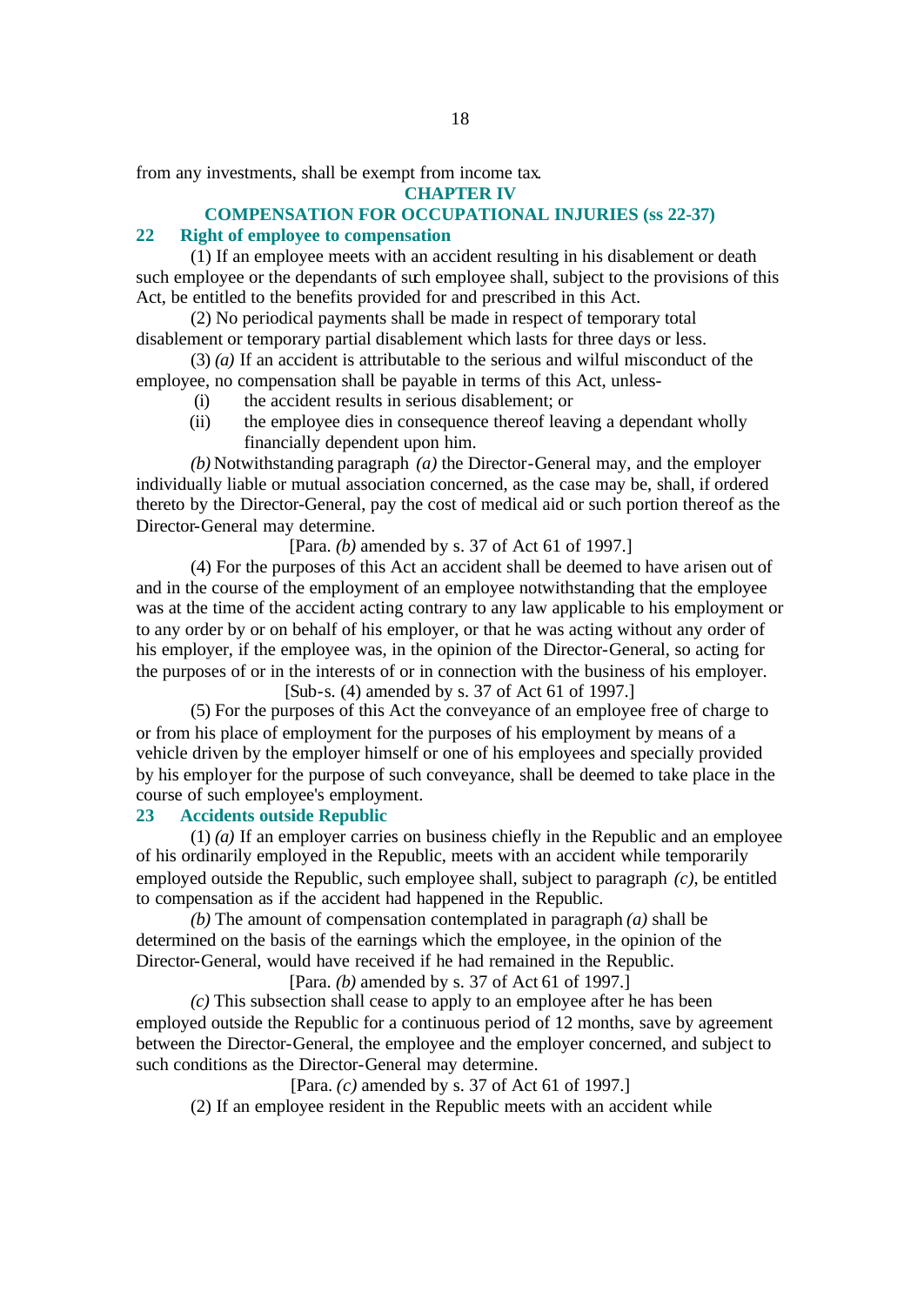from any investments, shall be exempt from income tax.

**CHAPTER IV**

# **COMPENSATION FOR OCCUPATIONAL INJURIES (ss 22-37)**

# **22 Right of employee to compensation**

(1) If an employee meets with an accident resulting in his disablement or death such employee or the dependants of such employee shall, subject to the provisions of this Act, be entitled to the benefits provided for and prescribed in this Act.

(2) No periodical payments shall be made in respect of temporary total disablement or temporary partial disablement which lasts for three days or less.

(3) *(a)* If an accident is attributable to the serious and wilful misconduct of the employee, no compensation shall be payable in terms of this Act, unless-

- (i) the accident results in serious disablement; or
- (ii) the employee dies in consequence thereof leaving a dependant wholly financially dependent upon him.

*(b)* Notwithstanding paragraph *(a)* the Director-General may, and the employer individually liable or mutual association concerned, as the case may be, shall, if ordered thereto by the Director-General, pay the cost of medical aid or such portion thereof as the Director-General may determine.

[Para. *(b)* amended by s. 37 of Act 61 of 1997.]

(4) For the purposes of this Act an accident shall be deemed to have arisen out of and in the course of the employment of an employee notwithstanding that the employee was at the time of the accident acting contrary to any law applicable to his employment or to any order by or on behalf of his employer, or that he was acting without any order of his employer, if the employee was, in the opinion of the Director-General, so acting for the purposes of or in the interests of or in connection with the business of his employer.

[Sub-s. (4) amended by s. 37 of Act 61 of 1997.]

(5) For the purposes of this Act the conveyance of an employee free of charge to or from his place of employment for the purposes of his employment by means of a vehicle driven by the employer himself or one of his employees and specially provided by his employer for the purpose of such conveyance, shall be deemed to take place in the course of such employee's employment.

# **23 Accidents outside Republic**

(1) *(a)* If an employer carries on business chiefly in the Republic and an employee of his ordinarily employed in the Republic, meets with an accident while temporarily employed outside the Republic, such employee shall, subject to paragraph *(c)*, be entitled to compensation as if the accident had happened in the Republic.

*(b)* The amount of compensation contemplated in paragraph *(a)* shall be determined on the basis of the earnings which the employee, in the opinion of the Director-General, would have received if he had remained in the Republic.

[Para. *(b)* amended by s. 37 of Act 61 of 1997.]

*(c)* This subsection shall cease to apply to an employee after he has been employed outside the Republic for a continuous period of 12 months, save by agreement between the Director-General, the employee and the employer concerned, and subject to such conditions as the Director-General may determine.

#### [Para. *(c)* amended by s. 37 of Act 61 of 1997.]

(2) If an employee resident in the Republic meets with an accident while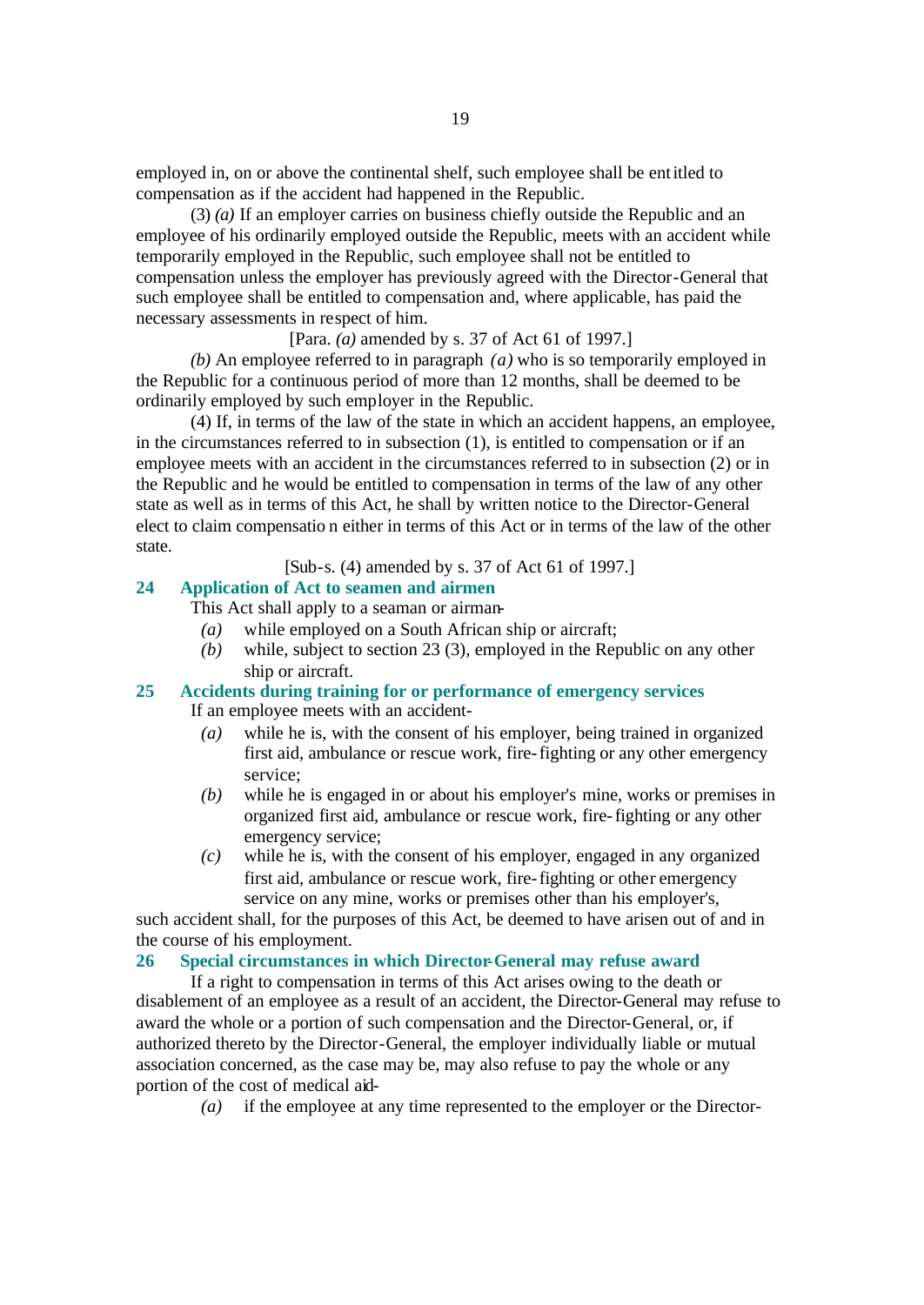employed in, on or above the continental shelf, such employee shall be entitled to compensation as if the accident had happened in the Republic.

(3) *(a)* If an employer carries on business chiefly outside the Republic and an employee of his ordinarily employed outside the Republic, meets with an accident while temporarily employed in the Republic, such employee shall not be entitled to compensation unless the employer has previously agreed with the Director-General that such employee shall be entitled to compensation and, where applicable, has paid the necessary assessments in respect of him.

# [Para. *(a)* amended by s. 37 of Act 61 of 1997.]

*(b)* An employee referred to in paragraph *(a)* who is so temporarily employed in the Republic for a continuous period of more than 12 months, shall be deemed to be ordinarily employed by such employer in the Republic.

(4) If, in terms of the law of the state in which an accident happens, an employee, in the circumstances referred to in subsection (1), is entitled to compensation or if an employee meets with an accident in the circumstances referred to in subsection (2) or in the Republic and he would be entitled to compensation in terms of the law of any other state as well as in terms of this Act, he shall by written notice to the Director-General elect to claim compensatio n either in terms of this Act or in terms of the law of the other state.

[Sub-s. (4) amended by s. 37 of Act 61 of 1997.]

# **24 Application of Act to seamen and airmen**

This Act shall apply to a seaman or airman-

- *(a)* while employed on a South African ship or aircraft;
- *(b)* while, subject to section 23 (3), employed in the Republic on any other ship or aircraft.

# **25 Accidents during training for or performance of emergency services**

If an employee meets with an accident-

- *(a)* while he is, with the consent of his employer, being trained in organized first aid, ambulance or rescue work, fire-fighting or any other emergency service;
- *(b)* while he is engaged in or about his employer's mine, works or premises in organized first aid, ambulance or rescue work, fire-fighting or any other emergency service;
- *(c)* while he is, with the consent of his employer, engaged in any organized first aid, ambulance or rescue work, fire-fighting or other emergency service on any mine, works or premises other than his employer's,

such accident shall, for the purposes of this Act, be deemed to have arisen out of and in the course of his employment.

# **26 Special circumstances in which Director-General may refuse award**

If a right to compensation in terms of this Act arises owing to the death or disablement of an employee as a result of an accident, the Director-General may refuse to award the whole or a portion of such compensation and the Director-General, or, if authorized thereto by the Director-General, the employer individually liable or mutual association concerned, as the case may be, may also refuse to pay the whole or any portion of the cost of medical aid-

*(a)* if the employee at any time represented to the employer or the Director-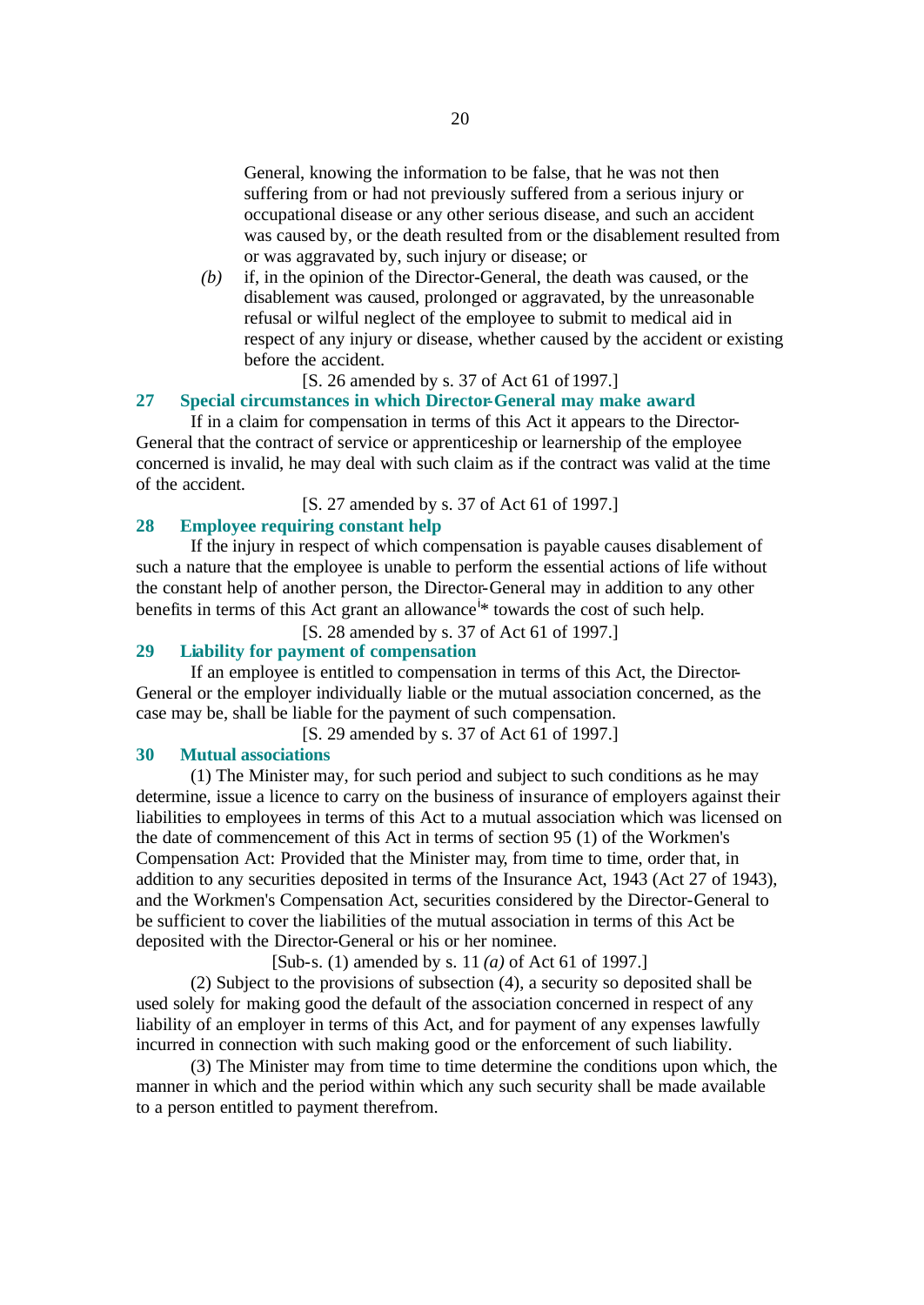General, knowing the information to be false, that he was not then suffering from or had not previously suffered from a serious injury or occupational disease or any other serious disease, and such an accident was caused by, or the death resulted from or the disablement resulted from or was aggravated by, such injury or disease; or

*(b)* if, in the opinion of the Director-General, the death was caused, or the disablement was caused, prolonged or aggravated, by the unreasonable refusal or wilful neglect of the employee to submit to medical aid in respect of any injury or disease, whether caused by the accident or existing before the accident.

# [S. 26 amended by s. 37 of Act 61 of 1997.]

# **27 Special circumstances in which Director-General may make award**

If in a claim for compensation in terms of this Act it appears to the Director-General that the contract of service or apprenticeship or learnership of the employee concerned is invalid, he may deal with such claim as if the contract was valid at the time of the accident.

[S. 27 amended by s. 37 of Act 61 of 1997.]

#### **28 Employee requiring constant help**

If the injury in respect of which compensation is payable causes disablement of such a nature that the employee is unable to perform the essential actions of life without the constant help of another person, the Director-General may in addition to any other benefits in terms of this Act grant an allowance<sup>i\*</sup> towards the cost of such help.

[S. 28 amended by s. 37 of Act 61 of 1997.]

# **29 Liability for payment of compensation**

If an employee is entitled to compensation in terms of this Act, the Director-General or the employer individually liable or the mutual association concerned, as the case may be, shall be liable for the payment of such compensation.

[S. 29 amended by s. 37 of Act 61 of 1997.]

# **30 Mutual associations**

(1) The Minister may, for such period and subject to such conditions as he may determine, issue a licence to carry on the business of insurance of employers against their liabilities to employees in terms of this Act to a mutual association which was licensed on the date of commencement of this Act in terms of section 95 (1) of the Workmen's Compensation Act: Provided that the Minister may, from time to time, order that, in addition to any securities deposited in terms of the Insurance Act, 1943 (Act 27 of 1943), and the Workmen's Compensation Act, securities considered by the Director-General to be sufficient to cover the liabilities of the mutual association in terms of this Act be deposited with the Director-General or his or her nominee.

[Sub-s. (1) amended by s. 11 *(a)* of Act 61 of 1997.]

(2) Subject to the provisions of subsection (4), a security so deposited shall be used solely for making good the default of the association concerned in respect of any liability of an employer in terms of this Act, and for payment of any expenses lawfully incurred in connection with such making good or the enforcement of such liability.

(3) The Minister may from time to time determine the conditions upon which, the manner in which and the period within which any such security shall be made available to a person entitled to payment therefrom.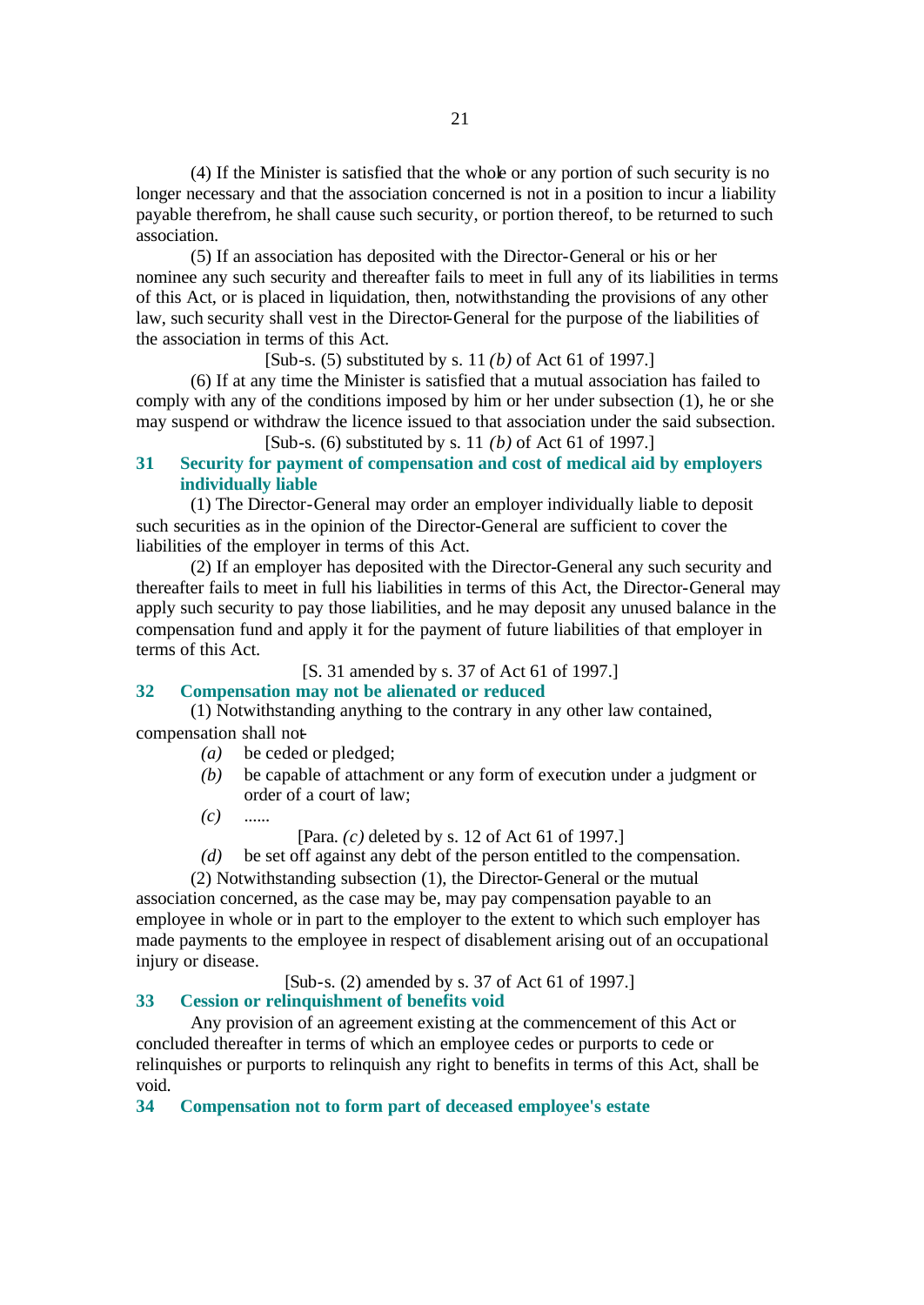(4) If the Minister is satisfied that the whole or any portion of such security is no longer necessary and that the association concerned is not in a position to incur a liability payable therefrom, he shall cause such security, or portion thereof, to be returned to such association.

(5) If an association has deposited with the Director-General or his or her nominee any such security and thereafter fails to meet in full any of its liabilities in terms of this Act, or is placed in liquidation, then, notwithstanding the provisions of any other law, such security shall vest in the Director-General for the purpose of the liabilities of the association in terms of this Act.

[Sub-s. (5) substituted by s. 11 *(b)* of Act 61 of 1997.]

(6) If at any time the Minister is satisfied that a mutual association has failed to comply with any of the conditions imposed by him or her under subsection (1), he or she may suspend or withdraw the licence issued to that association under the said subsection. [Sub-s. (6) substituted by s. 11 *(b)* of Act 61 of 1997.]

# **31 Security for payment of compensation and cost of medical aid by employers individually liable**

(1) The Director-General may order an employer individually liable to deposit such securities as in the opinion of the Director-General are sufficient to cover the liabilities of the employer in terms of this Act.

(2) If an employer has deposited with the Director-General any such security and thereafter fails to meet in full his liabilities in terms of this Act, the Director-General may apply such security to pay those liabilities, and he may deposit any unused balance in the compensation fund and apply it for the payment of future liabilities of that employer in terms of this Act.

[S. 31 amended by s. 37 of Act 61 of 1997.]

# **32 Compensation may not be alienated or reduced**

(1) Notwithstanding anything to the contrary in any other law contained, compensation shall not-

- *(a)* be ceded or pledged;
- *(b)* be capable of attachment or any form of execution under a judgment or order of a court of law;
- *(c)* ......
	- [Para. *(c)* deleted by s. 12 of Act 61 of 1997.]
- *(d)* be set off against any debt of the person entitled to the compensation.

(2) Notwithstanding subsection (1), the Director-General or the mutual association concerned, as the case may be, may pay compensation payable to an employee in whole or in part to the employer to the extent to which such employer has made payments to the employee in respect of disablement arising out of an occupational injury or disease.

[Sub-s. (2) amended by s. 37 of Act 61 of 1997.]

### **33 Cession or relinquishment of benefits void**

Any provision of an agreement existing at the commencement of this Act or concluded thereafter in terms of which an employee cedes or purports to cede or relinquishes or purports to relinquish any right to benefits in terms of this Act, shall be void.

**34 Compensation not to form part of deceased employee's estate**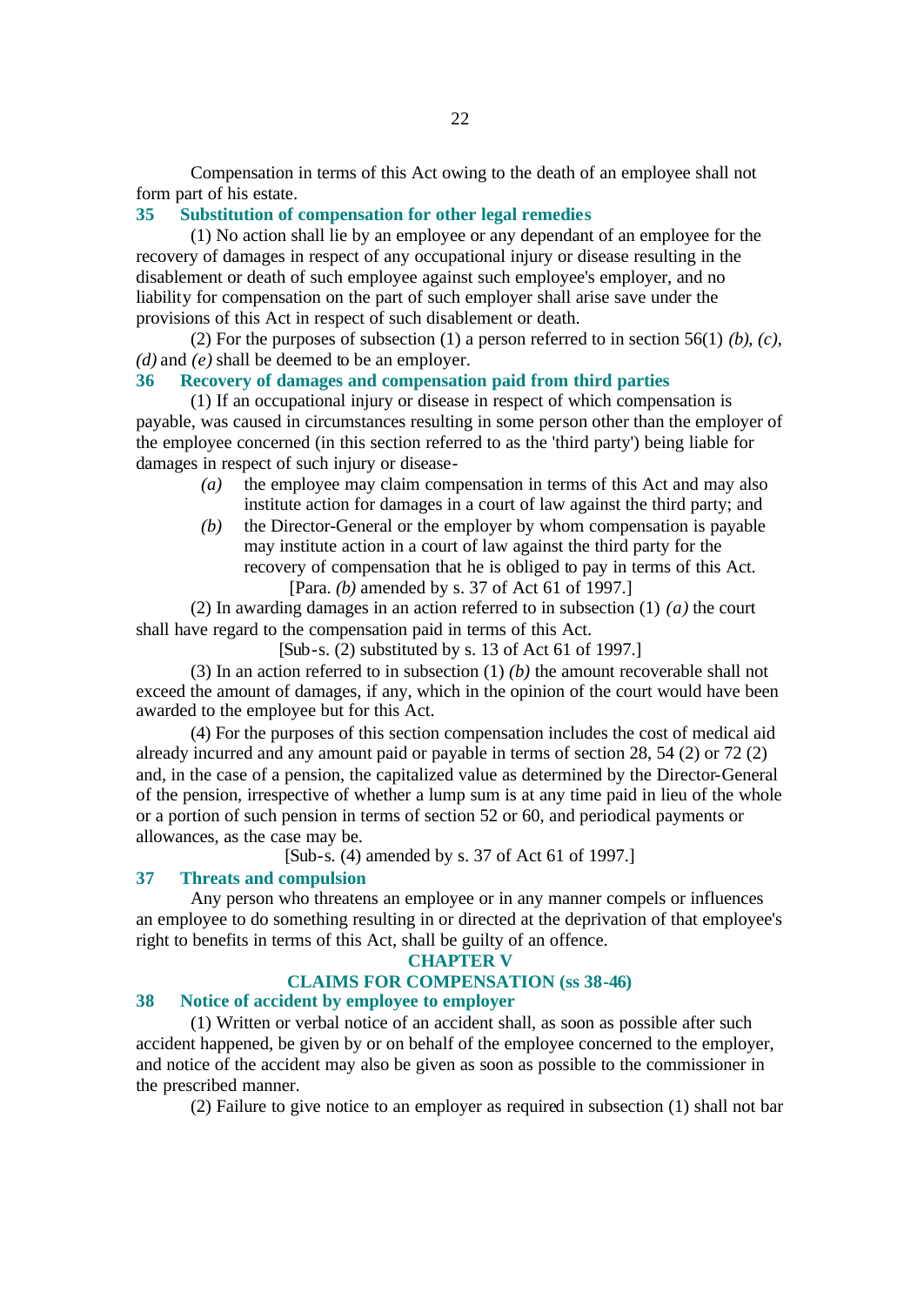Compensation in terms of this Act owing to the death of an employee shall not form part of his estate.

# **35 Substitution of compensation for other legal remedies**

(1) No action shall lie by an employee or any dependant of an employee for the recovery of damages in respect of any occupational injury or disease resulting in the disablement or death of such employee against such employee's employer, and no liability for compensation on the part of such employer shall arise save under the provisions of this Act in respect of such disablement or death.

(2) For the purposes of subsection  $(1)$  a person referred to in section 56(1)  $(b)$ ,  $(c)$ , *(d)* and *(e)* shall be deemed to be an employer.

# **36 Recovery of damages and compensation paid from third parties**

(1) If an occupational injury or disease in respect of which compensation is payable, was caused in circumstances resulting in some person other than the employer of the employee concerned (in this section referred to as the 'third party') being liable for damages in respect of such injury or disease-

- *(a)* the employee may claim compensation in terms of this Act and may also institute action for damages in a court of law against the third party; and
- *(b)* the Director-General or the employer by whom compensation is payable may institute action in a court of law against the third party for the recovery of compensation that he is obliged to pay in terms of this Act. [Para. *(b)* amended by s. 37 of Act 61 of 1997.]

(2) In awarding damages in an action referred to in subsection (1) *(a)* the court shall have regard to the compensation paid in terms of this Act.

[Sub-s. (2) substituted by s. 13 of Act 61 of 1997.]

(3) In an action referred to in subsection (1) *(b)* the amount recoverable shall not exceed the amount of damages, if any, which in the opinion of the court would have been awarded to the employee but for this Act.

(4) For the purposes of this section compensation includes the cost of medical aid already incurred and any amount paid or payable in terms of section 28, 54 (2) or 72 (2) and, in the case of a pension, the capitalized value as determined by the Director-General of the pension, irrespective of whether a lump sum is at any time paid in lieu of the whole or a portion of such pension in terms of section 52 or 60, and periodical payments or allowances, as the case may be.

[Sub-s. (4) amended by s. 37 of Act 61 of 1997.]

# **37 Threats and compulsion**

Any person who threatens an employee or in any manner compels or influences an employee to do something resulting in or directed at the deprivation of that employee's right to benefits in terms of this Act, shall be guilty of an offence.

#### **CHAPTER V**

# **CLAIMS FOR COMPENSATION (ss 38-46)**

# **38 Notice of accident by employee to employer**

(1) Written or verbal notice of an accident shall, as soon as possible after such accident happened, be given by or on behalf of the employee concerned to the employer, and notice of the accident may also be given as soon as possible to the commissioner in the prescribed manner.

(2) Failure to give notice to an employer as required in subsection (1) shall not bar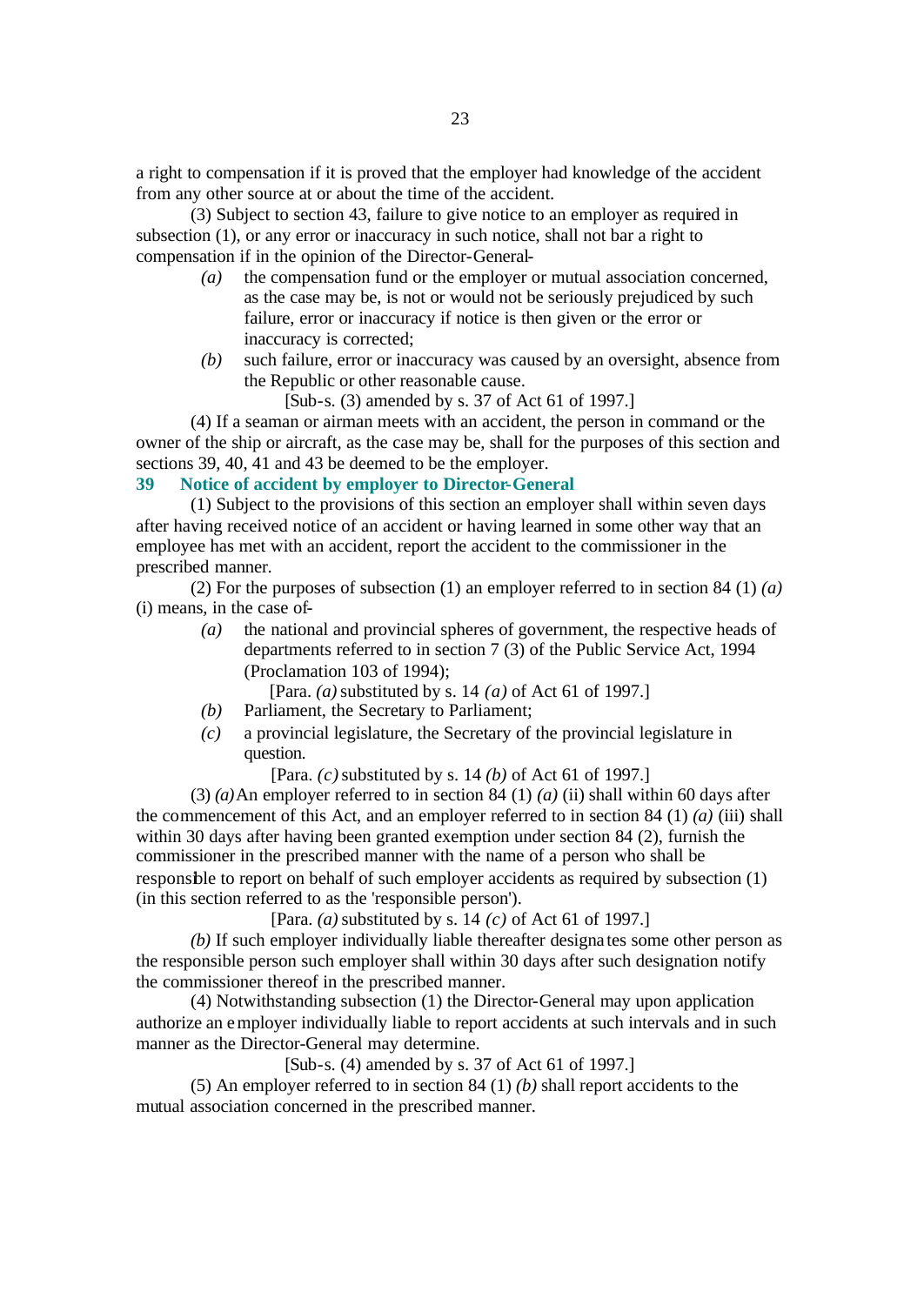a right to compensation if it is proved that the employer had knowledge of the accident from any other source at or about the time of the accident.

(3) Subject to section 43, failure to give notice to an employer as required in subsection (1), or any error or inaccuracy in such notice, shall not bar a right to compensation if in the opinion of the Director-General-

- *(a)* the compensation fund or the employer or mutual association concerned, as the case may be, is not or would not be seriously prejudiced by such failure, error or inaccuracy if notice is then given or the error or inaccuracy is corrected;
- *(b)* such failure, error or inaccuracy was caused by an oversight, absence from the Republic or other reasonable cause.

[Sub-s. (3) amended by s. 37 of Act 61 of 1997.]

(4) If a seaman or airman meets with an accident, the person in command or the owner of the ship or aircraft, as the case may be, shall for the purposes of this section and sections 39, 40, 41 and 43 be deemed to be the employer.

# **39 Notice of accident by employer to Director-General**

(1) Subject to the provisions of this section an employer shall within seven days after having received notice of an accident or having learned in some other way that an employee has met with an accident, report the accident to the commissioner in the prescribed manner.

(2) For the purposes of subsection (1) an employer referred to in section 84 (1) *(a)* (i) means, in the case of-

*(a)* the national and provincial spheres of government, the respective heads of departments referred to in section 7 (3) of the Public Service Act, 1994 (Proclamation 103 of 1994);

[Para. *(a)* substituted by s. 14 *(a)* of Act 61 of 1997.]

- *(b)* Parliament, the Secretary to Parliament;
- *(c)* a provincial legislature, the Secretary of the provincial legislature in question.

[Para. *(c)* substituted by s. 14 *(b)* of Act 61 of 1997.]

(3) *(a)*An employer referred to in section 84 (1) *(a)* (ii) shall within 60 days after the commencement of this Act, and an employer referred to in section 84 (1) *(a)* (iii) shall within 30 days after having been granted exemption under section 84 (2), furnish the commissioner in the prescribed manner with the name of a person who shall be responsible to report on behalf of such employer accidents as required by subsection (1) (in this section referred to as the 'responsible person').

[Para. *(a)* substituted by s. 14 *(c)* of Act 61 of 1997.]

*(b)* If such employer individually liable thereafter designa tes some other person as the responsible person such employer shall within 30 days after such designation notify the commissioner thereof in the prescribed manner.

(4) Notwithstanding subsection (1) the Director-General may upon application authorize an employer individually liable to report accidents at such intervals and in such manner as the Director-General may determine.

[Sub-s. (4) amended by s. 37 of Act 61 of 1997.]

(5) An employer referred to in section 84 (1) *(b)* shall report accidents to the mutual association concerned in the prescribed manner.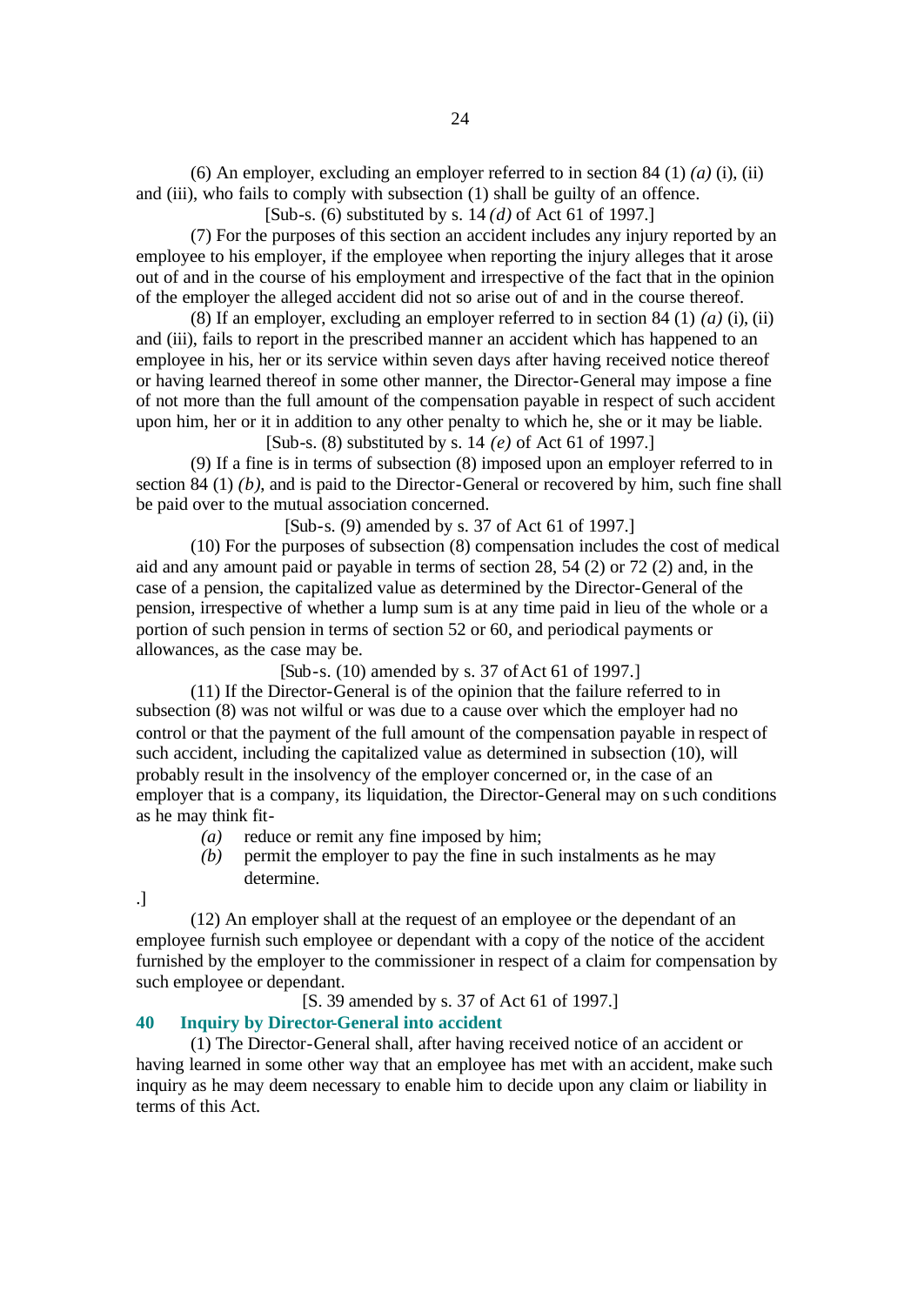(6) An employer, excluding an employer referred to in section 84 (1) *(a)* (i), (ii) and (iii), who fails to comply with subsection (1) shall be guilty of an offence.

[Sub-s. (6) substituted by s. 14 *(d)* of Act 61 of 1997.]

(7) For the purposes of this section an accident includes any injury reported by an employee to his employer, if the employee when reporting the injury alleges that it arose out of and in the course of his employment and irrespective of the fact that in the opinion of the employer the alleged accident did not so arise out of and in the course thereof.

(8) If an employer, excluding an employer referred to in section 84 (1) *(a)* (i), (ii) and (iii), fails to report in the prescribed manner an accident which has happened to an employee in his, her or its service within seven days after having received notice thereof or having learned thereof in some other manner, the Director-General may impose a fine of not more than the full amount of the compensation payable in respect of such accident upon him, her or it in addition to any other penalty to which he, she or it may be liable. [Sub-s. (8) substituted by s. 14 *(e)* of Act 61 of 1997.]

(9) If a fine is in terms of subsection (8) imposed upon an employer referred to in section 84 (1) *(b)*, and is paid to the Director-General or recovered by him, such fine shall be paid over to the mutual association concerned.

[Sub-s. (9) amended by s. 37 of Act 61 of 1997.]

(10) For the purposes of subsection (8) compensation includes the cost of medical aid and any amount paid or payable in terms of section 28, 54 (2) or 72 (2) and, in the case of a pension, the capitalized value as determined by the Director-General of the pension, irrespective of whether a lump sum is at any time paid in lieu of the whole or a portion of such pension in terms of section 52 or 60, and periodical payments or allowances, as the case may be.

[Sub-s. (10) amended by s. 37 of Act 61 of 1997.]

(11) If the Director-General is of the opinion that the failure referred to in subsection (8) was not wilful or was due to a cause over which the employer had no control or that the payment of the full amount of the compensation payable in respect of such accident, including the capitalized value as determined in subsection (10), will probably result in the insolvency of the employer concerned or, in the case of an employer that is a company, its liquidation, the Director-General may on such conditions as he may think fit-

- *(a)* reduce or remit any fine imposed by him;
- *(b)* permit the employer to pay the fine in such instalments as he may determine.

.]

(12) An employer shall at the request of an employee or the dependant of an employee furnish such employee or dependant with a copy of the notice of the accident furnished by the employer to the commissioner in respect of a claim for compensation by such employee or dependant.

[S. 39 amended by s. 37 of Act 61 of 1997.]

# **40 Inquiry by Director-General into accident**

(1) The Director-General shall, after having received notice of an accident or having learned in some other way that an employee has met with an accident, make such inquiry as he may deem necessary to enable him to decide upon any claim or liability in terms of this Act.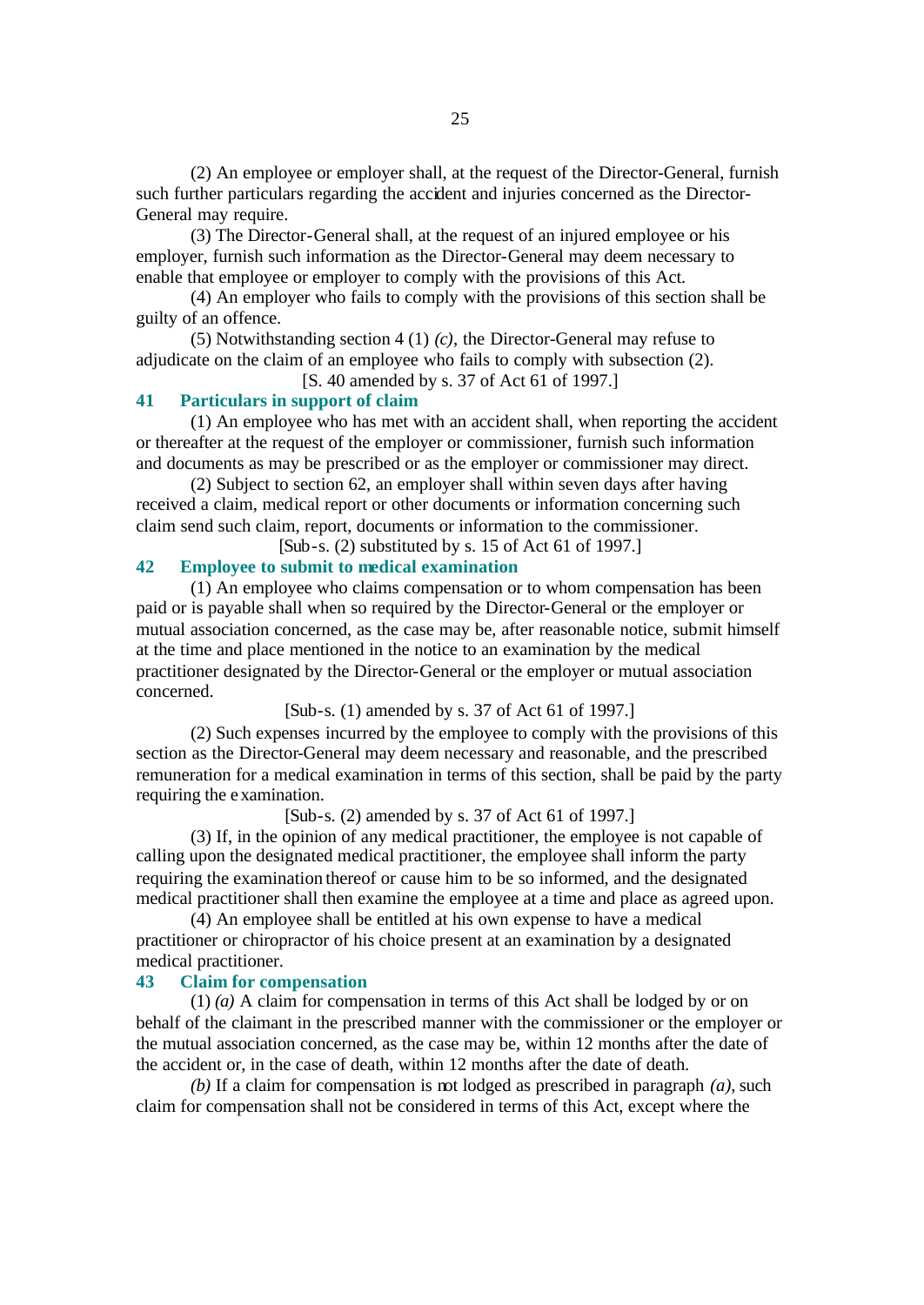(2) An employee or employer shall, at the request of the Director-General, furnish such further particulars regarding the accident and injuries concerned as the Director-General may require.

(3) The Director-General shall, at the request of an injured employee or his employer, furnish such information as the Director-General may deem necessary to enable that employee or employer to comply with the provisions of this Act.

(4) An employer who fails to comply with the provisions of this section shall be guilty of an offence.

(5) Notwithstanding section 4 (1) *(c)*, the Director-General may refuse to adjudicate on the claim of an employee who fails to comply with subsection (2).

[S. 40 amended by s. 37 of Act 61 of 1997.]

# **41 Particulars in support of claim**

(1) An employee who has met with an accident shall, when reporting the accident or thereafter at the request of the employer or commissioner, furnish such information and documents as may be prescribed or as the employer or commissioner may direct.

(2) Subject to section 62, an employer shall within seven days after having received a claim, medical report or other documents or information concerning such claim send such claim, report, documents or information to the commissioner.

[Sub-s. (2) substituted by s. 15 of Act 61 of 1997.]

# **42 Employee to submit to medical examination**

(1) An employee who claims compensation or to whom compensation has been paid or is payable shall when so required by the Director-General or the employer or mutual association concerned, as the case may be, after reasonable notice, submit himself at the time and place mentioned in the notice to an examination by the medical practitioner designated by the Director-General or the employer or mutual association concerned.

[Sub-s. (1) amended by s. 37 of Act 61 of 1997.]

(2) Such expenses incurred by the employee to comply with the provisions of this section as the Director-General may deem necessary and reasonable, and the prescribed remuneration for a medical examination in terms of this section, shall be paid by the party requiring the examination.

[Sub-s. (2) amended by s. 37 of Act 61 of 1997.]

(3) If, in the opinion of any medical practitioner, the employee is not capable of calling upon the designated medical practitioner, the employee shall inform the party requiring the examination thereof or cause him to be so informed, and the designated medical practitioner shall then examine the employee at a time and place as agreed upon.

(4) An employee shall be entitled at his own expense to have a medical practitioner or chiropractor of his choice present at an examination by a designated medical practitioner.

### **43 Claim for compensation**

(1) *(a)* A claim for compensation in terms of this Act shall be lodged by or on behalf of the claimant in the prescribed manner with the commissioner or the employer or the mutual association concerned, as the case may be, within 12 months after the date of the accident or, in the case of death, within 12 months after the date of death.

*(b)* If a claim for compensation is not lodged as prescribed in paragraph *(a)*, such claim for compensation shall not be considered in terms of this Act, except where the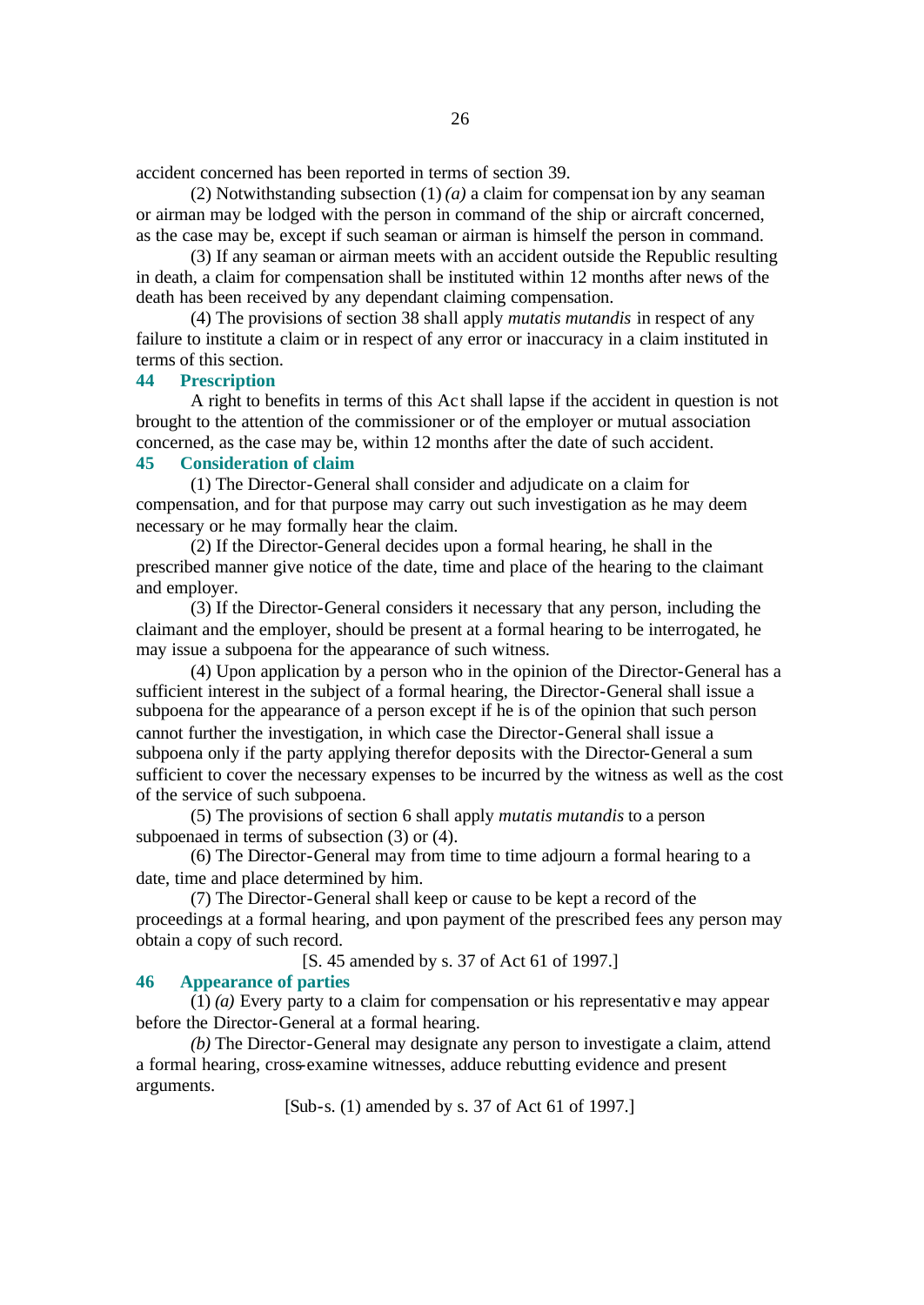accident concerned has been reported in terms of section 39.

(2) Notwithstanding subsection  $(1)$  *(a)* a claim for compensation by any seaman or airman may be lodged with the person in command of the ship or aircraft concerned, as the case may be, except if such seaman or airman is himself the person in command.

(3) If any seaman or airman meets with an accident outside the Republic resulting in death, a claim for compensation shall be instituted within 12 months after news of the death has been received by any dependant claiming compensation.

(4) The provisions of section 38 shall apply *mutatis mutandis* in respect of any failure to institute a claim or in respect of any error or inaccuracy in a claim instituted in terms of this section.

# **44 Prescription**

A right to benefits in terms of this Ac t shall lapse if the accident in question is not brought to the attention of the commissioner or of the employer or mutual association concerned, as the case may be, within 12 months after the date of such accident.

# **45 Consideration of claim**

(1) The Director-General shall consider and adjudicate on a claim for compensation, and for that purpose may carry out such investigation as he may deem necessary or he may formally hear the claim.

(2) If the Director-General decides upon a formal hearing, he shall in the prescribed manner give notice of the date, time and place of the hearing to the claimant and employer.

(3) If the Director-General considers it necessary that any person, including the claimant and the employer, should be present at a formal hearing to be interrogated, he may issue a subpoena for the appearance of such witness.

(4) Upon application by a person who in the opinion of the Director-General has a sufficient interest in the subject of a formal hearing, the Director-General shall issue a subpoena for the appearance of a person except if he is of the opinion that such person cannot further the investigation, in which case the Director-General shall issue a subpoena only if the party applying therefor deposits with the Director-General a sum sufficient to cover the necessary expenses to be incurred by the witness as well as the cost of the service of such subpoena.

(5) The provisions of section 6 shall apply *mutatis mutandis* to a person subpoenaed in terms of subsection (3) or (4).

(6) The Director-General may from time to time adjourn a formal hearing to a date, time and place determined by him.

(7) The Director-General shall keep or cause to be kept a record of the proceedings at a formal hearing, and upon payment of the prescribed fees any person may obtain a copy of such record.

[S. 45 amended by s. 37 of Act 61 of 1997.]

# **46 Appearance of parties**

(1) *(a)* Every party to a claim for compensation or his representative may appear before the Director-General at a formal hearing.

*(b)* The Director-General may designate any person to investigate a claim, attend a formal hearing, cross-examine witnesses, adduce rebutting evidence and present arguments.

[Sub-s. (1) amended by s. 37 of Act 61 of 1997.]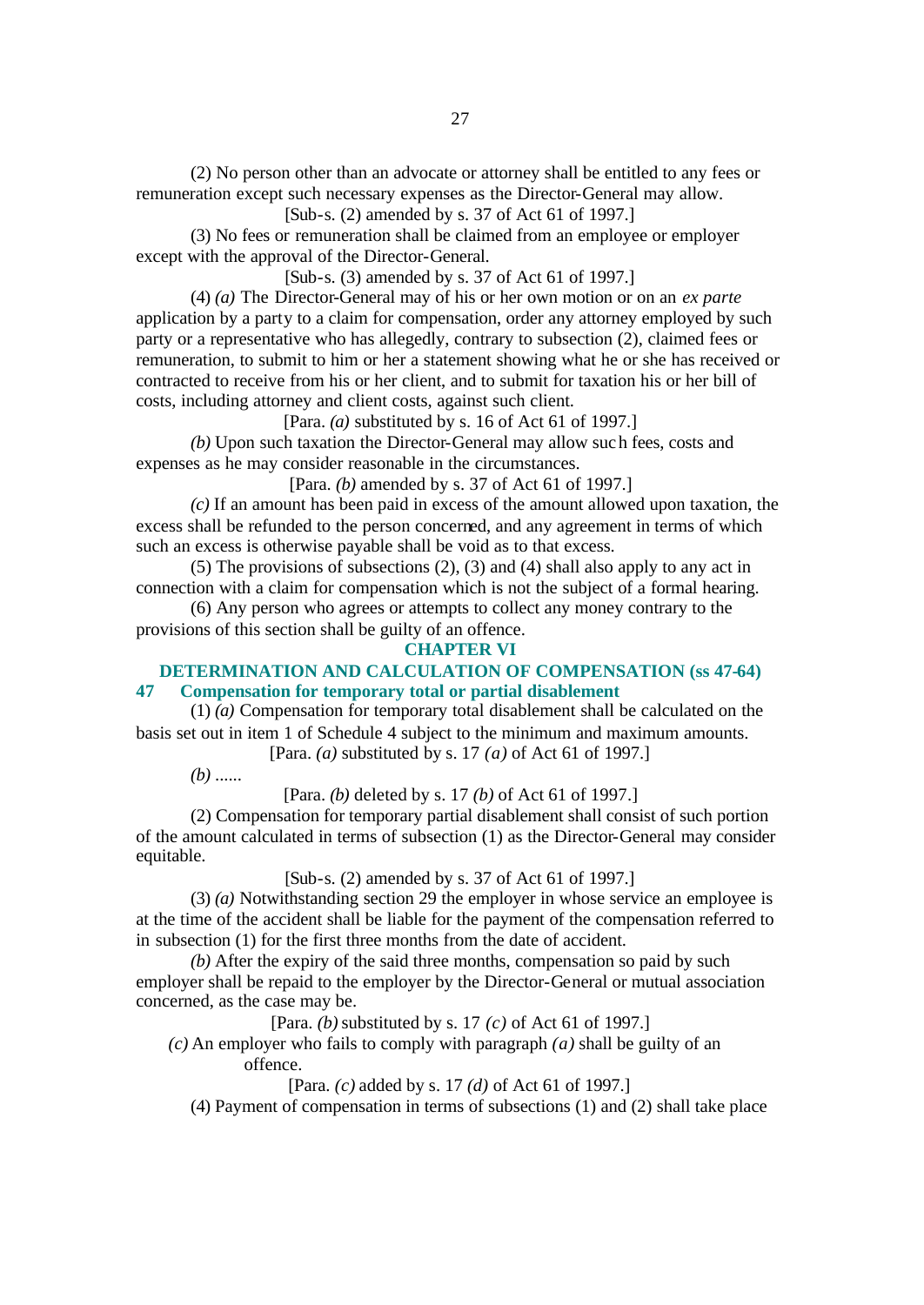(2) No person other than an advocate or attorney shall be entitled to any fees or remuneration except such necessary expenses as the Director-General may allow.

[Sub-s. (2) amended by s. 37 of Act 61 of 1997.]

(3) No fees or remuneration shall be claimed from an employee or employer except with the approval of the Director-General.

[Sub-s. (3) amended by s. 37 of Act 61 of 1997.]

(4) *(a)* The Director-General may of his or her own motion or on an *ex parte* application by a party to a claim for compensation, order any attorney employed by such party or a representative who has allegedly, contrary to subsection (2), claimed fees or remuneration, to submit to him or her a statement showing what he or she has received or contracted to receive from his or her client, and to submit for taxation his or her bill of costs, including attorney and client costs, against such client.

[Para. *(a)* substituted by s. 16 of Act 61 of 1997.]

*(b)* Upon such taxation the Director-General may allow such fees, costs and expenses as he may consider reasonable in the circumstances.

[Para. *(b)* amended by s. 37 of Act 61 of 1997.]

*(c)* If an amount has been paid in excess of the amount allowed upon taxation, the excess shall be refunded to the person concerned, and any agreement in terms of which such an excess is otherwise payable shall be void as to that excess.

(5) The provisions of subsections (2), (3) and (4) shall also apply to any act in connection with a claim for compensation which is not the subject of a formal hearing.

(6) Any person who agrees or attempts to collect any money contrary to the provisions of this section shall be guilty of an offence.

#### **CHAPTER VI**

# **DETERMINATION AND CALCULATION OF COMPENSATION (ss 47-64) 47 Compensation for temporary total or partial disablement**

(1) *(a)* Compensation for temporary total disablement shall be calculated on the basis set out in item 1 of Schedule 4 subject to the minimum and maximum amounts.

[Para. *(a)* substituted by s. 17 *(a)* of Act 61 of 1997.]

*(b)* ......

[Para. *(b)* deleted by s. 17 *(b)* of Act 61 of 1997.]

(2) Compensation for temporary partial disablement shall consist of such portion of the amount calculated in terms of subsection (1) as the Director-General may consider equitable.

[Sub-s. (2) amended by s. 37 of Act 61 of 1997.]

(3) *(a)* Notwithstanding section 29 the employer in whose service an employee is at the time of the accident shall be liable for the payment of the compensation referred to in subsection (1) for the first three months from the date of accident.

*(b)* After the expiry of the said three months, compensation so paid by such employer shall be repaid to the employer by the Director-General or mutual association concerned, as the case may be.

[Para. *(b)* substituted by s. 17 *(c)* of Act 61 of 1997.]

*(c)* An employer who fails to comply with paragraph *(a)* shall be guilty of an offence.

[Para. *(c)* added by s. 17 *(d)* of Act 61 of 1997.]

(4) Payment of compensation in terms of subsections (1) and (2) shall take place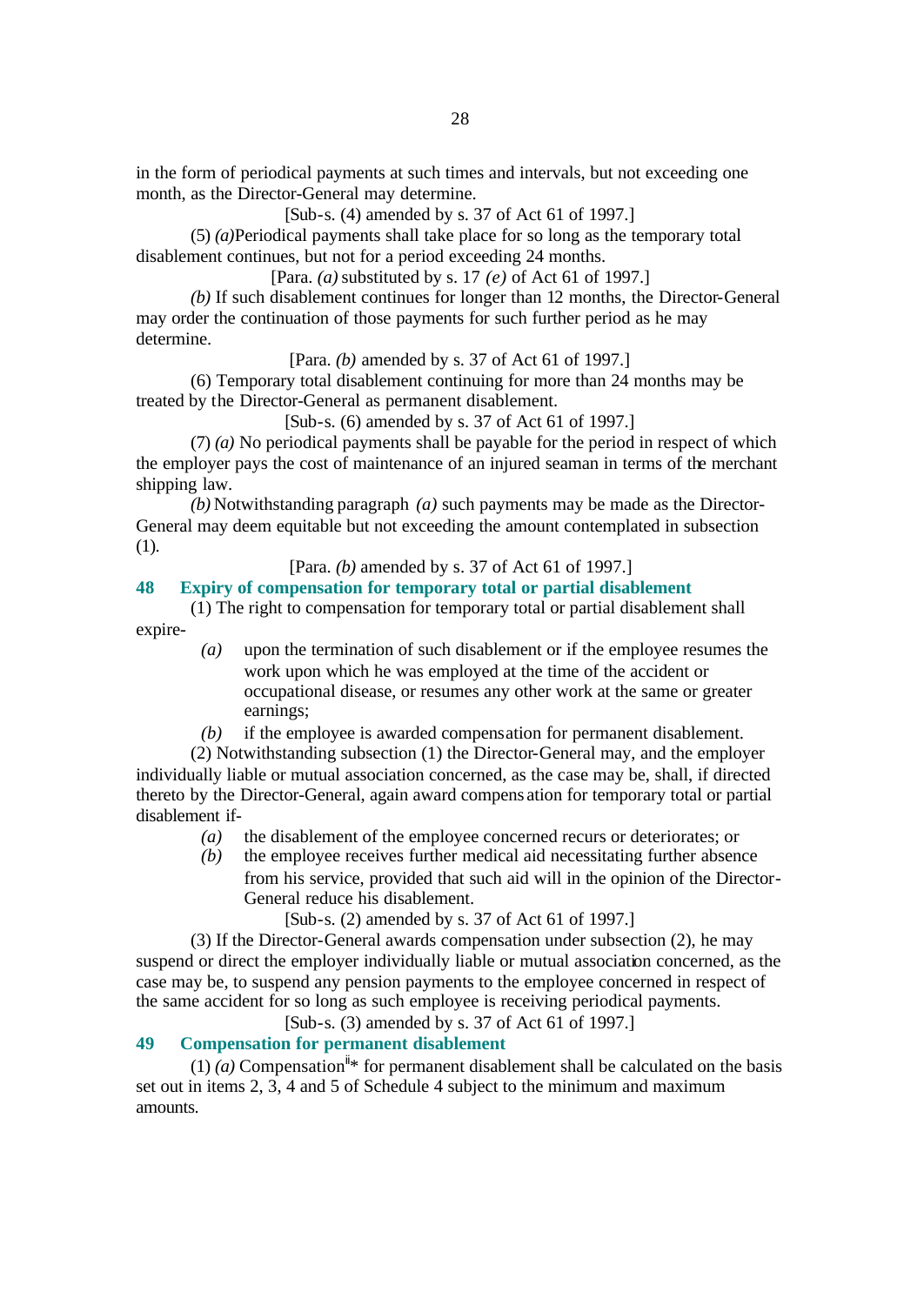in the form of periodical payments at such times and intervals, but not exceeding one month, as the Director-General may determine.

[Sub-s. (4) amended by s. 37 of Act 61 of 1997.]

(5) *(a)*Periodical payments shall take place for so long as the temporary total disablement continues, but not for a period exceeding 24 months.

[Para. *(a)* substituted by s. 17 *(e)* of Act 61 of 1997.]

*(b)* If such disablement continues for longer than 12 months, the Director-General may order the continuation of those payments for such further period as he may determine.

[Para. *(b)* amended by s. 37 of Act 61 of 1997.]

(6) Temporary total disablement continuing for more than 24 months may be treated by the Director-General as permanent disablement.

[Sub-s. (6) amended by s. 37 of Act 61 of 1997.]

(7) *(a)* No periodical payments shall be payable for the period in respect of which the employer pays the cost of maintenance of an injured seaman in terms of the merchant shipping law.

*(b)* Notwithstanding paragraph *(a)* such payments may be made as the Director-General may deem equitable but not exceeding the amount contemplated in subsection (1).

# [Para. *(b)* amended by s. 37 of Act 61 of 1997.]

# **48 Expiry of compensation for temporary total or partial disablement**

(1) The right to compensation for temporary total or partial disablement shall expire-

> *(a)* upon the termination of such disablement or if the employee resumes the work upon which he was employed at the time of the accident or occupational disease, or resumes any other work at the same or greater earnings;

*(b)* if the employee is awarded compensation for permanent disablement.

(2) Notwithstanding subsection (1) the Director-General may, and the employer individually liable or mutual association concerned, as the case may be, shall, if directed thereto by the Director-General, again award compens ation for temporary total or partial disablement if-

- *(a)* the disablement of the employee concerned recurs or deteriorates; or
- *(b)* the employee receives further medical aid necessitating further absence from his service, provided that such aid will in the opinion of the Director-General reduce his disablement.

[Sub-s. (2) amended by s. 37 of Act 61 of 1997.]

(3) If the Director-General awards compensation under subsection (2), he may suspend or direct the employer individually liable or mutual association concerned, as the case may be, to suspend any pension payments to the employee concerned in respect of the same accident for so long as such employee is receiving periodical payments.

[Sub-s. (3) amended by s. 37 of Act 61 of 1997.]

# **49 Compensation for permanent disablement**

(1) (*a*) Compensation<sup>ii</sup>\* for permanent disablement shall be calculated on the basis set out in items 2, 3, 4 and 5 of Schedule 4 subject to the minimum and maximum amounts.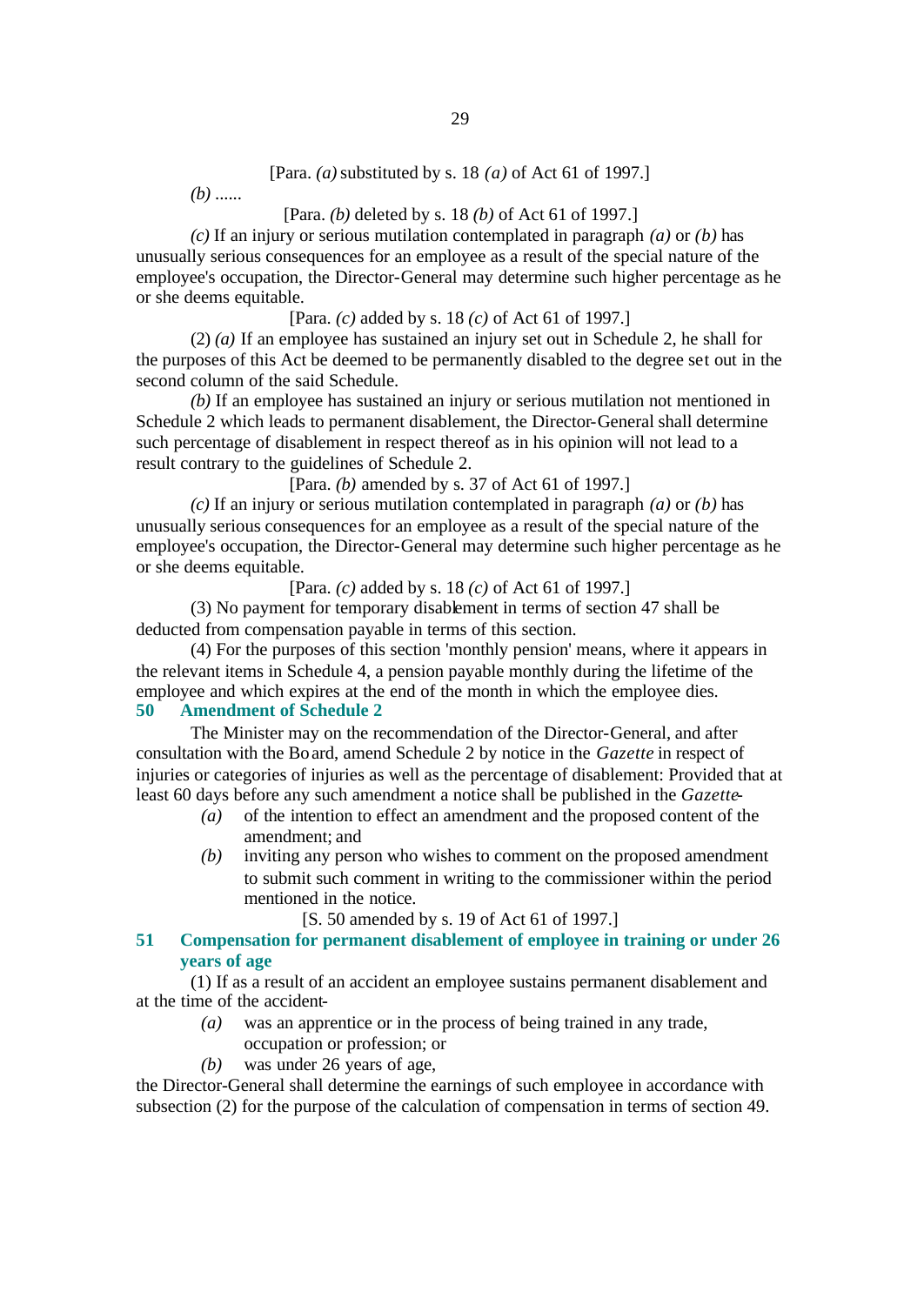[Para. *(a)* substituted by s. 18 *(a)* of Act 61 of 1997.]

*(b)* ......

# [Para. *(b)* deleted by s. 18 *(b)* of Act 61 of 1997.]

*(c)* If an injury or serious mutilation contemplated in paragraph *(a)* or *(b)* has unusually serious consequences for an employee as a result of the special nature of the employee's occupation, the Director-General may determine such higher percentage as he or she deems equitable.

[Para. *(c)* added by s. 18 *(c)* of Act 61 of 1997.]

(2) *(a)* If an employee has sustained an injury set out in Schedule 2, he shall for the purposes of this Act be deemed to be permanently disabled to the degree set out in the second column of the said Schedule.

*(b)* If an employee has sustained an injury or serious mutilation not mentioned in Schedule 2 which leads to permanent disablement, the Director-General shall determine such percentage of disablement in respect thereof as in his opinion will not lead to a result contrary to the guidelines of Schedule 2.

[Para. *(b)* amended by s. 37 of Act 61 of 1997.]

*(c)* If an injury or serious mutilation contemplated in paragraph *(a)* or *(b)* has unusually serious consequences for an employee as a result of the special nature of the employee's occupation, the Director-General may determine such higher percentage as he or she deems equitable.

[Para. *(c)* added by s. 18 *(c)* of Act 61 of 1997.]

(3) No payment for temporary disablement in terms of section 47 shall be deducted from compensation payable in terms of this section.

(4) For the purposes of this section 'monthly pension' means, where it appears in the relevant items in Schedule 4, a pension payable monthly during the lifetime of the employee and which expires at the end of the month in which the employee dies. **50 Amendment of Schedule 2**

The Minister may on the recommendation of the Director-General, and after consultation with the Board, amend Schedule 2 by notice in the *Gazette* in respect of injuries or categories of injuries as well as the percentage of disablement: Provided that at least 60 days before any such amendment a notice shall be published in the *Gazette*-

- *(a)* of the intention to effect an amendment and the proposed content of the amendment; and
- *(b)* inviting any person who wishes to comment on the proposed amendment to submit such comment in writing to the commissioner within the period mentioned in the notice.

[S. 50 amended by s. 19 of Act 61 of 1997.]

# **51 Compensation for permanent disablement of employee in training or under 26 years of age**

(1) If as a result of an accident an employee sustains permanent disablement and at the time of the accident-

- *(a)* was an apprentice or in the process of being trained in any trade, occupation or profession; or
- *(b)* was under 26 years of age,

the Director-General shall determine the earnings of such employee in accordance with subsection (2) for the purpose of the calculation of compensation in terms of section 49.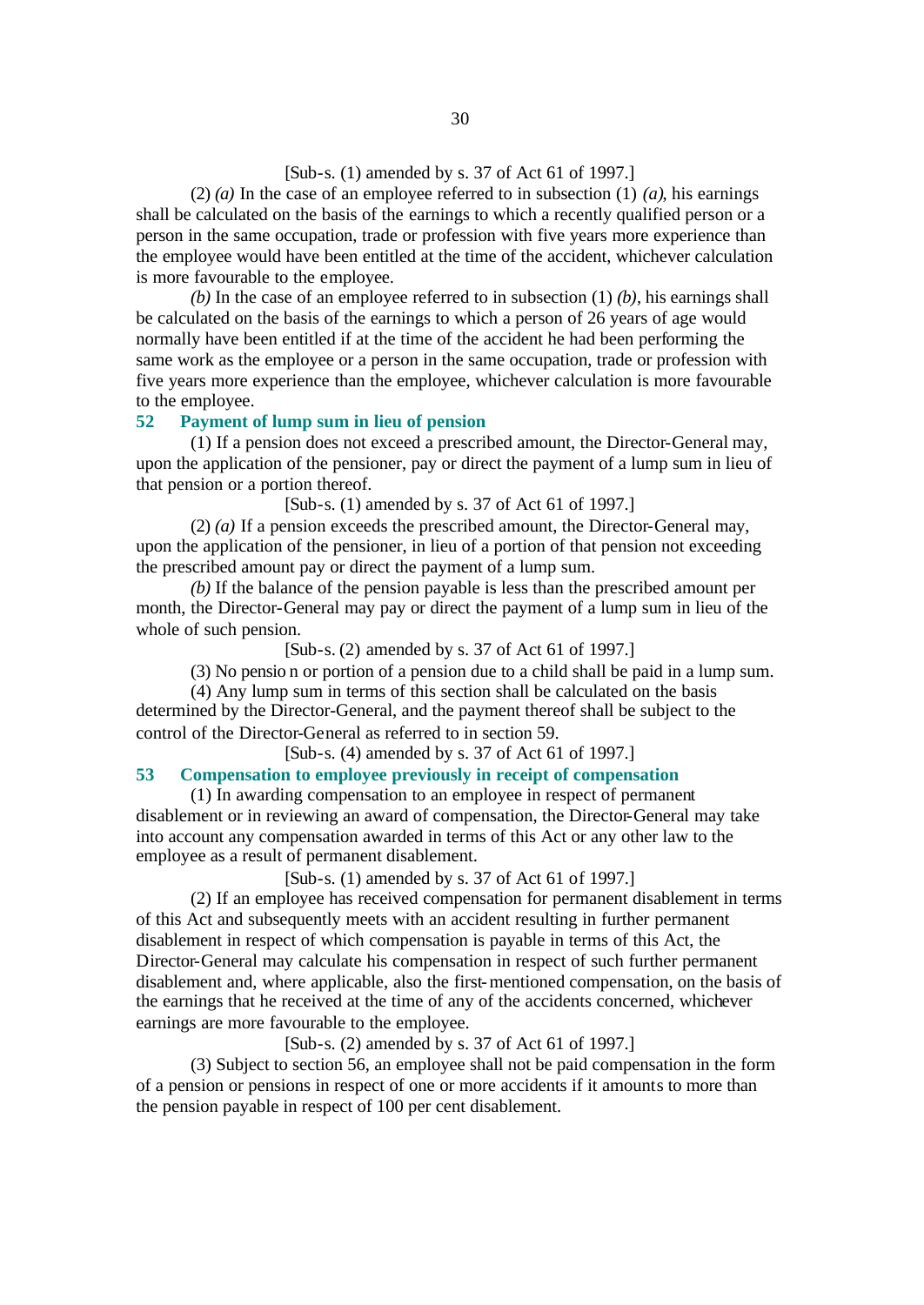# [Sub-s. (1) amended by s. 37 of Act 61 of 1997.]

(2)  $(a)$  In the case of an employee referred to in subsection (1)  $(a)$ , his earnings shall be calculated on the basis of the earnings to which a recently qualified person or a person in the same occupation, trade or profession with five years more experience than the employee would have been entitled at the time of the accident, whichever calculation is more favourable to the employee.

*(b)* In the case of an employee referred to in subsection (1) *(b)*, his earnings shall be calculated on the basis of the earnings to which a person of 26 years of age would normally have been entitled if at the time of the accident he had been performing the same work as the employee or a person in the same occupation, trade or profession with five years more experience than the employee, whichever calculation is more favourable to the employee.

# **52 Payment of lump sum in lieu of pension**

(1) If a pension does not exceed a prescribed amount, the Director-General may, upon the application of the pensioner, pay or direct the payment of a lump sum in lieu of that pension or a portion thereof.

[Sub-s. (1) amended by s. 37 of Act 61 of 1997.]

(2) *(a)* If a pension exceeds the prescribed amount, the Director-General may, upon the application of the pensioner, in lieu of a portion of that pension not exceeding the prescribed amount pay or direct the payment of a lump sum.

*(b)* If the balance of the pension payable is less than the prescribed amount per month, the Director-General may pay or direct the payment of a lump sum in lieu of the whole of such pension.

[Sub-s. (2) amended by s. 37 of Act 61 of 1997.]

(3) No pensio n or portion of a pension due to a child shall be paid in a lump sum.

(4) Any lump sum in terms of this section shall be calculated on the basis determined by the Director-General, and the payment thereof shall be subject to the control of the Director-General as referred to in section 59.

[Sub-s. (4) amended by s. 37 of Act 61 of 1997.]

#### **53 Compensation to employee previously in receipt of compensation**

(1) In awarding compensation to an employee in respect of permanent disablement or in reviewing an award of compensation, the Director-General may take into account any compensation awarded in terms of this Act or any other law to the employee as a result of permanent disablement.

[Sub-s. (1) amended by s. 37 of Act 61 of 1997.]

(2) If an employee has received compensation for permanent disablement in terms of this Act and subsequently meets with an accident resulting in further permanent disablement in respect of which compensation is payable in terms of this Act, the Director-General may calculate his compensation in respect of such further permanent disablement and, where applicable, also the first-mentioned compensation, on the basis of the earnings that he received at the time of any of the accidents concerned, whichever earnings are more favourable to the employee.

[Sub-s. (2) amended by s. 37 of Act 61 of 1997.]

(3) Subject to section 56, an employee shall not be paid compensation in the form of a pension or pensions in respect of one or more accidents if it amounts to more than the pension payable in respect of 100 per cent disablement.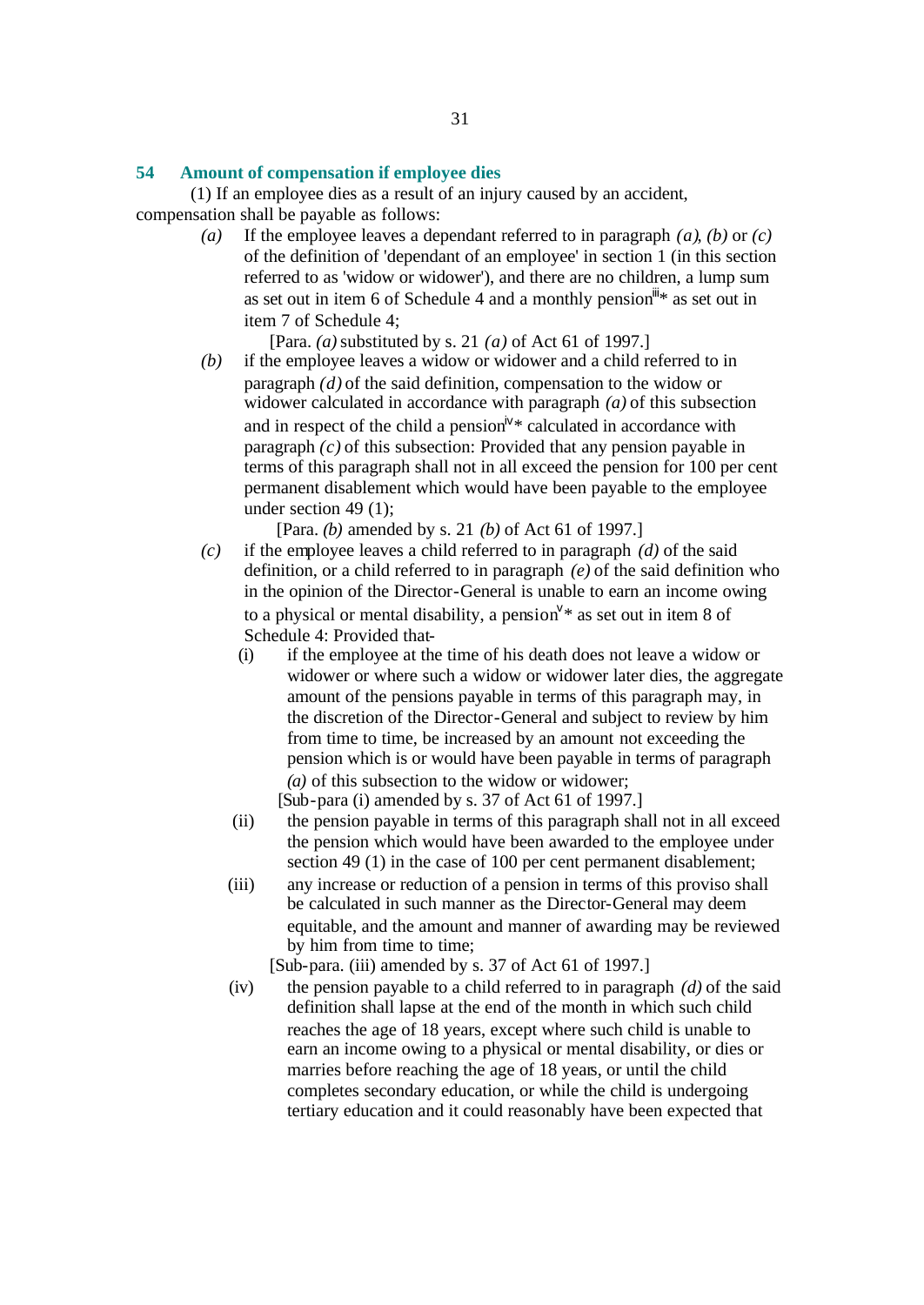#### **54 Amount of compensation if employee dies**

(1) If an employee dies as a result of an injury caused by an accident, compensation shall be payable as follows:

> *(a)* If the employee leaves a dependant referred to in paragraph *(a)*, *(b)* or *(c)* of the definition of 'dependant of an employee' in section 1 (in this section referred to as 'widow or widower'), and there are no children, a lump sum as set out in item 6 of Schedule 4 and a monthly pension  $\mathbb{I}^*$  as set out in item 7 of Schedule 4;

> > [Para. *(a)* substituted by s. 21 *(a)* of Act 61 of 1997.]

*(b)* if the employee leaves a widow or widower and a child referred to in paragraph *(d)* of the said definition, compensation to the widow or widower calculated in accordance with paragraph *(a)* of this subsection and in respect of the child a pension<sup> $iv*$ </sup> calculated in accordance with paragraph *(c)* of this subsection: Provided that any pension payable in terms of this paragraph shall not in all exceed the pension for 100 per cent permanent disablement which would have been payable to the employee under section 49 (1);

[Para. *(b)* amended by s. 21 *(b)* of Act 61 of 1997.]

- *(c)* if the employee leaves a child referred to in paragraph *(d)* of the said definition, or a child referred to in paragraph *(e)* of the said definition who in the opinion of the Director-General is unable to earn an income owing to a physical or mental disability, a pension  $\mathbb{V}^*$  as set out in item 8 of Schedule 4: Provided that-
	- (i) if the employee at the time of his death does not leave a widow or widower or where such a widow or widower later dies, the aggregate amount of the pensions payable in terms of this paragraph may, in the discretion of the Director-General and subject to review by him from time to time, be increased by an amount not exceeding the pension which is or would have been payable in terms of paragraph *(a)* of this subsection to the widow or widower;

[Sub-para (i) amended by s. 37 of Act 61 of 1997.]

- (ii) the pension payable in terms of this paragraph shall not in all exceed the pension which would have been awarded to the employee under section 49 (1) in the case of 100 per cent permanent disablement;
- (iii) any increase or reduction of a pension in terms of this proviso shall be calculated in such manner as the Director-General may deem equitable, and the amount and manner of awarding may be reviewed by him from time to time;

[Sub-para. (iii) amended by s. 37 of Act 61 of 1997.]

(iv) the pension payable to a child referred to in paragraph *(d)* of the said definition shall lapse at the end of the month in which such child reaches the age of 18 years, except where such child is unable to earn an income owing to a physical or mental disability, or dies or marries before reaching the age of 18 years, or until the child completes secondary education, or while the child is undergoing tertiary education and it could reasonably have been expected that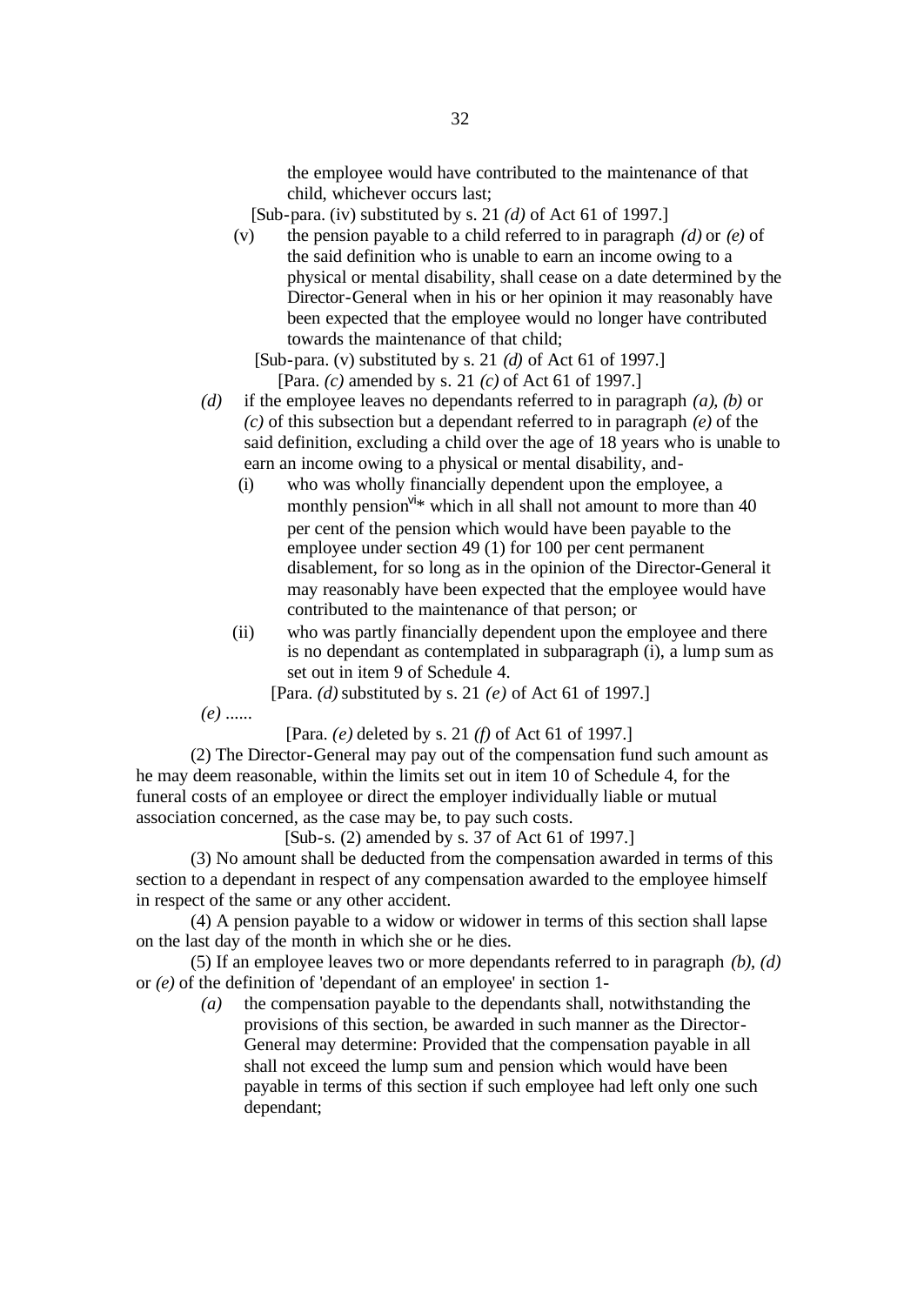the employee would have contributed to the maintenance of that child, whichever occurs last;

- [Sub-para. (iv) substituted by s. 21 *(d)* of Act 61 of 1997.]
- (v) the pension payable to a child referred to in paragraph *(d)* or *(e)* of the said definition who is unable to earn an income owing to a physical or mental disability, shall cease on a date determined by the Director-General when in his or her opinion it may reasonably have been expected that the employee would no longer have contributed towards the maintenance of that child;

[Sub-para. (v) substituted by s. 21 *(d)* of Act 61 of 1997.] [Para. *(c)* amended by s. 21 *(c)* of Act 61 of 1997.]

- *(d)* if the employee leaves no dependants referred to in paragraph *(a)*, *(b)* or *(c)* of this subsection but a dependant referred to in paragraph *(e)* of the said definition, excluding a child over the age of 18 years who is unable to earn an income owing to a physical or mental disability, and-
	- (i) who was wholly financially dependent upon the employee, a monthly pension<sup>vi\*</sup> which in all shall not amount to more than 40 per cent of the pension which would have been payable to the employee under section 49 (1) for 100 per cent permanent disablement, for so long as in the opinion of the Director-General it may reasonably have been expected that the employee would have contributed to the maintenance of that person; or
	- (ii) who was partly financially dependent upon the employee and there is no dependant as contemplated in subparagraph (i), a lump sum as set out in item 9 of Schedule 4.

[Para. *(d)* substituted by s. 21 *(e)* of Act 61 of 1997.]

*(e)* ......

[Para. *(e)* deleted by s. 21 *(f)* of Act 61 of 1997.]

(2) The Director-General may pay out of the compensation fund such amount as he may deem reasonable, within the limits set out in item 10 of Schedule 4, for the funeral costs of an employee or direct the employer individually liable or mutual association concerned, as the case may be, to pay such costs.

[Sub-s. (2) amended by s. 37 of Act 61 of 1997.]

(3) No amount shall be deducted from the compensation awarded in terms of this section to a dependant in respect of any compensation awarded to the employee himself in respect of the same or any other accident.

(4) A pension payable to a widow or widower in terms of this section shall lapse on the last day of the month in which she or he dies.

(5) If an employee leaves two or more dependants referred to in paragraph *(b)*, *(d)* or *(e)* of the definition of 'dependant of an employee' in section 1-

*(a)* the compensation payable to the dependants shall, notwithstanding the provisions of this section, be awarded in such manner as the Director-General may determine: Provided that the compensation payable in all shall not exceed the lump sum and pension which would have been payable in terms of this section if such employee had left only one such dependant;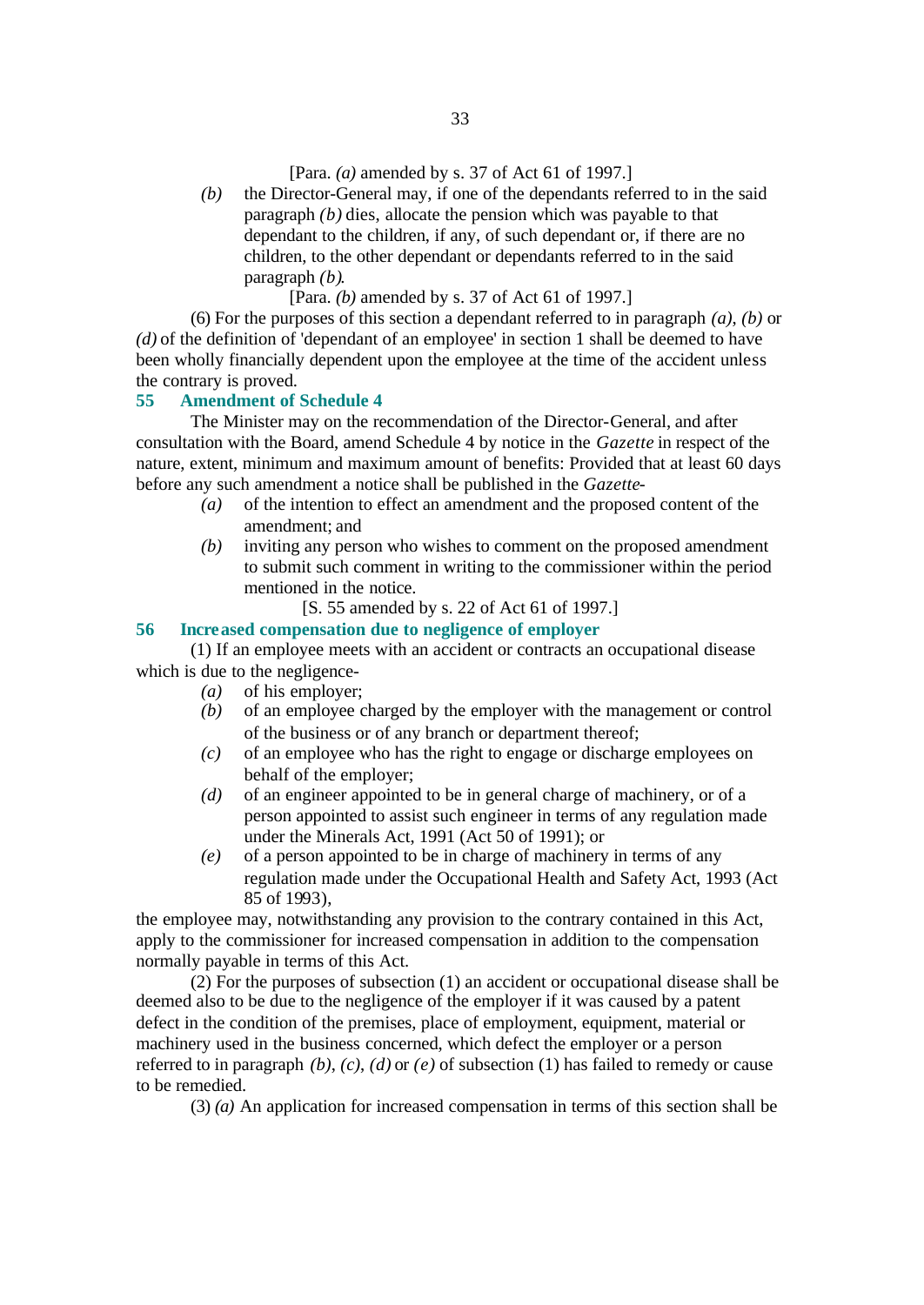[Para. *(a)* amended by s. 37 of Act 61 of 1997.]

*(b)* the Director-General may, if one of the dependants referred to in the said paragraph *(b)* dies, allocate the pension which was payable to that dependant to the children, if any, of such dependant or, if there are no children, to the other dependant or dependants referred to in the said paragraph *(b)*.

[Para. *(b)* amended by s. 37 of Act 61 of 1997.]

(6) For the purposes of this section a dependant referred to in paragraph *(a)*, *(b)* or *(d)* of the definition of 'dependant of an employee' in section 1 shall be deemed to have been wholly financially dependent upon the employee at the time of the accident unless the contrary is proved.

# **55 Amendment of Schedule 4**

The Minister may on the recommendation of the Director-General, and after consultation with the Board, amend Schedule 4 by notice in the *Gazette* in respect of the nature, extent, minimum and maximum amount of benefits: Provided that at least 60 days before any such amendment a notice shall be published in the *Gazette*-

- *(a)* of the intention to effect an amendment and the proposed content of the amendment; and
- *(b)* inviting any person who wishes to comment on the proposed amendment to submit such comment in writing to the commissioner within the period mentioned in the notice.
	- [S. 55 amended by s. 22 of Act 61 of 1997.]

# **56 Increased compensation due to negligence of employer**

(1) If an employee meets with an accident or contracts an occupational disease which is due to the negligence-

- *(a)* of his employer;
- *(b)* of an employee charged by the employer with the management or control of the business or of any branch or department thereof;
- *(c)* of an employee who has the right to engage or discharge employees on behalf of the employer;
- *(d)* of an engineer appointed to be in general charge of machinery, or of a person appointed to assist such engineer in terms of any regulation made under the Minerals Act, 1991 (Act 50 of 1991); or
- *(e)* of a person appointed to be in charge of machinery in terms of any regulation made under the Occupational Health and Safety Act, 1993 (Act 85 of 1993),

the employee may, notwithstanding any provision to the contrary contained in this Act, apply to the commissioner for increased compensation in addition to the compensation normally payable in terms of this Act.

(2) For the purposes of subsection (1) an accident or occupational disease shall be deemed also to be due to the negligence of the employer if it was caused by a patent defect in the condition of the premises, place of employment, equipment, material or machinery used in the business concerned, which defect the employer or a person referred to in paragraph *(b)*, *(c)*, *(d)* or *(e)* of subsection (1) has failed to remedy or cause to be remedied.

(3) *(a)* An application for increased compensation in terms of this section shall be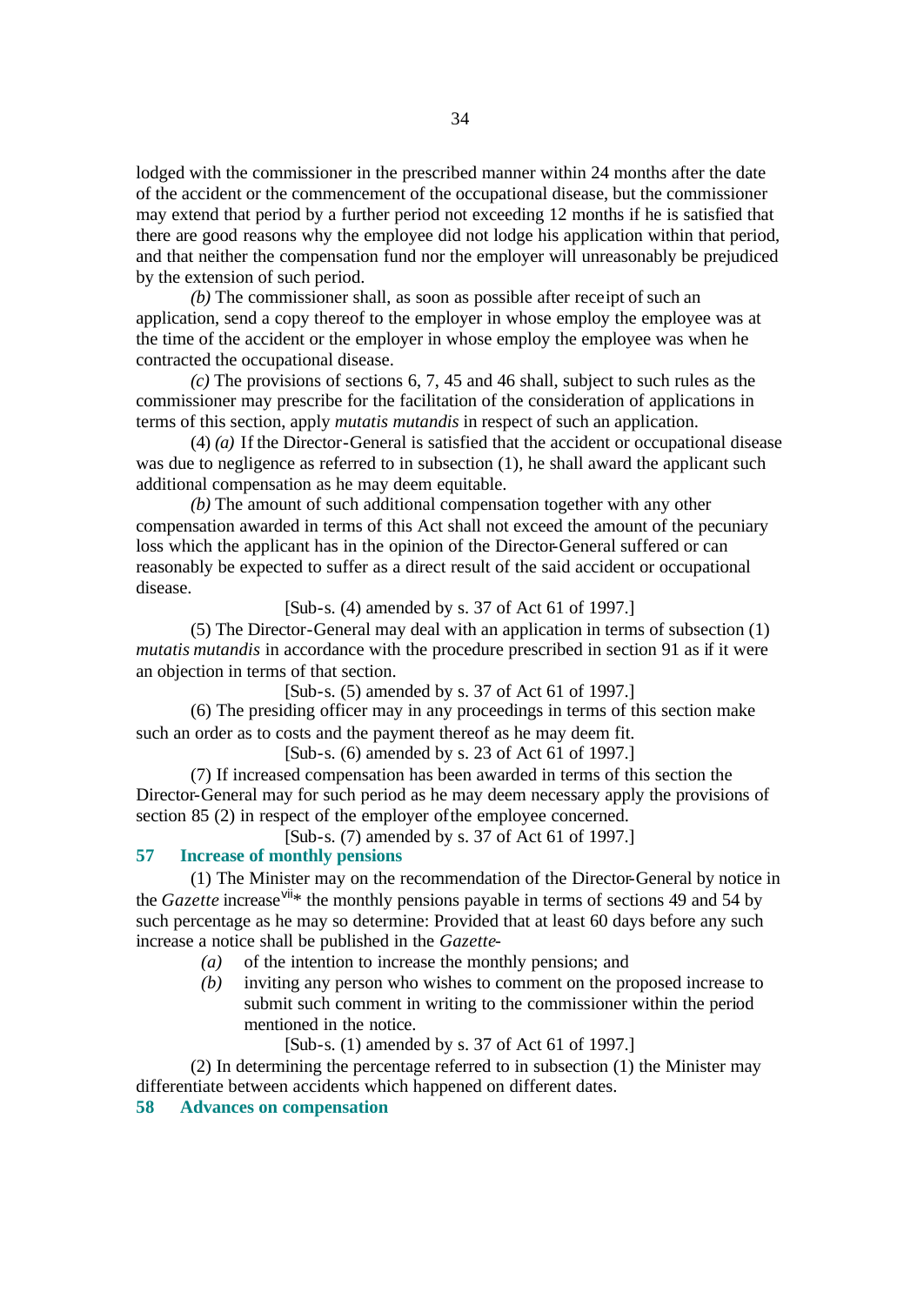lodged with the commissioner in the prescribed manner within 24 months after the date of the accident or the commencement of the occupational disease, but the commissioner may extend that period by a further period not exceeding 12 months if he is satisfied that there are good reasons why the employee did not lodge his application within that period, and that neither the compensation fund nor the employer will unreasonably be prejudiced by the extension of such period.

*(b)* The commissioner shall, as soon as possible after receipt of such an application, send a copy thereof to the employer in whose employ the employee was at the time of the accident or the employer in whose employ the employee was when he contracted the occupational disease.

*(c)* The provisions of sections 6, 7, 45 and 46 shall, subject to such rules as the commissioner may prescribe for the facilitation of the consideration of applications in terms of this section, apply *mutatis mutandis* in respect of such an application.

(4) *(a)* If the Director-General is satisfied that the accident or occupational disease was due to negligence as referred to in subsection (1), he shall award the applicant such additional compensation as he may deem equitable.

*(b)* The amount of such additional compensation together with any other compensation awarded in terms of this Act shall not exceed the amount of the pecuniary loss which the applicant has in the opinion of the Director-General suffered or can reasonably be expected to suffer as a direct result of the said accident or occupational disease.

#### [Sub-s. (4) amended by s. 37 of Act 61 of 1997.]

(5) The Director-General may deal with an application in terms of subsection (1) *mutatis mutandis* in accordance with the procedure prescribed in section 91 as if it were an objection in terms of that section.

[Sub-s. (5) amended by s. 37 of Act 61 of 1997.]

(6) The presiding officer may in any proceedings in terms of this section make such an order as to costs and the payment thereof as he may deem fit.

[Sub-s. (6) amended by s. 23 of Act 61 of 1997.]

(7) If increased compensation has been awarded in terms of this section the Director-General may for such period as he may deem necessary apply the provisions of section 85 (2) in respect of the employer of the employee concerned.

[Sub-s. (7) amended by s. 37 of Act 61 of 1997.]

# **57 Increase of monthly pensions**

(1) The Minister may on the recommendation of the Director-General by notice in the *Gazette* increase<sup>vii\*</sup> the monthly pensions payable in terms of sections 49 and 54 by such percentage as he may so determine: Provided that at least 60 days before any such increase a notice shall be published in the *Gazette*-

- *(a)* of the intention to increase the monthly pensions; and
- *(b)* inviting any person who wishes to comment on the proposed increase to submit such comment in writing to the commissioner within the period mentioned in the notice.

[Sub-s. (1) amended by s. 37 of Act 61 of 1997.]

(2) In determining the percentage referred to in subsection (1) the Minister may differentiate between accidents which happened on different dates.

**58 Advances on compensation**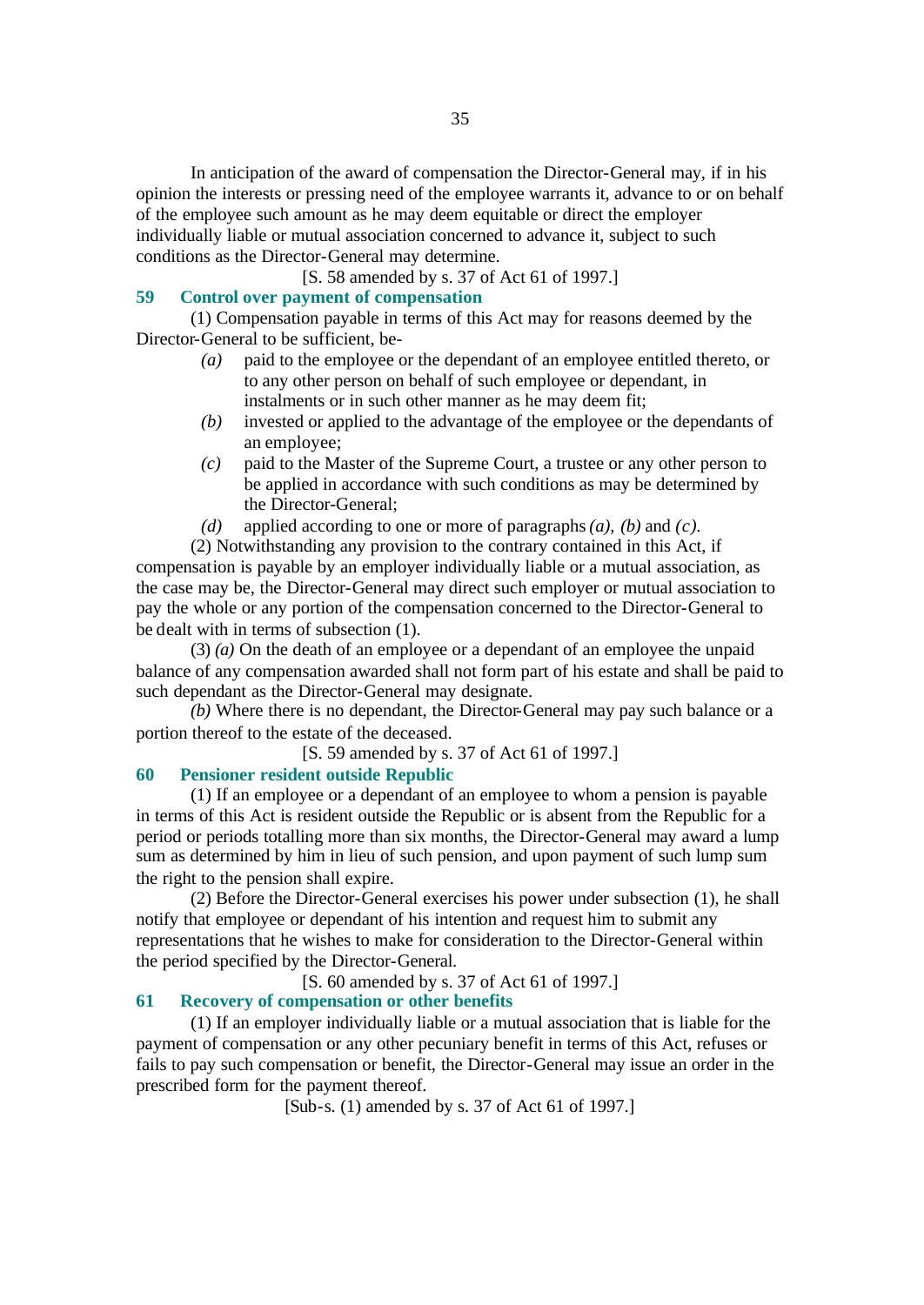In anticipation of the award of compensation the Director-General may, if in his opinion the interests or pressing need of the employee warrants it, advance to or on behalf of the employee such amount as he may deem equitable or direct the employer individually liable or mutual association concerned to advance it, subject to such conditions as the Director-General may determine.

[S. 58 amended by s. 37 of Act 61 of 1997.]

# **59 Control over payment of compensation**

(1) Compensation payable in terms of this Act may for reasons deemed by the Director-General to be sufficient, be-

- *(a)* paid to the employee or the dependant of an employee entitled thereto, or to any other person on behalf of such employee or dependant, in instalments or in such other manner as he may deem fit;
- *(b)* invested or applied to the advantage of the employee or the dependants of an employee;
- *(c)* paid to the Master of the Supreme Court, a trustee or any other person to be applied in accordance with such conditions as may be determined by the Director-General;
- *(d)* applied according to one or more of paragraphs *(a)*, *(b)* and *(c)*.

(2) Notwithstanding any provision to the contrary contained in this Act, if compensation is payable by an employer individually liable or a mutual association, as the case may be, the Director-General may direct such employer or mutual association to pay the whole or any portion of the compensation concerned to the Director-General to be dealt with in terms of subsection (1).

(3) *(a)* On the death of an employee or a dependant of an employee the unpaid balance of any compensation awarded shall not form part of his estate and shall be paid to such dependant as the Director-General may designate.

*(b)* Where there is no dependant, the Director-General may pay such balance or a portion thereof to the estate of the deceased.

[S. 59 amended by s. 37 of Act 61 of 1997.]

# **60 Pensioner resident outside Republic**

(1) If an employee or a dependant of an employee to whom a pension is payable in terms of this Act is resident outside the Republic or is absent from the Republic for a period or periods totalling more than six months, the Director-General may award a lump sum as determined by him in lieu of such pension, and upon payment of such lump sum the right to the pension shall expire.

(2) Before the Director-General exercises his power under subsection (1), he shall notify that employee or dependant of his intention and request him to submit any representations that he wishes to make for consideration to the Director-General within the period specified by the Director-General.

[S. 60 amended by s. 37 of Act 61 of 1997.]

# **61 Recovery of compensation or other benefits**

(1) If an employer individually liable or a mutual association that is liable for the payment of compensation or any other pecuniary benefit in terms of this Act, refuses or fails to pay such compensation or benefit, the Director-General may issue an order in the prescribed form for the payment thereof.

[Sub-s. (1) amended by s. 37 of Act 61 of 1997.]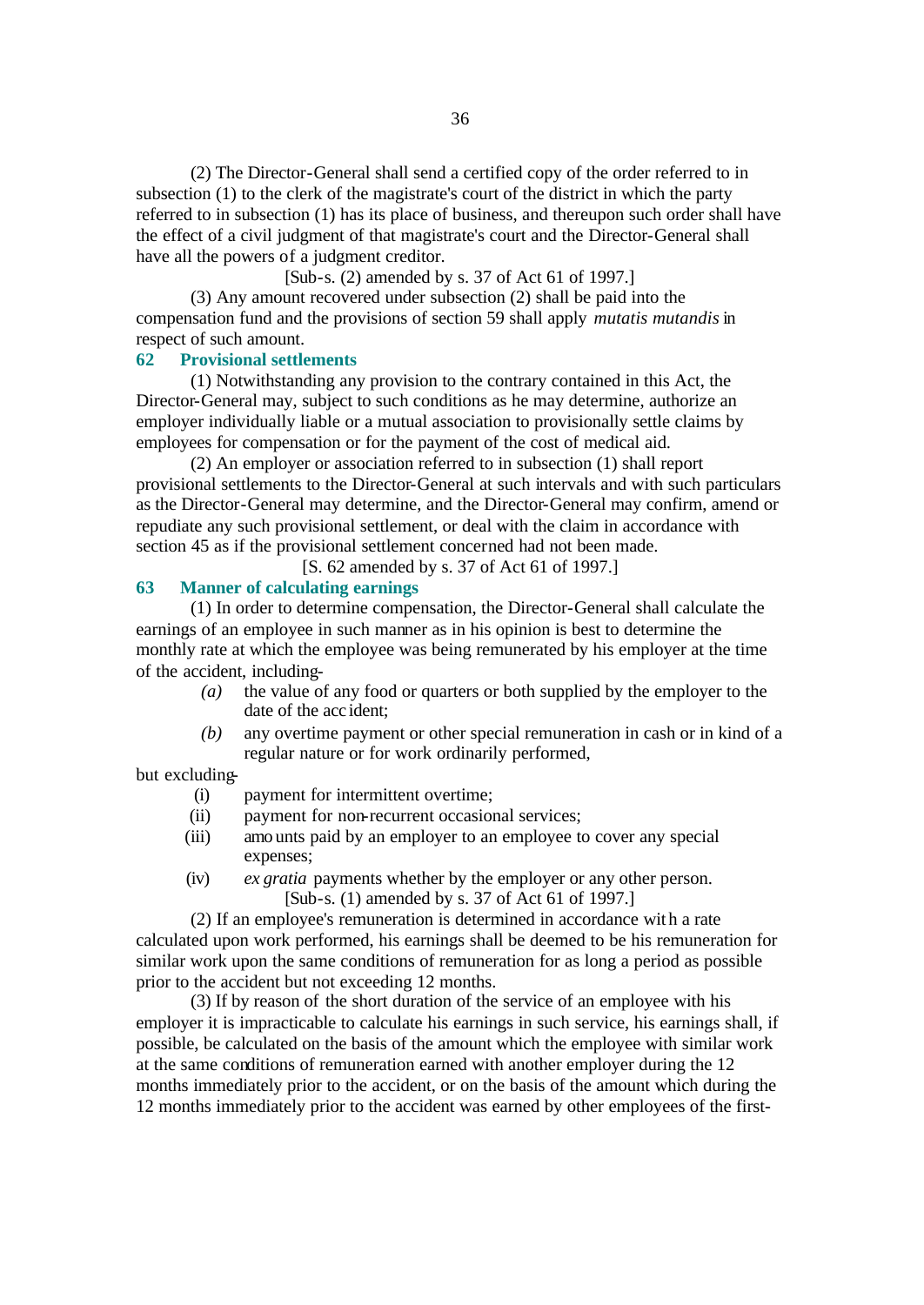(2) The Director-General shall send a certified copy of the order referred to in subsection (1) to the clerk of the magistrate's court of the district in which the party referred to in subsection (1) has its place of business, and thereupon such order shall have the effect of a civil judgment of that magistrate's court and the Director-General shall have all the powers of a judgment creditor.

[Sub-s. (2) amended by s. 37 of Act 61 of 1997.]

(3) Any amount recovered under subsection (2) shall be paid into the compensation fund and the provisions of section 59 shall apply *mutatis mutandis* in respect of such amount.

# **62 Provisional settlements**

(1) Notwithstanding any provision to the contrary contained in this Act, the Director-General may, subject to such conditions as he may determine, authorize an employer individually liable or a mutual association to provisionally settle claims by employees for compensation or for the payment of the cost of medical aid.

(2) An employer or association referred to in subsection (1) shall report provisional settlements to the Director-General at such intervals and with such particulars as the Director-General may determine, and the Director-General may confirm, amend or repudiate any such provisional settlement, or deal with the claim in accordance with section 45 as if the provisional settlement concerned had not been made.

[S. 62 amended by s. 37 of Act 61 of 1997.]

# **63 Manner of calculating earnings**

(1) In order to determine compensation, the Director-General shall calculate the earnings of an employee in such manner as in his opinion is best to determine the monthly rate at which the employee was being remunerated by his employer at the time of the accident, including-

- *(a)* the value of any food or quarters or both supplied by the employer to the date of the acc ident;
- *(b)* any overtime payment or other special remuneration in cash or in kind of a regular nature or for work ordinarily performed,

but excluding-

- (i) payment for intermittent overtime;
- (ii) payment for non-recurrent occasional services;
- (iii) amo unts paid by an employer to an employee to cover any special expenses;
- (iv) *ex gratia* payments whether by the employer or any other person. [Sub-s. (1) amended by s. 37 of Act 61 of 1997.]

(2) If an employee's remuneration is determined in accordance with a rate calculated upon work performed, his earnings shall be deemed to be his remuneration for similar work upon the same conditions of remuneration for as long a period as possible prior to the accident but not exceeding 12 months.

(3) If by reason of the short duration of the service of an employee with his employer it is impracticable to calculate his earnings in such service, his earnings shall, if possible, be calculated on the basis of the amount which the employee with similar work at the same conditions of remuneration earned with another employer during the 12 months immediately prior to the accident, or on the basis of the amount which during the 12 months immediately prior to the accident was earned by other employees of the first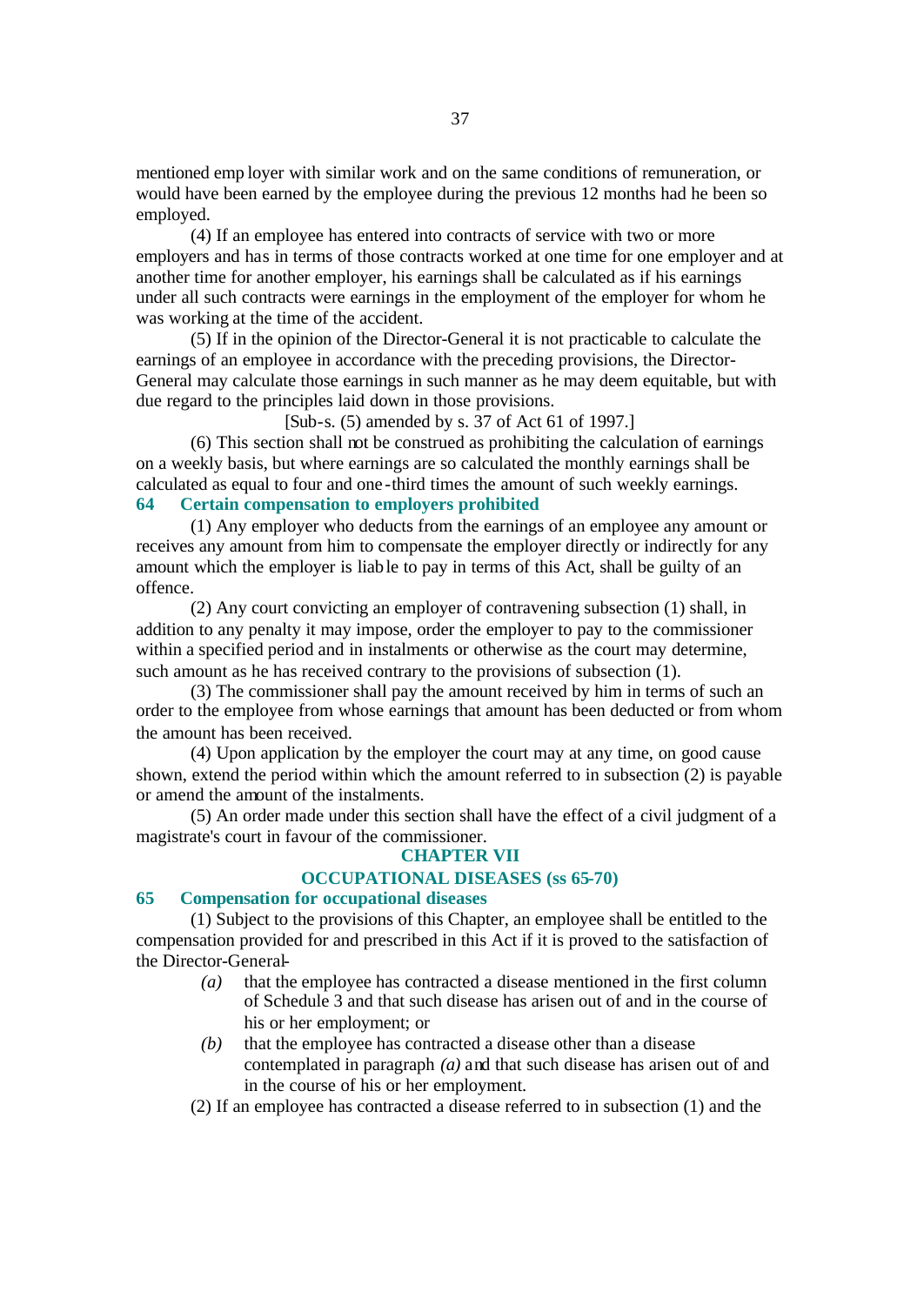mentioned emp loyer with similar work and on the same conditions of remuneration, or would have been earned by the employee during the previous 12 months had he been so employed.

(4) If an employee has entered into contracts of service with two or more employers and has in terms of those contracts worked at one time for one employer and at another time for another employer, his earnings shall be calculated as if his earnings under all such contracts were earnings in the employment of the employer for whom he was working at the time of the accident.

(5) If in the opinion of the Director-General it is not practicable to calculate the earnings of an employee in accordance with the preceding provisions, the Director-General may calculate those earnings in such manner as he may deem equitable, but with due regard to the principles laid down in those provisions.

[Sub-s. (5) amended by s. 37 of Act 61 of 1997.]

(6) This section shall not be construed as prohibiting the calculation of earnings on a weekly basis, but where earnings are so calculated the monthly earnings shall be calculated as equal to four and one -third times the amount of such weekly earnings. **64 Certain compensation to employers prohibited**

(1) Any employer who deducts from the earnings of an employee any amount or receives any amount from him to compensate the employer directly or indirectly for any amount which the employer is liable to pay in terms of this Act, shall be guilty of an offence.

(2) Any court convicting an employer of contravening subsection (1) shall, in addition to any penalty it may impose, order the employer to pay to the commissioner within a specified period and in instalments or otherwise as the court may determine, such amount as he has received contrary to the provisions of subsection (1).

(3) The commissioner shall pay the amount received by him in terms of such an order to the employee from whose earnings that amount has been deducted or from whom the amount has been received.

(4) Upon application by the employer the court may at any time, on good cause shown, extend the period within which the amount referred to in subsection (2) is payable or amend the amount of the instalments.

(5) An order made under this section shall have the effect of a civil judgment of a magistrate's court in favour of the commissioner.

### **CHAPTER VII**

# **OCCUPATIONAL DISEASES (ss 65-70)**

## **65 Compensation for occupational diseases**

(1) Subject to the provisions of this Chapter, an employee shall be entitled to the compensation provided for and prescribed in this Act if it is proved to the satisfaction of the Director-General-

- *(a)* that the employee has contracted a disease mentioned in the first column of Schedule 3 and that such disease has arisen out of and in the course of his or her employment; or
- *(b)* that the employee has contracted a disease other than a disease contemplated in paragraph *(a)* and that such disease has arisen out of and in the course of his or her employment.
- (2) If an employee has contracted a disease referred to in subsection (1) and the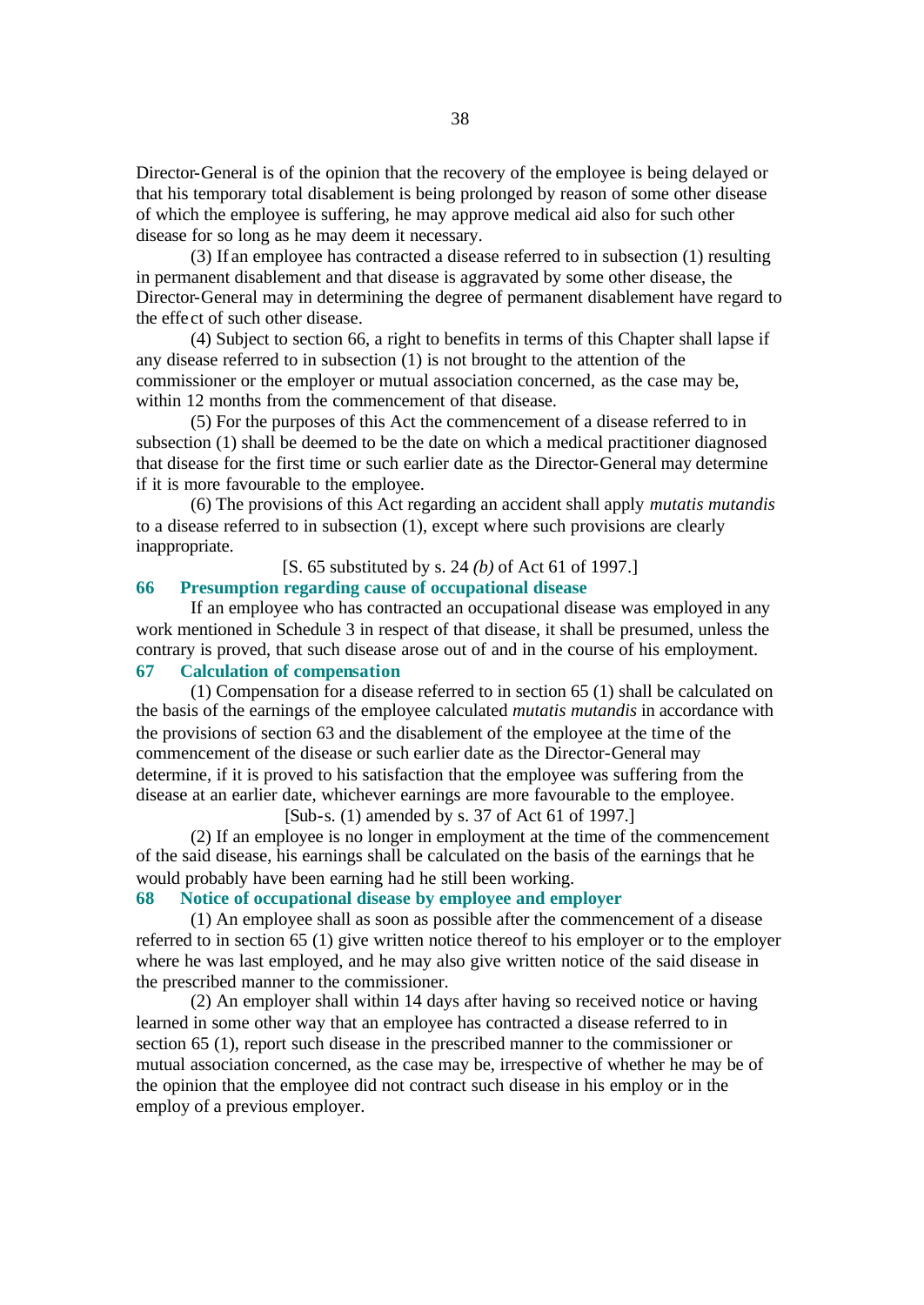Director-General is of the opinion that the recovery of the employee is being delayed or that his temporary total disablement is being prolonged by reason of some other disease of which the employee is suffering, he may approve medical aid also for such other disease for so long as he may deem it necessary.

(3) If an employee has contracted a disease referred to in subsection (1) resulting in permanent disablement and that disease is aggravated by some other disease, the Director-General may in determining the degree of permanent disablement have regard to the effect of such other disease.

(4) Subject to section 66, a right to benefits in terms of this Chapter shall lapse if any disease referred to in subsection (1) is not brought to the attention of the commissioner or the employer or mutual association concerned, as the case may be, within 12 months from the commencement of that disease.

(5) For the purposes of this Act the commencement of a disease referred to in subsection (1) shall be deemed to be the date on which a medical practitioner diagnosed that disease for the first time or such earlier date as the Director-General may determine if it is more favourable to the employee.

(6) The provisions of this Act regarding an accident shall apply *mutatis mutandis* to a disease referred to in subsection (1), except where such provisions are clearly inappropriate.

[S. 65 substituted by s. 24 *(b)* of Act 61 of 1997.]

# **66 Presumption regarding cause of occupational disease**

If an employee who has contracted an occupational disease was employed in any work mentioned in Schedule 3 in respect of that disease, it shall be presumed, unless the contrary is proved, that such disease arose out of and in the course of his employment. **67 Calculation of compensation**

(1) Compensation for a disease referred to in section 65 (1) shall be calculated on the basis of the earnings of the employee calculated *mutatis mutandis* in accordance with the provisions of section 63 and the disablement of the employee at the time of the commencement of the disease or such earlier date as the Director-General may determine, if it is proved to his satisfaction that the employee was suffering from the disease at an earlier date, whichever earnings are more favourable to the employee.

[Sub-s. (1) amended by s. 37 of Act 61 of 1997.]

(2) If an employee is no longer in employment at the time of the commencement of the said disease, his earnings shall be calculated on the basis of the earnings that he would probably have been earning had he still been working.

# **68 Notice of occupational disease by employee and employer**

(1) An employee shall as soon as possible after the commencement of a disease referred to in section 65 (1) give written notice thereof to his employer or to the employer where he was last employed, and he may also give written notice of the said disease in the prescribed manner to the commissioner.

(2) An employer shall within 14 days after having so received notice or having learned in some other way that an employee has contracted a disease referred to in section 65 (1), report such disease in the prescribed manner to the commissioner or mutual association concerned, as the case may be, irrespective of whether he may be of the opinion that the employee did not contract such disease in his employ or in the employ of a previous employer.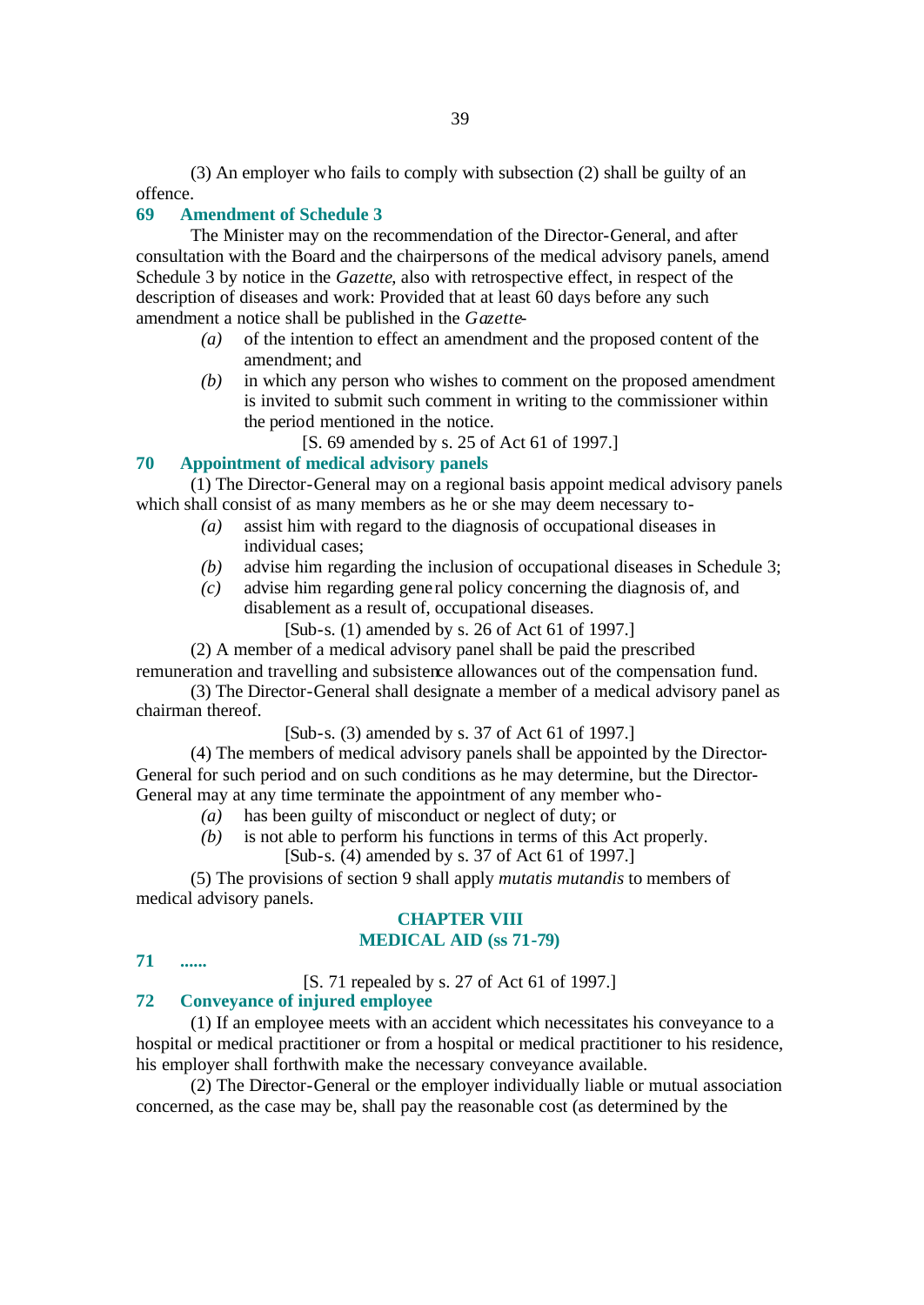(3) An employer who fails to comply with subsection (2) shall be guilty of an offence.

## **69 Amendment of Schedule 3**

The Minister may on the recommendation of the Director-General, and after consultation with the Board and the chairpersons of the medical advisory panels, amend Schedule 3 by notice in the *Gazette*, also with retrospective effect, in respect of the description of diseases and work: Provided that at least 60 days before any such amendment a notice shall be published in the *Gazette*-

- *(a)* of the intention to effect an amendment and the proposed content of the amendment; and
- *(b)* in which any person who wishes to comment on the proposed amendment is invited to submit such comment in writing to the commissioner within the period mentioned in the notice.
	- [S. 69 amended by s. 25 of Act 61 of 1997.]

#### **70 Appointment of medical advisory panels**

(1) The Director-General may on a regional basis appoint medical advisory panels which shall consist of as many members as he or she may deem necessary to-

- *(a)* assist him with regard to the diagnosis of occupational diseases in individual cases;
- *(b)* advise him regarding the inclusion of occupational diseases in Schedule 3;
- *(c)* advise him regarding gene ral policy concerning the diagnosis of, and disablement as a result of, occupational diseases.

[Sub-s. (1) amended by s. 26 of Act 61 of 1997.]

(2) A member of a medical advisory panel shall be paid the prescribed

remuneration and travelling and subsistence allowances out of the compensation fund. (3) The Director-General shall designate a member of a medical advisory panel as

chairman thereof.

[Sub-s. (3) amended by s. 37 of Act 61 of 1997.]

(4) The members of medical advisory panels shall be appointed by the Director-General for such period and on such conditions as he may determine, but the Director-General may at any time terminate the appointment of any member who-

- *(a)* has been guilty of misconduct or neglect of duty; or
- *(b)* is not able to perform his functions in terms of this Act properly.

[Sub-s. (4) amended by s. 37 of Act 61 of 1997.]

(5) The provisions of section 9 shall apply *mutatis mutandis* to members of medical advisory panels.

# **CHAPTER VIII MEDICAL AID (ss 71-79)**

```
71 ......
```
[S. 71 repealed by s. 27 of Act 61 of 1997.]

# **72 Conveyance of injured employee**

(1) If an employee meets with an accident which necessitates his conveyance to a hospital or medical practitioner or from a hospital or medical practitioner to his residence, his employer shall forthwith make the necessary conveyance available.

(2) The Director-General or the employer individually liable or mutual association concerned, as the case may be, shall pay the reasonable cost (as determined by the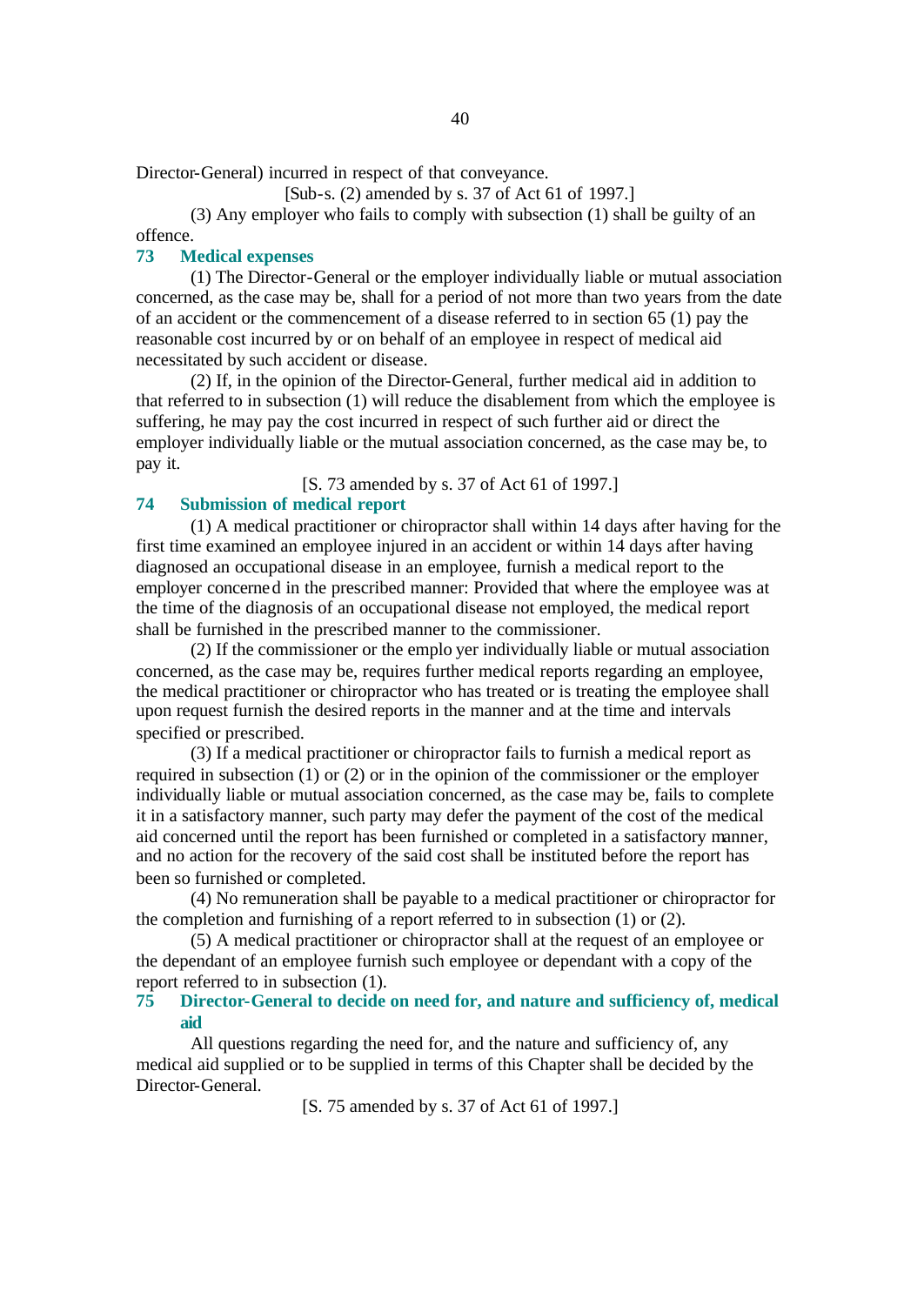Director-General) incurred in respect of that conveyance.

[Sub-s. (2) amended by s. 37 of Act 61 of 1997.]

(3) Any employer who fails to comply with subsection (1) shall be guilty of an offence.

## **73 Medical expenses**

(1) The Director-General or the employer individually liable or mutual association concerned, as the case may be, shall for a period of not more than two years from the date of an accident or the commencement of a disease referred to in section 65 (1) pay the reasonable cost incurred by or on behalf of an employee in respect of medical aid necessitated by such accident or disease.

(2) If, in the opinion of the Director-General, further medical aid in addition to that referred to in subsection (1) will reduce the disablement from which the employee is suffering, he may pay the cost incurred in respect of such further aid or direct the employer individually liable or the mutual association concerned, as the case may be, to pay it.

[S. 73 amended by s. 37 of Act 61 of 1997.]

# **74 Submission of medical report**

(1) A medical practitioner or chiropractor shall within 14 days after having for the first time examined an employee injured in an accident or within 14 days after having diagnosed an occupational disease in an employee, furnish a medical report to the employer concerned in the prescribed manner: Provided that where the employee was at the time of the diagnosis of an occupational disease not employed, the medical report shall be furnished in the prescribed manner to the commissioner.

(2) If the commissioner or the emplo yer individually liable or mutual association concerned, as the case may be, requires further medical reports regarding an employee, the medical practitioner or chiropractor who has treated or is treating the employee shall upon request furnish the desired reports in the manner and at the time and intervals specified or prescribed.

(3) If a medical practitioner or chiropractor fails to furnish a medical report as required in subsection (1) or (2) or in the opinion of the commissioner or the employer individually liable or mutual association concerned, as the case may be, fails to complete it in a satisfactory manner, such party may defer the payment of the cost of the medical aid concerned until the report has been furnished or completed in a satisfactory manner, and no action for the recovery of the said cost shall be instituted before the report has been so furnished or completed.

(4) No remuneration shall be payable to a medical practitioner or chiropractor for the completion and furnishing of a report referred to in subsection (1) or (2).

(5) A medical practitioner or chiropractor shall at the request of an employee or the dependant of an employee furnish such employee or dependant with a copy of the report referred to in subsection (1).

# **75 Director-General to decide on need for, and nature and sufficiency of, medical aid**

All questions regarding the need for, and the nature and sufficiency of, any medical aid supplied or to be supplied in terms of this Chapter shall be decided by the Director-General.

[S. 75 amended by s. 37 of Act 61 of 1997.]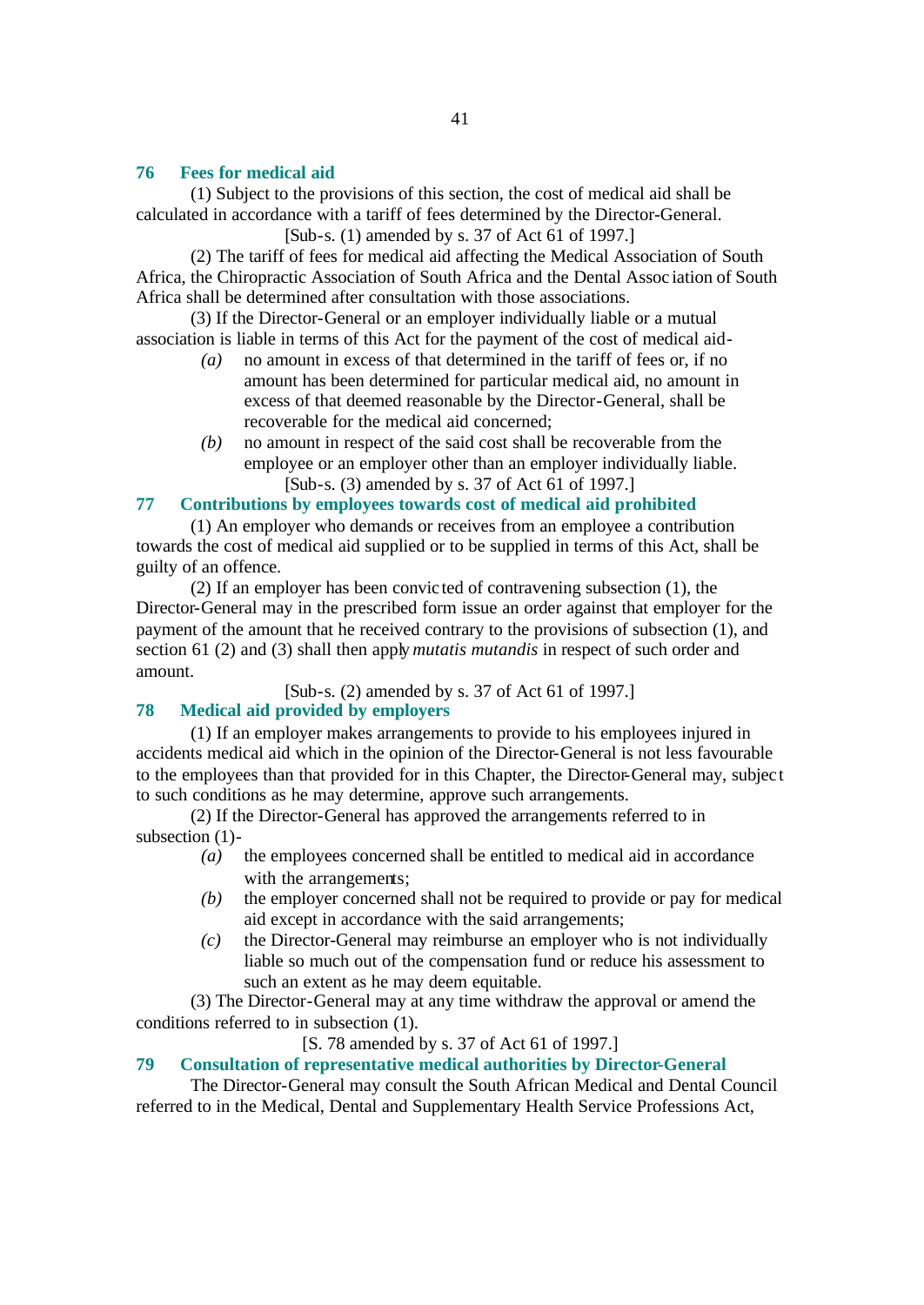# **76 Fees for medical aid**

(1) Subject to the provisions of this section, the cost of medical aid shall be calculated in accordance with a tariff of fees determined by the Director-General.

[Sub-s. (1) amended by s. 37 of Act 61 of 1997.]

(2) The tariff of fees for medical aid affecting the Medical Association of South Africa, the Chiropractic Association of South Africa and the Dental Assoc iation of South Africa shall be determined after consultation with those associations.

(3) If the Director-General or an employer individually liable or a mutual association is liable in terms of this Act for the payment of the cost of medical aid-

- *(a)* no amount in excess of that determined in the tariff of fees or, if no amount has been determined for particular medical aid, no amount in excess of that deemed reasonable by the Director-General, shall be recoverable for the medical aid concerned;
- *(b)* no amount in respect of the said cost shall be recoverable from the employee or an employer other than an employer individually liable. [Sub-s. (3) amended by s. 37 of Act 61 of 1997.]

# **77 Contributions by employees towards cost of medical aid prohibited**

(1) An employer who demands or receives from an employee a contribution towards the cost of medical aid supplied or to be supplied in terms of this Act, shall be guilty of an offence.

(2) If an employer has been convic ted of contravening subsection (1), the Director-General may in the prescribed form issue an order against that employer for the payment of the amount that he received contrary to the provisions of subsection (1), and section 61 (2) and (3) shall then apply *mutatis mutandis* in respect of such order and amount.

[Sub-s. (2) amended by s. 37 of Act 61 of 1997.]

# **78 Medical aid provided by employers**

(1) If an employer makes arrangements to provide to his employees injured in accidents medical aid which in the opinion of the Director-General is not less favourable to the employees than that provided for in this Chapter, the Director-General may, subjec t to such conditions as he may determine, approve such arrangements.

(2) If the Director-General has approved the arrangements referred to in subsection (1)-

- *(a)* the employees concerned shall be entitled to medical aid in accordance with the arrangements:
- *(b)* the employer concerned shall not be required to provide or pay for medical aid except in accordance with the said arrangements;
- *(c)* the Director-General may reimburse an employer who is not individually liable so much out of the compensation fund or reduce his assessment to such an extent as he may deem equitable.

(3) The Director-General may at any time withdraw the approval or amend the conditions referred to in subsection (1).

[S. 78 amended by s. 37 of Act 61 of 1997.]

# **79 Consultation of representative medical authorities by Director-General**

The Director-General may consult the South African Medical and Dental Council referred to in the Medical, Dental and Supplementary Health Service Professions Act,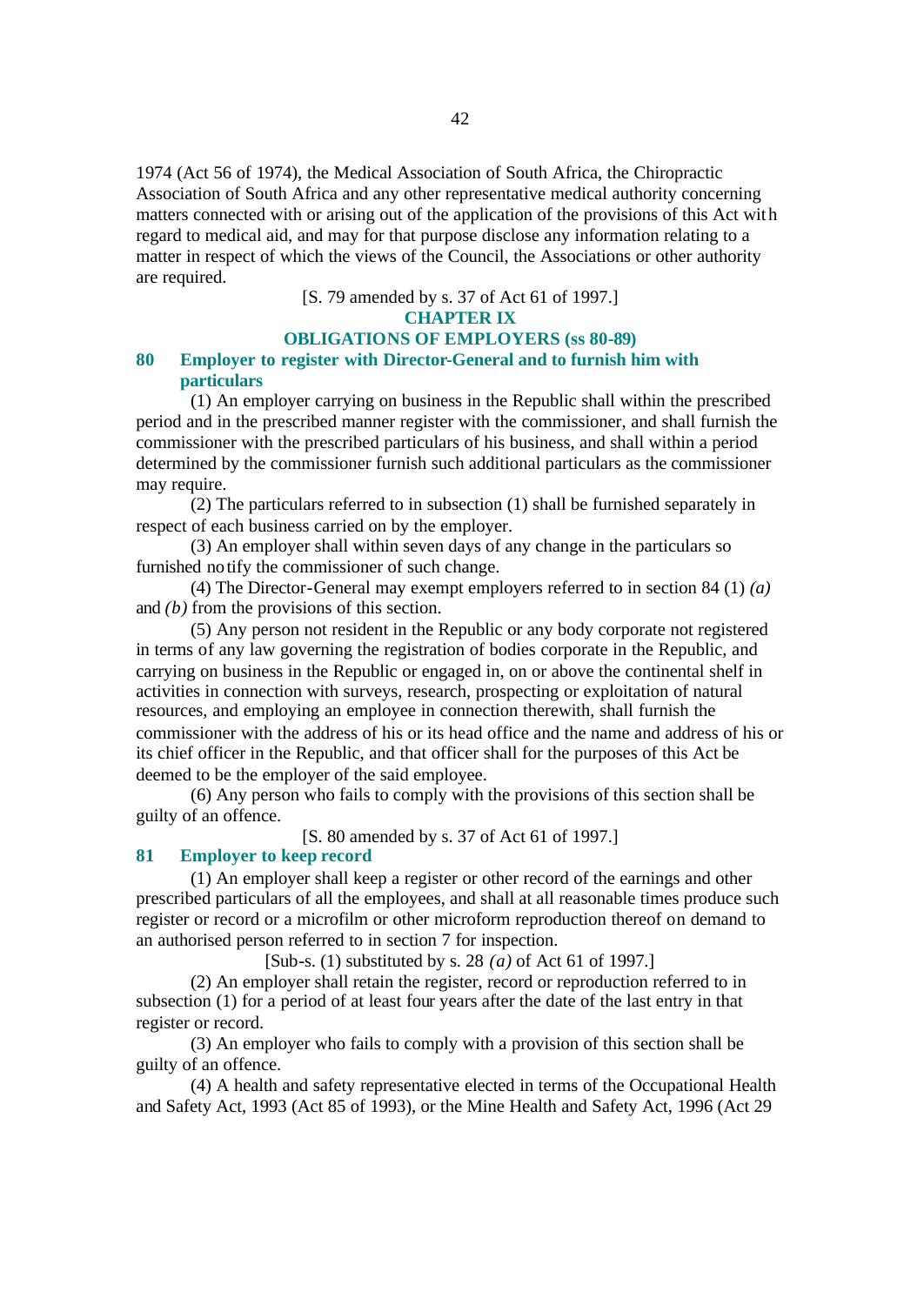1974 (Act 56 of 1974), the Medical Association of South Africa, the Chiropractic Association of South Africa and any other representative medical authority concerning matters connected with or arising out of the application of the provisions of this Act with regard to medical aid, and may for that purpose disclose any information relating to a matter in respect of which the views of the Council, the Associations or other authority are required.

[S. 79 amended by s. 37 of Act 61 of 1997.]

**CHAPTER IX**

# **OBLIGATIONS OF EMPLOYERS (ss 80-89)**

# **80 Employer to register with Director-General and to furnish him with particulars**

(1) An employer carrying on business in the Republic shall within the prescribed period and in the prescribed manner register with the commissioner, and shall furnish the commissioner with the prescribed particulars of his business, and shall within a period determined by the commissioner furnish such additional particulars as the commissioner may require.

(2) The particulars referred to in subsection (1) shall be furnished separately in respect of each business carried on by the employer.

(3) An employer shall within seven days of any change in the particulars so furnished notify the commissioner of such change.

(4) The Director-General may exempt employers referred to in section 84 (1) *(a)* and *(b)* from the provisions of this section.

(5) Any person not resident in the Republic or any body corporate not registered in terms of any law governing the registration of bodies corporate in the Republic, and carrying on business in the Republic or engaged in, on or above the continental shelf in activities in connection with surveys, research, prospecting or exploitation of natural resources, and employing an employee in connection therewith, shall furnish the commissioner with the address of his or its head office and the name and address of his or its chief officer in the Republic, and that officer shall for the purposes of this Act be deemed to be the employer of the said employee.

(6) Any person who fails to comply with the provisions of this section shall be guilty of an offence.

[S. 80 amended by s. 37 of Act 61 of 1997.]

### **81 Employer to keep record**

(1) An employer shall keep a register or other record of the earnings and other prescribed particulars of all the employees, and shall at all reasonable times produce such register or record or a microfilm or other microform reproduction thereof on demand to an authorised person referred to in section 7 for inspection.

[Sub-s. (1) substituted by s. 28 *(a)* of Act 61 of 1997.]

(2) An employer shall retain the register, record or reproduction referred to in subsection (1) for a period of at least four years after the date of the last entry in that register or record.

(3) An employer who fails to comply with a provision of this section shall be guilty of an offence.

(4) A health and safety representative elected in terms of the Occupational Health and Safety Act, 1993 (Act 85 of 1993), or the Mine Health and Safety Act, 1996 (Act 29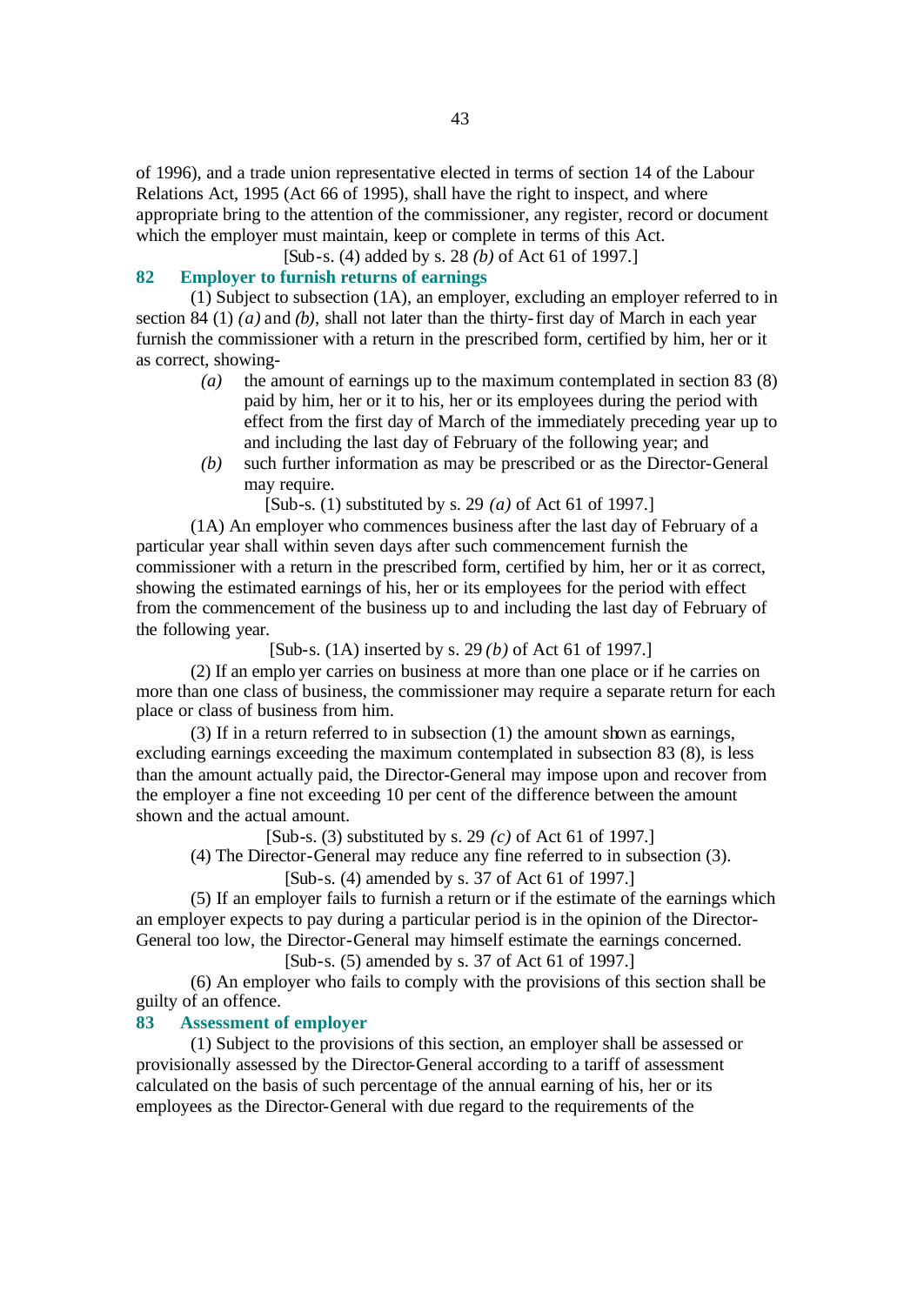of 1996), and a trade union representative elected in terms of section 14 of the Labour Relations Act, 1995 (Act 66 of 1995), shall have the right to inspect, and where appropriate bring to the attention of the commissioner, any register, record or document which the employer must maintain, keep or complete in terms of this Act.

[Sub-s. (4) added by s. 28 *(b)* of Act 61 of 1997.]

# **82 Employer to furnish returns of earnings**

(1) Subject to subsection (1A), an employer, excluding an employer referred to in section 84 (1) *(a)* and *(b)*, shall not later than the thirty-first day of March in each year furnish the commissioner with a return in the prescribed form, certified by him, her or it as correct, showing-

- *(a)* the amount of earnings up to the maximum contemplated in section 83 (8) paid by him, her or it to his, her or its employees during the period with effect from the first day of March of the immediately preceding year up to and including the last day of February of the following year; and
- *(b)* such further information as may be prescribed or as the Director-General may require.

[Sub-s. (1) substituted by s. 29 *(a)* of Act 61 of 1997.]

(1A) An employer who commences business after the last day of February of a particular year shall within seven days after such commencement furnish the commissioner with a return in the prescribed form, certified by him, her or it as correct, showing the estimated earnings of his, her or its employees for the period with effect from the commencement of the business up to and including the last day of February of the following year.

[Sub-s. (1A) inserted by s. 29 *(b)* of Act 61 of 1997.]

(2) If an emplo yer carries on business at more than one place or if he carries on more than one class of business, the commissioner may require a separate return for each place or class of business from him.

(3) If in a return referred to in subsection (1) the amount shown as earnings, excluding earnings exceeding the maximum contemplated in subsection 83 (8), is less than the amount actually paid, the Director-General may impose upon and recover from the employer a fine not exceeding 10 per cent of the difference between the amount shown and the actual amount.

[Sub-s. (3) substituted by s. 29 *(c)* of Act 61 of 1997.]

(4) The Director-General may reduce any fine referred to in subsection (3).

[Sub-s. (4) amended by s. 37 of Act 61 of 1997.]

(5) If an employer fails to furnish a return or if the estimate of the earnings which an employer expects to pay during a particular period is in the opinion of the Director-General too low, the Director-General may himself estimate the earnings concerned.

[Sub-s. (5) amended by s. 37 of Act 61 of 1997.]

(6) An employer who fails to comply with the provisions of this section shall be guilty of an offence.

#### **83 Assessment of employer**

(1) Subject to the provisions of this section, an employer shall be assessed or provisionally assessed by the Director-General according to a tariff of assessment calculated on the basis of such percentage of the annual earning of his, her or its employees as the Director-General with due regard to the requirements of the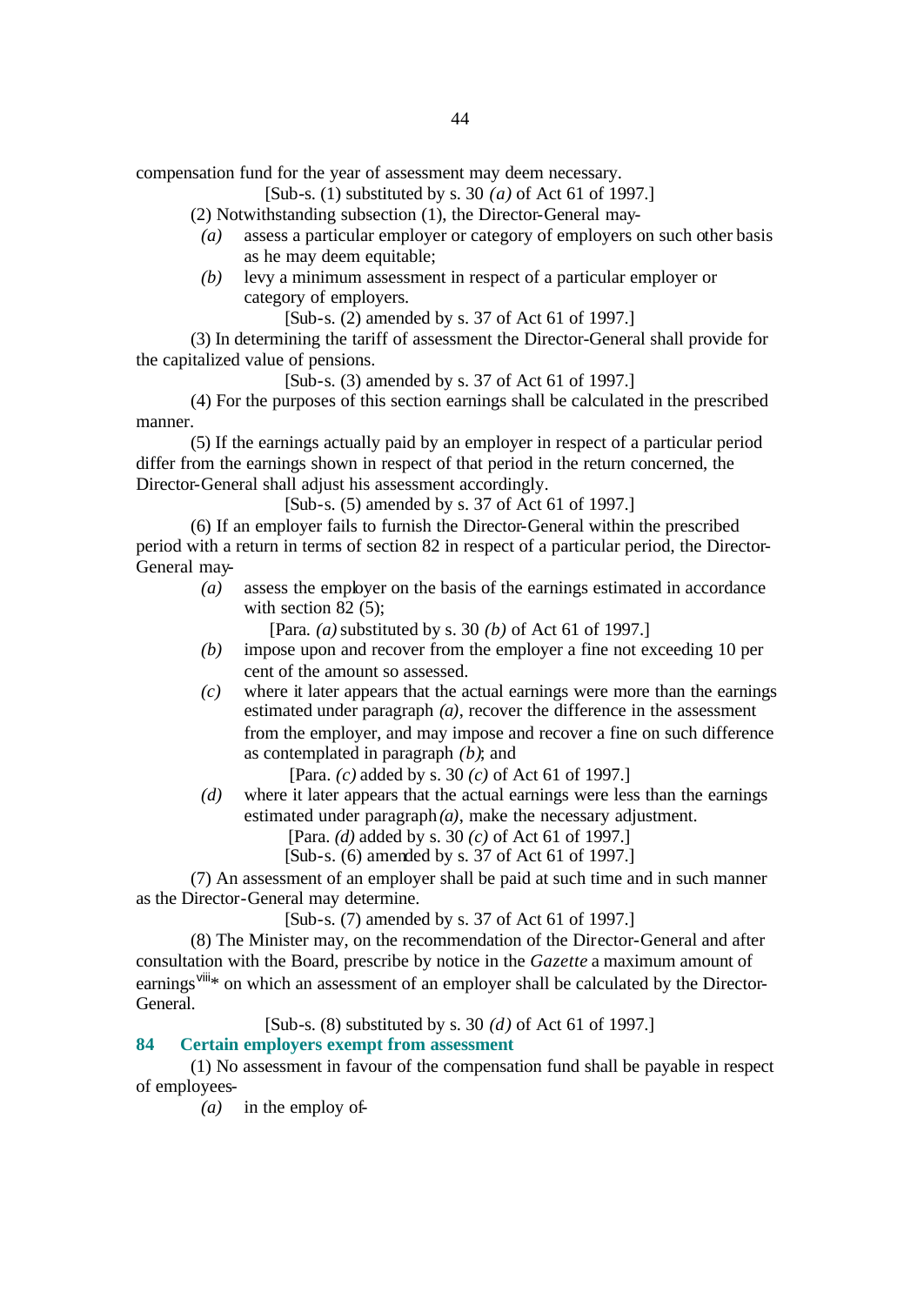compensation fund for the year of assessment may deem necessary.

[Sub-s. (1) substituted by s. 30 *(a)* of Act 61 of 1997.]

(2) Notwithstanding subsection (1), the Director-General may-

- *(a)* assess a particular employer or category of employers on such other basis as he may deem equitable;
- *(b)* levy a minimum assessment in respect of a particular employer or category of employers.

[Sub-s. (2) amended by s. 37 of Act 61 of 1997.]

(3) In determining the tariff of assessment the Director-General shall provide for the capitalized value of pensions.

[Sub-s. (3) amended by s. 37 of Act 61 of 1997.]

(4) For the purposes of this section earnings shall be calculated in the prescribed manner.

(5) If the earnings actually paid by an employer in respect of a particular period differ from the earnings shown in respect of that period in the return concerned, the Director-General shall adjust his assessment accordingly.

[Sub-s. (5) amended by s. 37 of Act 61 of 1997.]

(6) If an employer fails to furnish the Director-General within the prescribed period with a return in terms of section 82 in respect of a particular period, the Director-General may-

*(a)* assess the employer on the basis of the earnings estimated in accordance with section 82 (5);

[Para. *(a)* substituted by s. 30 *(b)* of Act 61 of 1997.]

- *(b)* impose upon and recover from the employer a fine not exceeding 10 per cent of the amount so assessed.
- *(c)* where it later appears that the actual earnings were more than the earnings estimated under paragraph *(a)*, recover the difference in the assessment from the employer, and may impose and recover a fine on such difference as contemplated in paragraph *(b)*; and

[Para. *(c)* added by s. 30 *(c)* of Act 61 of 1997.]

*(d)* where it later appears that the actual earnings were less than the earnings estimated under paragraph *(a)*, make the necessary adjustment.

[Para. *(d)* added by s. 30 *(c)* of Act 61 of 1997.]

[Sub-s. (6) amended by s. 37 of Act 61 of 1997.]

(7) An assessment of an employer shall be paid at such time and in such manner as the Director-General may determine.

[Sub-s. (7) amended by s. 37 of Act 61 of 1997.]

(8) The Minister may, on the recommendation of the Director-General and after consultation with the Board, prescribe by notice in the *Gazette* a maximum amount of earnings<sup>viii\*</sup> on which an assessment of an employer shall be calculated by the Director-General.

[Sub-s. (8) substituted by s. 30 *(d)* of Act 61 of 1997.]

# **84 Certain employers exempt from assessment**

(1) No assessment in favour of the compensation fund shall be payable in respect of employees-

*(a)* in the employ of-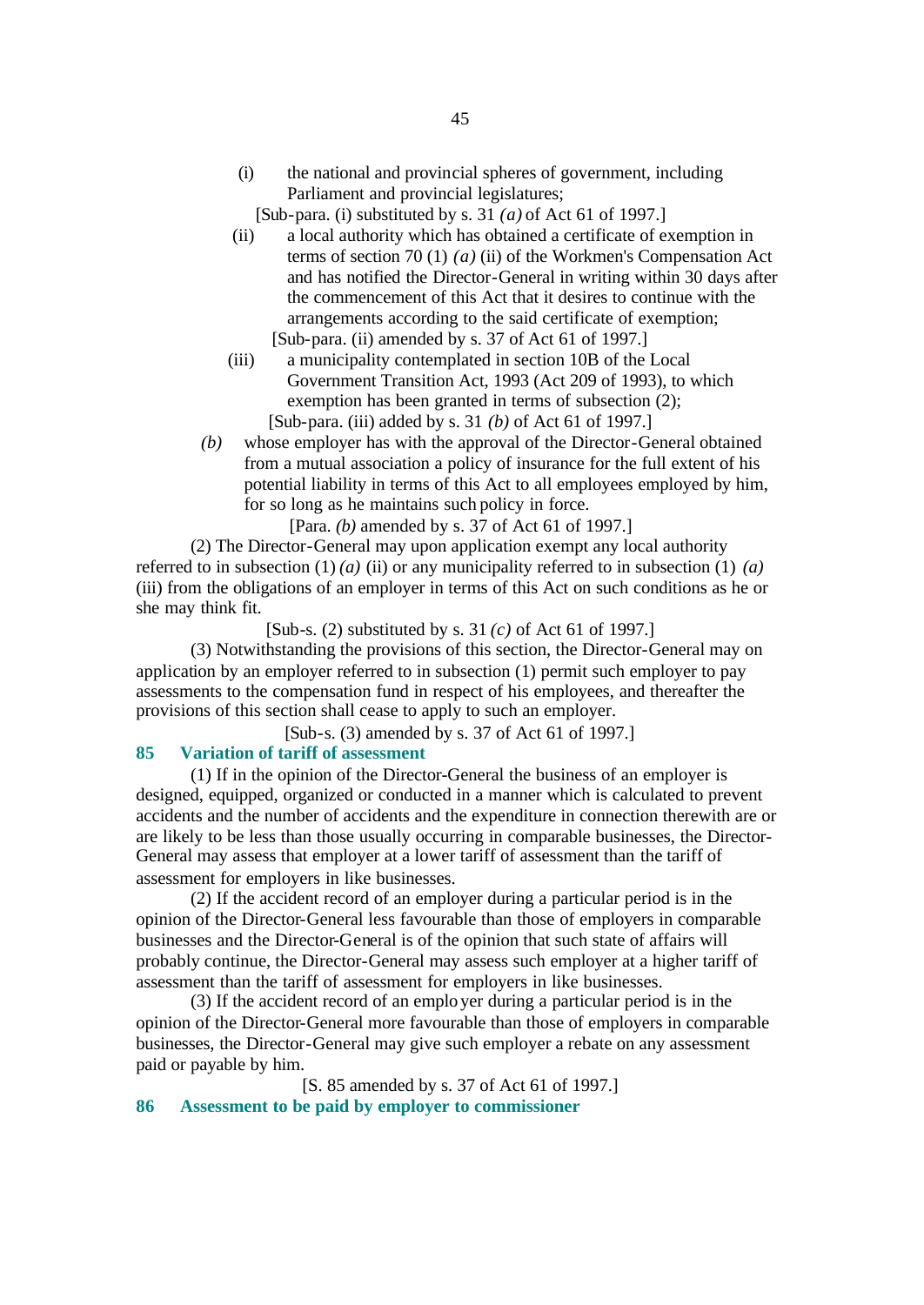- (i) the national and provincial spheres of government, including Parliament and provincial legislatures;
	- [Sub-para. (i) substituted by s. 31 *(a)* of Act 61 of 1997.]
- (ii) a local authority which has obtained a certificate of exemption in terms of section 70 (1) *(a)* (ii) of the Workmen's Compensation Act and has notified the Director-General in writing within 30 days after the commencement of this Act that it desires to continue with the arrangements according to the said certificate of exemption; [Sub-para. (ii) amended by s. 37 of Act 61 of 1997.]
- (iii) a municipality contemplated in section 10B of the Local Government Transition Act, 1993 (Act 209 of 1993), to which exemption has been granted in terms of subsection (2); [Sub-para. (iii) added by s. 31 *(b)* of Act 61 of 1997.]
- *(b)* whose employer has with the approval of the Director-General obtained from a mutual association a policy of insurance for the full extent of his potential liability in terms of this Act to all employees employed by him, for so long as he maintains such policy in force.

[Para. *(b)* amended by s. 37 of Act 61 of 1997.]

(2) The Director-General may upon application exempt any local authority referred to in subsection  $(1)$  *(a) (ii)* or any municipality referred to in subsection  $(1)$  *(a)* (iii) from the obligations of an employer in terms of this Act on such conditions as he or she may think fit.

[Sub-s. (2) substituted by s. 31 *(c)* of Act 61 of 1997.]

(3) Notwithstanding the provisions of this section, the Director-General may on application by an employer referred to in subsection (1) permit such employer to pay assessments to the compensation fund in respect of his employees, and thereafter the provisions of this section shall cease to apply to such an employer.

[Sub-s. (3) amended by s. 37 of Act 61 of 1997.]

# **85 Variation of tariff of assessment**

(1) If in the opinion of the Director-General the business of an employer is designed, equipped, organized or conducted in a manner which is calculated to prevent accidents and the number of accidents and the expenditure in connection therewith are or are likely to be less than those usually occurring in comparable businesses, the Director-General may assess that employer at a lower tariff of assessment than the tariff of assessment for employers in like businesses.

(2) If the accident record of an employer during a particular period is in the opinion of the Director-General less favourable than those of employers in comparable businesses and the Director-General is of the opinion that such state of affairs will probably continue, the Director-General may assess such employer at a higher tariff of assessment than the tariff of assessment for employers in like businesses.

(3) If the accident record of an employer during a particular period is in the opinion of the Director-General more favourable than those of employers in comparable businesses, the Director-General may give such employer a rebate on any assessment paid or payable by him.

[S. 85 amended by s. 37 of Act 61 of 1997.]

**86 Assessment to be paid by employer to commissioner**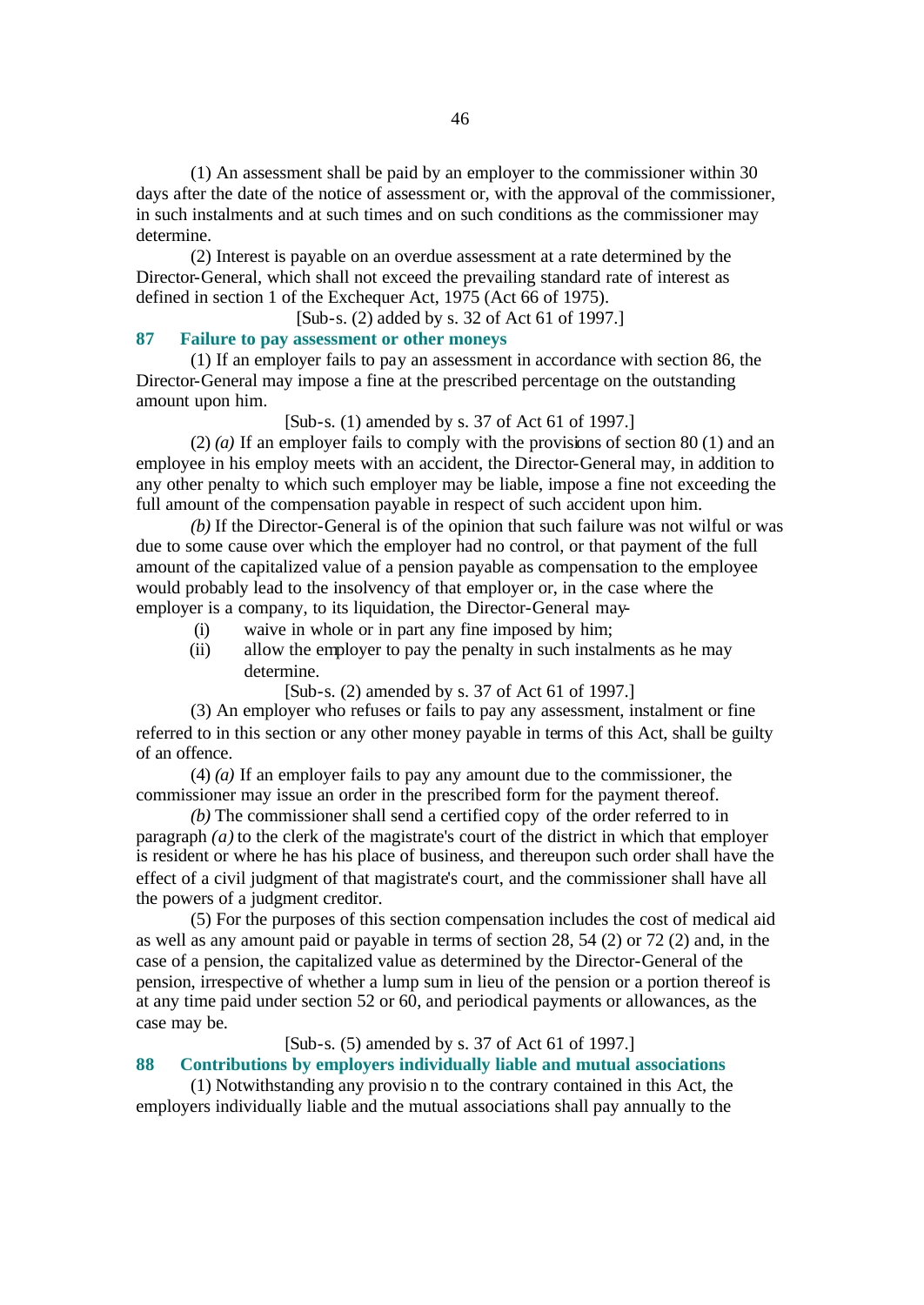(1) An assessment shall be paid by an employer to the commissioner within 30 days after the date of the notice of assessment or, with the approval of the commissioner, in such instalments and at such times and on such conditions as the commissioner may determine.

(2) Interest is payable on an overdue assessment at a rate determined by the Director-General, which shall not exceed the prevailing standard rate of interest as defined in section 1 of the Exchequer Act, 1975 (Act 66 of 1975).

[Sub-s. (2) added by s. 32 of Act 61 of 1997.]

#### **87 Failure to pay assessment or other moneys**

(1) If an employer fails to pay an assessment in accordance with section 86, the Director-General may impose a fine at the prescribed percentage on the outstanding amount upon him.

# [Sub-s. (1) amended by s. 37 of Act 61 of 1997.]

(2) *(a)* If an employer fails to comply with the provisions of section 80 (1) and an employee in his employ meets with an accident, the Director-General may, in addition to any other penalty to which such employer may be liable, impose a fine not exceeding the full amount of the compensation payable in respect of such accident upon him.

*(b)* If the Director-General is of the opinion that such failure was not wilful or was due to some cause over which the employer had no control, or that payment of the full amount of the capitalized value of a pension payable as compensation to the employee would probably lead to the insolvency of that employer or, in the case where the employer is a company, to its liquidation, the Director-General may-

- (i) waive in whole or in part any fine imposed by him;
- (ii) allow the employer to pay the penalty in such instalments as he may determine.

[Sub-s. (2) amended by s. 37 of Act 61 of 1997.]

(3) An employer who refuses or fails to pay any assessment, instalment or fine referred to in this section or any other money payable in terms of this Act, shall be guilty of an offence.

(4) *(a)* If an employer fails to pay any amount due to the commissioner, the commissioner may issue an order in the prescribed form for the payment thereof.

*(b)* The commissioner shall send a certified copy of the order referred to in paragraph *(a)* to the clerk of the magistrate's court of the district in which that employer is resident or where he has his place of business, and thereupon such order shall have the effect of a civil judgment of that magistrate's court, and the commissioner shall have all the powers of a judgment creditor.

(5) For the purposes of this section compensation includes the cost of medical aid as well as any amount paid or payable in terms of section 28, 54 (2) or 72 (2) and, in the case of a pension, the capitalized value as determined by the Director-General of the pension, irrespective of whether a lump sum in lieu of the pension or a portion thereof is at any time paid under section 52 or 60, and periodical payments or allowances, as the case may be.

# [Sub-s. (5) amended by s. 37 of Act 61 of 1997.]

# **88 Contributions by employers individually liable and mutual associations**

(1) Notwithstanding any provisio n to the contrary contained in this Act, the employers individually liable and the mutual associations shall pay annually to the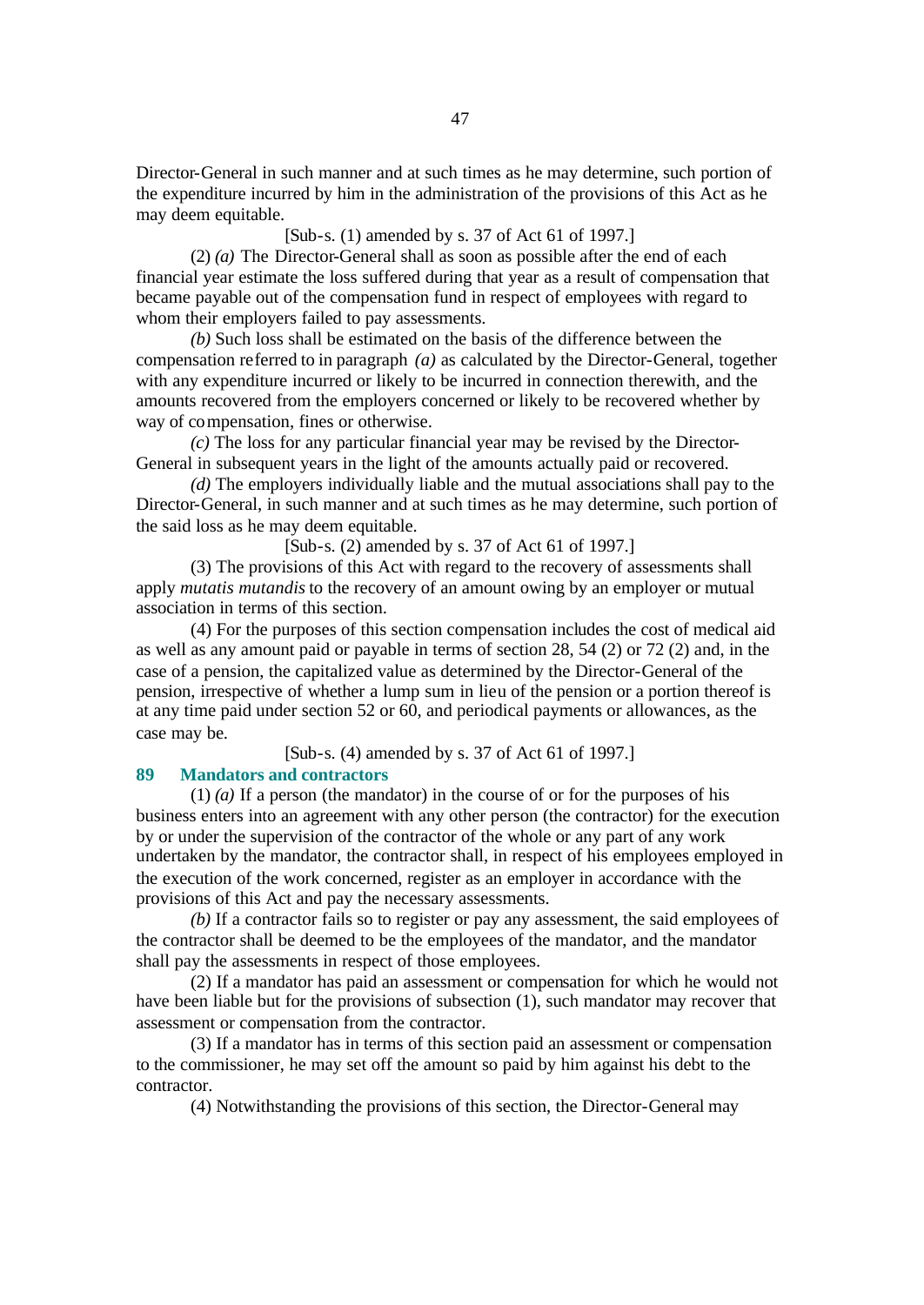Director-General in such manner and at such times as he may determine, such portion of the expenditure incurred by him in the administration of the provisions of this Act as he may deem equitable.

[Sub-s. (1) amended by s. 37 of Act 61 of 1997.]

(2) *(a)* The Director-General shall as soon as possible after the end of each financial year estimate the loss suffered during that year as a result of compensation that became payable out of the compensation fund in respect of employees with regard to whom their employers failed to pay assessments.

*(b)* Such loss shall be estimated on the basis of the difference between the compensation referred to in paragraph *(a)* as calculated by the Director-General, together with any expenditure incurred or likely to be incurred in connection therewith, and the amounts recovered from the employers concerned or likely to be recovered whether by way of compensation, fines or otherwise.

*(c)* The loss for any particular financial year may be revised by the Director-General in subsequent years in the light of the amounts actually paid or recovered.

*(d)* The employers individually liable and the mutual associations shall pay to the Director-General, in such manner and at such times as he may determine, such portion of the said loss as he may deem equitable.

[Sub-s. (2) amended by s. 37 of Act 61 of 1997.]

(3) The provisions of this Act with regard to the recovery of assessments shall apply *mutatis mutandis* to the recovery of an amount owing by an employer or mutual association in terms of this section.

(4) For the purposes of this section compensation includes the cost of medical aid as well as any amount paid or payable in terms of section 28, 54 (2) or 72 (2) and, in the case of a pension, the capitalized value as determined by the Director-General of the pension, irrespective of whether a lump sum in lieu of the pension or a portion thereof is at any time paid under section 52 or 60, and periodical payments or allowances, as the case may be.

[Sub-s. (4) amended by s. 37 of Act 61 of 1997.]

#### **89 Mandators and contractors**

(1) *(a)* If a person (the mandator) in the course of or for the purposes of his business enters into an agreement with any other person (the contractor) for the execution by or under the supervision of the contractor of the whole or any part of any work undertaken by the mandator, the contractor shall, in respect of his employees employed in the execution of the work concerned, register as an employer in accordance with the provisions of this Act and pay the necessary assessments.

*(b)* If a contractor fails so to register or pay any assessment, the said employees of the contractor shall be deemed to be the employees of the mandator, and the mandator shall pay the assessments in respect of those employees.

(2) If a mandator has paid an assessment or compensation for which he would not have been liable but for the provisions of subsection (1), such mandator may recover that assessment or compensation from the contractor.

(3) If a mandator has in terms of this section paid an assessment or compensation to the commissioner, he may set off the amount so paid by him against his debt to the contractor.

(4) Notwithstanding the provisions of this section, the Director-General may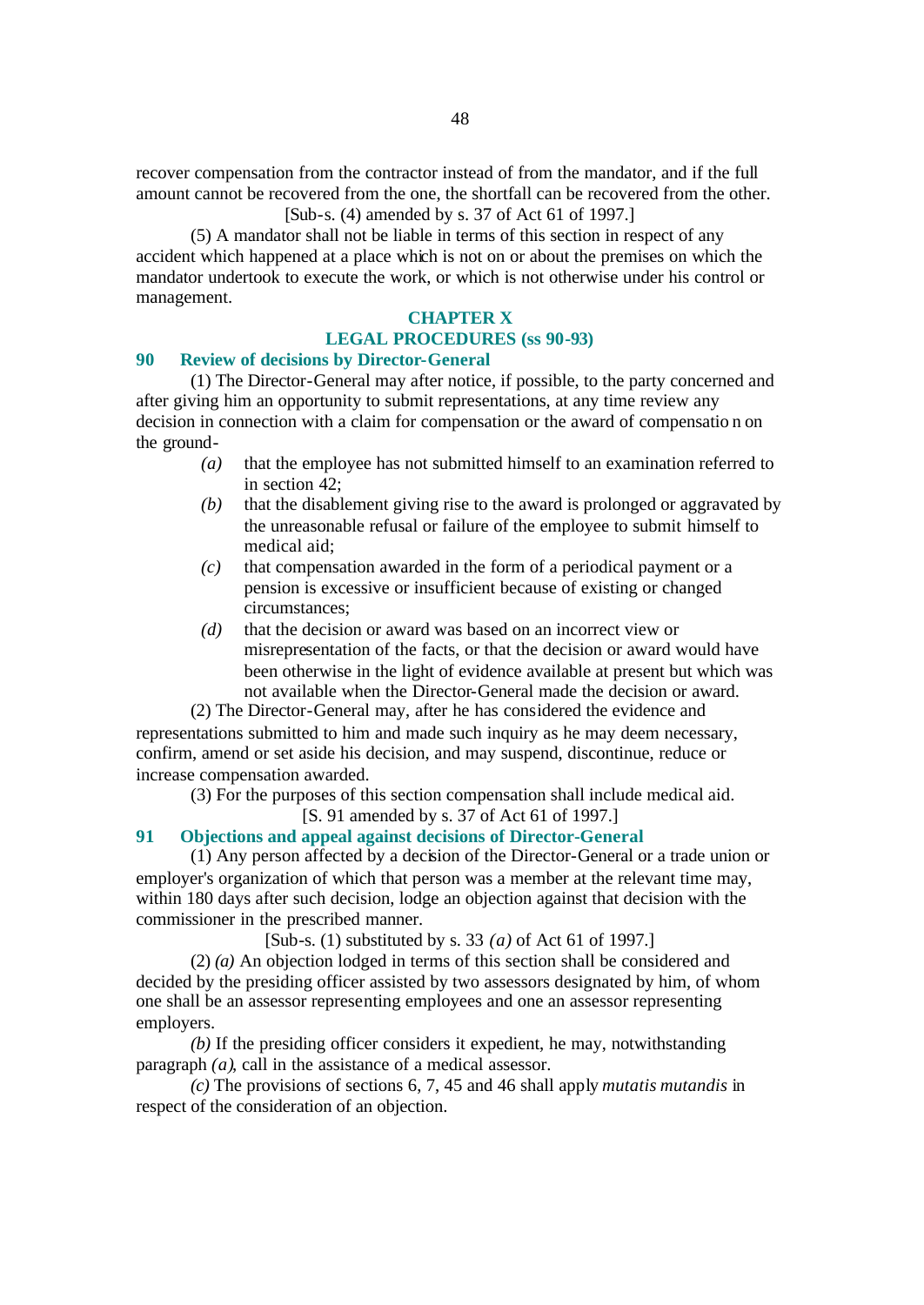recover compensation from the contractor instead of from the mandator, and if the full amount cannot be recovered from the one, the shortfall can be recovered from the other. [Sub-s. (4) amended by s. 37 of Act 61 of 1997.]

(5) A mandator shall not be liable in terms of this section in respect of any accident which happened at a place which is not on or about the premises on which the mandator undertook to execute the work, or which is not otherwise under his control or management.

# **CHAPTER X**

### **LEGAL PROCEDURES (ss 90-93)**

#### **90 Review of decisions by Director-General**

(1) The Director-General may after notice, if possible, to the party concerned and after giving him an opportunity to submit representations, at any time review any decision in connection with a claim for compensation or the award of compensatio n on the ground-

- *(a)* that the employee has not submitted himself to an examination referred to in section 42;
- *(b)* that the disablement giving rise to the award is prolonged or aggravated by the unreasonable refusal or failure of the employee to submit himself to medical aid;
- *(c)* that compensation awarded in the form of a periodical payment or a pension is excessive or insufficient because of existing or changed circumstances;
- *(d)* that the decision or award was based on an incorrect view or misrepresentation of the facts, or that the decision or award would have been otherwise in the light of evidence available at present but which was not available when the Director-General made the decision or award.

(2) The Director-General may, after he has considered the evidence and representations submitted to him and made such inquiry as he may deem necessary, confirm, amend or set aside his decision, and may suspend, discontinue, reduce or increase compensation awarded.

(3) For the purposes of this section compensation shall include medical aid.

[S. 91 amended by s. 37 of Act 61 of 1997.]

### **91 Objections and appeal against decisions of Director-General**

(1) Any person affected by a decision of the Director-General or a trade union or employer's organization of which that person was a member at the relevant time may, within 180 days after such decision, lodge an objection against that decision with the commissioner in the prescribed manner.

[Sub-s. (1) substituted by s. 33 *(a)* of Act 61 of 1997.]

(2) *(a)* An objection lodged in terms of this section shall be considered and decided by the presiding officer assisted by two assessors designated by him, of whom one shall be an assessor representing employees and one an assessor representing employers.

*(b)* If the presiding officer considers it expedient, he may, notwithstanding paragraph *(a)*, call in the assistance of a medical assessor.

*(c)* The provisions of sections 6, 7, 45 and 46 shall apply *mutatis mutandis* in respect of the consideration of an objection.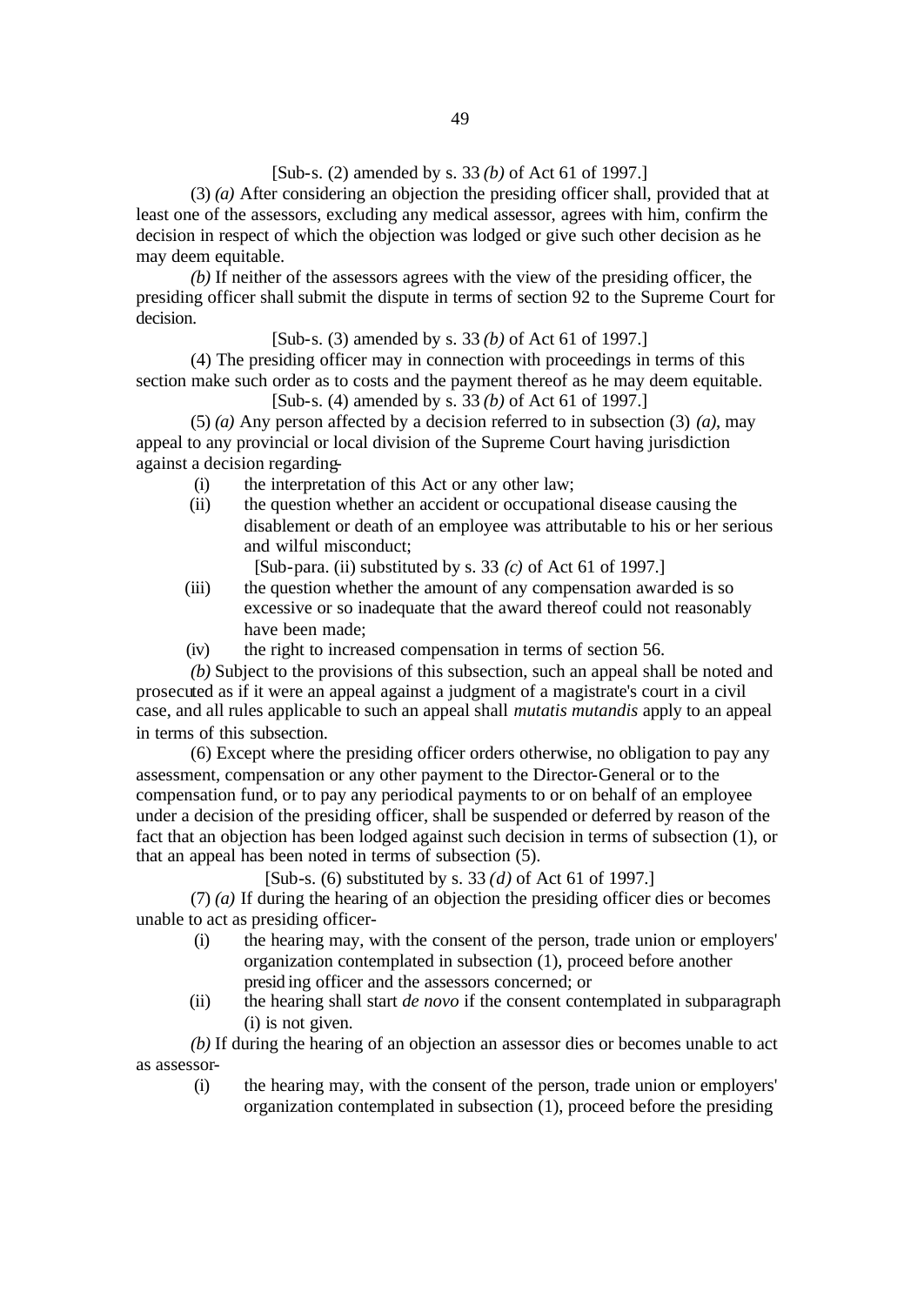# [Sub-s. (2) amended by s. 33 *(b)* of Act 61 of 1997.]

(3) *(a)* After considering an objection the presiding officer shall, provided that at least one of the assessors, excluding any medical assessor, agrees with him, confirm the decision in respect of which the objection was lodged or give such other decision as he may deem equitable.

*(b)* If neither of the assessors agrees with the view of the presiding officer, the presiding officer shall submit the dispute in terms of section 92 to the Supreme Court for decision.

[Sub-s. (3) amended by s. 33 *(b)* of Act 61 of 1997.]

(4) The presiding officer may in connection with proceedings in terms of this section make such order as to costs and the payment thereof as he may deem equitable.

[Sub-s. (4) amended by s. 33 *(b)* of Act 61 of 1997.]

(5) *(a)* Any person affected by a decision referred to in subsection (3) *(a)*, may appeal to any provincial or local division of the Supreme Court having jurisdiction against a decision regarding-

- (i) the interpretation of this Act or any other law;
- (ii) the question whether an accident or occupational disease causing the disablement or death of an employee was attributable to his or her serious and wilful misconduct;

[Sub-para. (ii) substituted by s. 33 *(c)* of Act 61 of 1997.]

- (iii) the question whether the amount of any compensation awarded is so excessive or so inadequate that the award thereof could not reasonably have been made;
- (iv) the right to increased compensation in terms of section 56.

*(b)* Subject to the provisions of this subsection, such an appeal shall be noted and prosecuted as if it were an appeal against a judgment of a magistrate's court in a civil case, and all rules applicable to such an appeal shall *mutatis mutandis* apply to an appeal in terms of this subsection.

(6) Except where the presiding officer orders otherwise, no obligation to pay any assessment, compensation or any other payment to the Director-General or to the compensation fund, or to pay any periodical payments to or on behalf of an employee under a decision of the presiding officer, shall be suspended or deferred by reason of the fact that an objection has been lodged against such decision in terms of subsection (1), or that an appeal has been noted in terms of subsection (5).

[Sub-s. (6) substituted by s. 33 *(d)* of Act 61 of 1997.]

(7) *(a)* If during the hearing of an objection the presiding officer dies or becomes unable to act as presiding officer-

- (i) the hearing may, with the consent of the person, trade union or employers' organization contemplated in subsection (1), proceed before another presid ing officer and the assessors concerned; or
- (ii) the hearing shall start *de novo* if the consent contemplated in subparagraph (i) is not given.

*(b)* If during the hearing of an objection an assessor dies or becomes unable to act as assessor-

(i) the hearing may, with the consent of the person, trade union or employers' organization contemplated in subsection (1), proceed before the presiding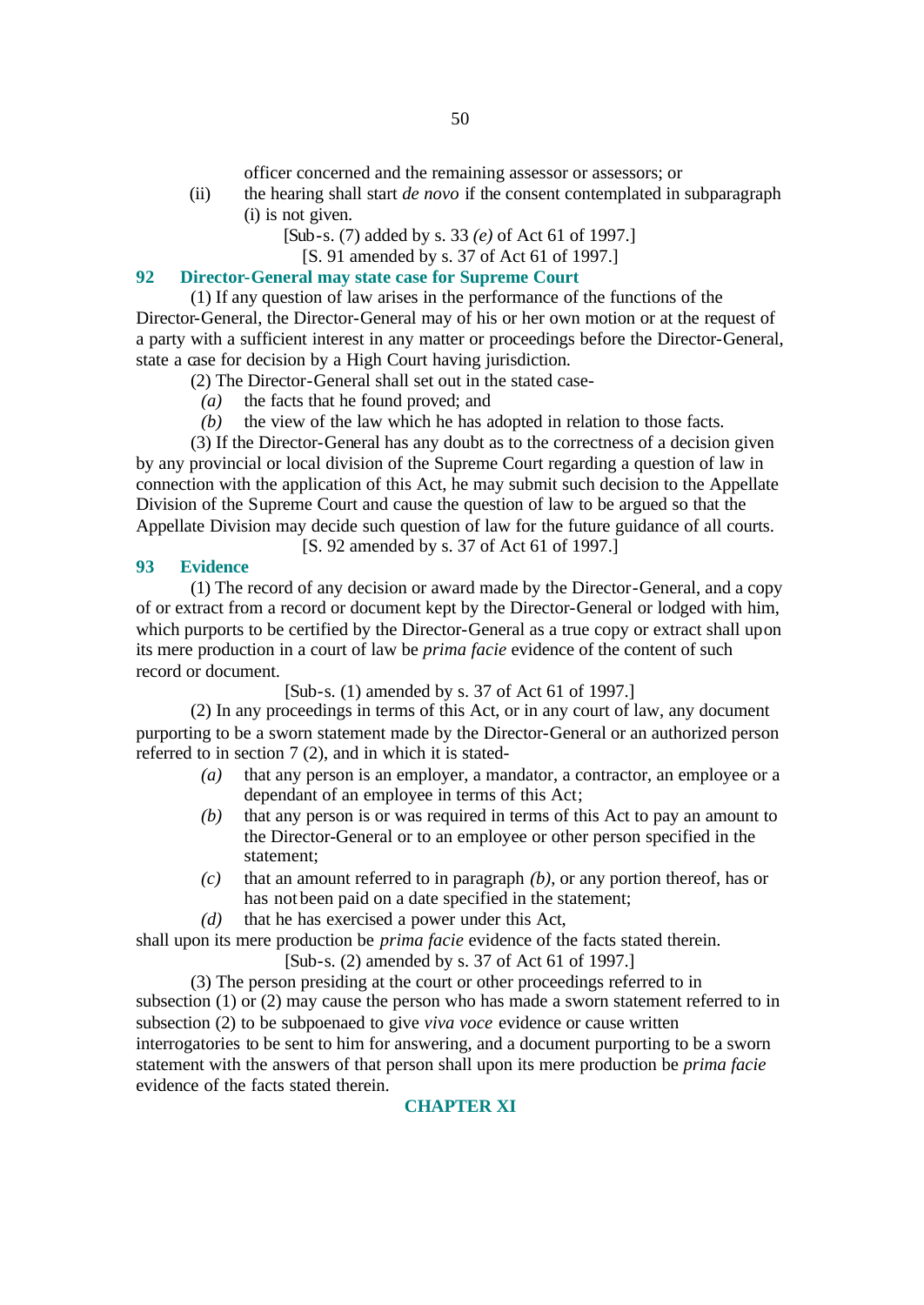officer concerned and the remaining assessor or assessors; or

- (ii) the hearing shall start *de novo* if the consent contemplated in subparagraph (i) is not given.
	- [Sub-s. (7) added by s. 33 *(e)* of Act 61 of 1997.]
		- [S. 91 amended by s. 37 of Act 61 of 1997.]

# **92 Director-General may state case for Supreme Court**

(1) If any question of law arises in the performance of the functions of the Director-General, the Director-General may of his or her own motion or at the request of a party with a sufficient interest in any matter or proceedings before the Director-General, state a case for decision by a High Court having jurisdiction.

- (2) The Director-General shall set out in the stated case-
	- *(a)* the facts that he found proved; and
	- *(b)* the view of the law which he has adopted in relation to those facts.

(3) If the Director-General has any doubt as to the correctness of a decision given by any provincial or local division of the Supreme Court regarding a question of law in connection with the application of this Act, he may submit such decision to the Appellate Division of the Supreme Court and cause the question of law to be argued so that the Appellate Division may decide such question of law for the future guidance of all courts.

[S. 92 amended by s. 37 of Act 61 of 1997.]

# **93 Evidence**

(1) The record of any decision or award made by the Director-General, and a copy of or extract from a record or document kept by the Director-General or lodged with him, which purports to be certified by the Director-General as a true copy or extract shall upon its mere production in a court of law be *prima facie* evidence of the content of such record or document.

[Sub-s. (1) amended by s. 37 of Act 61 of 1997.]

(2) In any proceedings in terms of this Act, or in any court of law, any document purporting to be a sworn statement made by the Director-General or an authorized person referred to in section 7 (2), and in which it is stated-

- *(a)* that any person is an employer, a mandator, a contractor, an employee or a dependant of an employee in terms of this Act;
- *(b)* that any person is or was required in terms of this Act to pay an amount to the Director-General or to an employee or other person specified in the statement;
- *(c)* that an amount referred to in paragraph *(b)*, or any portion thereof, has or has not been paid on a date specified in the statement;
- *(d)* that he has exercised a power under this Act,

shall upon its mere production be *prima facie* evidence of the facts stated therein.

[Sub-s. (2) amended by s. 37 of Act 61 of 1997.]

(3) The person presiding at the court or other proceedings referred to in subsection (1) or (2) may cause the person who has made a sworn statement referred to in subsection (2) to be subpoenaed to give *viva voce* evidence or cause written interrogatories to be sent to him for answering, and a document purporting to be a sworn statement with the answers of that person shall upon its mere production be *prima facie* evidence of the facts stated therein.

# **CHAPTER XI**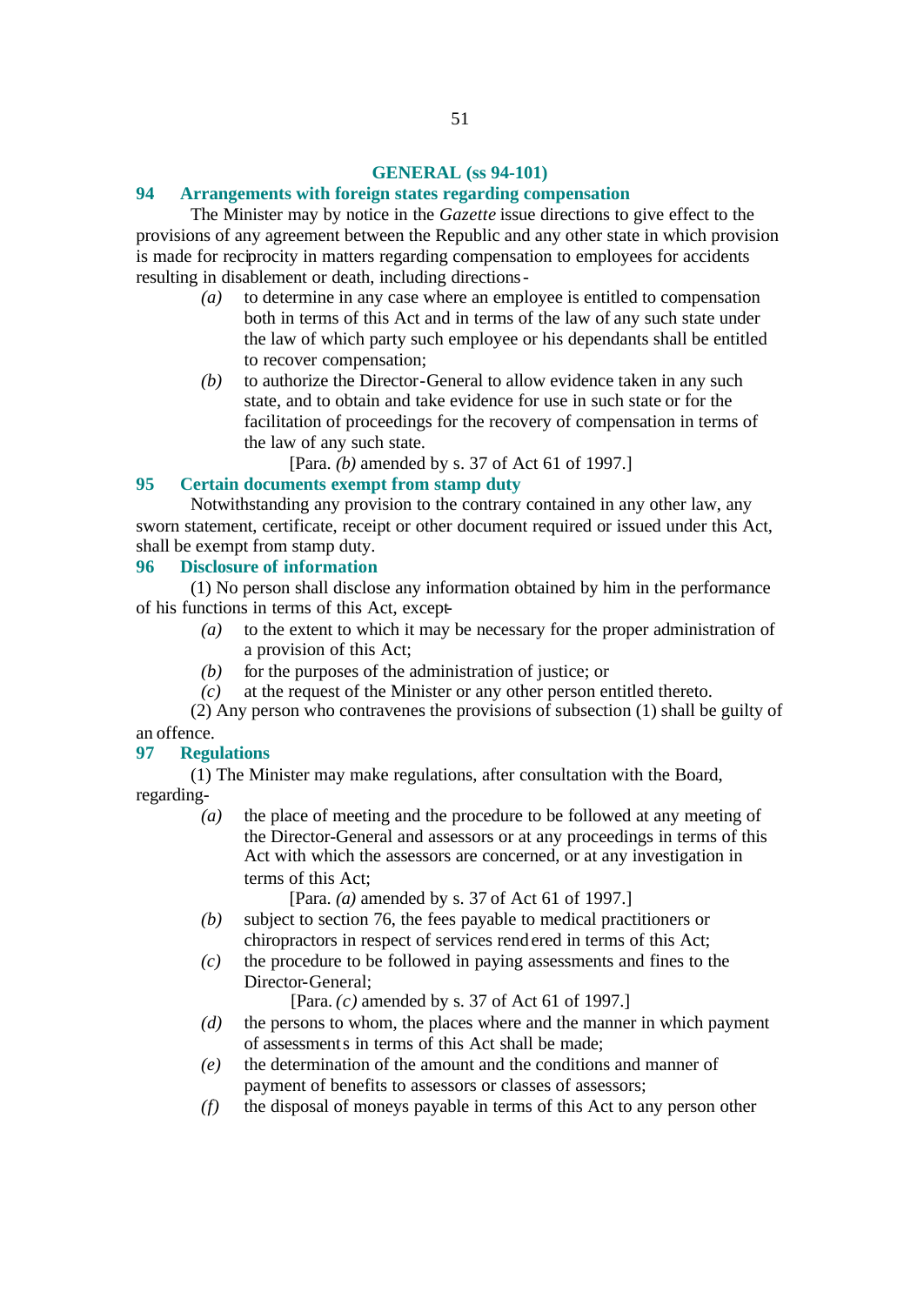#### **GENERAL (ss 94-101)**

#### **94 Arrangements with foreign states regarding compensation**

The Minister may by notice in the *Gazette* issue directions to give effect to the provisions of any agreement between the Republic and any other state in which provision is made for reciprocity in matters regarding compensation to employees for accidents resulting in disablement or death, including directions-

- *(a)* to determine in any case where an employee is entitled to compensation both in terms of this Act and in terms of the law of any such state under the law of which party such employee or his dependants shall be entitled to recover compensation;
- *(b)* to authorize the Director-General to allow evidence taken in any such state, and to obtain and take evidence for use in such state or for the facilitation of proceedings for the recovery of compensation in terms of the law of any such state.

[Para. *(b)* amended by s. 37 of Act 61 of 1997.]

# **95 Certain documents exempt from stamp duty**

Notwithstanding any provision to the contrary contained in any other law, any sworn statement, certificate, receipt or other document required or issued under this Act, shall be exempt from stamp duty.

# **96 Disclosure of information**

(1) No person shall disclose any information obtained by him in the performance of his functions in terms of this Act, except-

- *(a)* to the extent to which it may be necessary for the proper administration of a provision of this Act;
- *(b)* for the purposes of the administration of justice; or
- *(c)* at the request of the Minister or any other person entitled thereto.

(2) Any person who contravenes the provisions of subsection (1) shall be guilty of an offence.

#### **97 Regulations**

(1) The Minister may make regulations, after consultation with the Board, regarding-

> *(a)* the place of meeting and the procedure to be followed at any meeting of the Director-General and assessors or at any proceedings in terms of this Act with which the assessors are concerned, or at any investigation in terms of this Act;

[Para. *(a)* amended by s. 37 of Act 61 of 1997.]

- *(b)* subject to section 76, the fees payable to medical practitioners or chiropractors in respect of services rendered in terms of this Act;
- *(c)* the procedure to be followed in paying assessments and fines to the Director-General;

[Para. *(c)* amended by s. 37 of Act 61 of 1997.]

- *(d)* the persons to whom, the places where and the manner in which payment of assessments in terms of this Act shall be made;
- *(e)* the determination of the amount and the conditions and manner of payment of benefits to assessors or classes of assessors;
- *(f)* the disposal of moneys payable in terms of this Act to any person other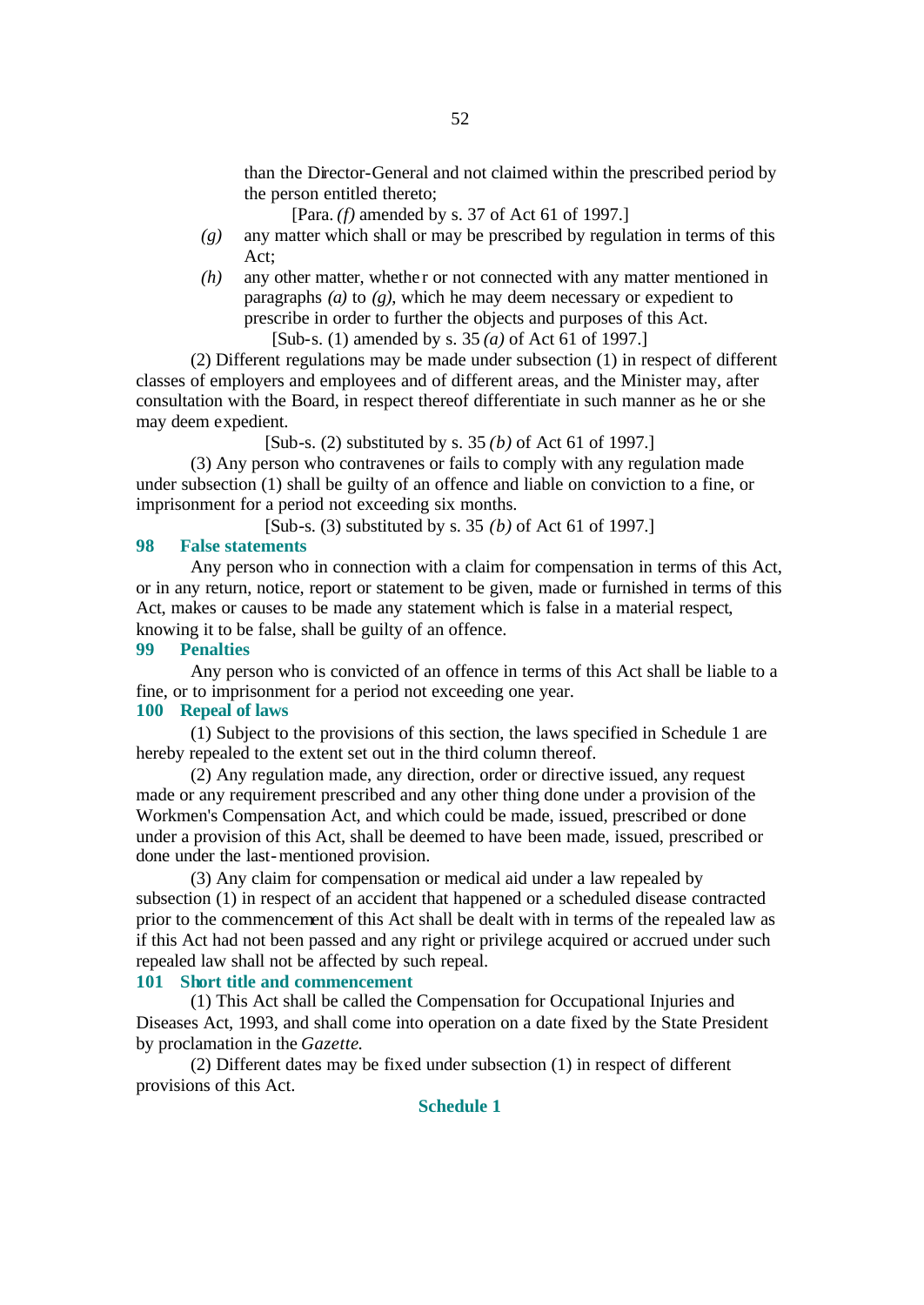than the Director-General and not claimed within the prescribed period by the person entitled thereto;

[Para. *(f)* amended by s. 37 of Act 61 of 1997.]

- *(g)* any matter which shall or may be prescribed by regulation in terms of this Act;
- *(h)* any other matter, whether or not connected with any matter mentioned in paragraphs *(a)* to *(g)*, which he may deem necessary or expedient to prescribe in order to further the objects and purposes of this Act. [Sub-s. (1) amended by s. 35 *(a)* of Act 61 of 1997.]

(2) Different regulations may be made under subsection (1) in respect of different classes of employers and employees and of different areas, and the Minister may, after consultation with the Board, in respect thereof differentiate in such manner as he or she may deem expedient.

[Sub-s. (2) substituted by s. 35 *(b)* of Act 61 of 1997.]

(3) Any person who contravenes or fails to comply with any regulation made under subsection (1) shall be guilty of an offence and liable on conviction to a fine, or imprisonment for a period not exceeding six months.

[Sub-s. (3) substituted by s. 35 *(b)* of Act 61 of 1997.]

#### **98 False statements**

Any person who in connection with a claim for compensation in terms of this Act, or in any return, notice, report or statement to be given, made or furnished in terms of this Act, makes or causes to be made any statement which is false in a material respect, knowing it to be false, shall be guilty of an offence.

#### **99 Penalties**

Any person who is convicted of an offence in terms of this Act shall be liable to a fine, or to imprisonment for a period not exceeding one year.

# **100 Repeal of laws**

(1) Subject to the provisions of this section, the laws specified in Schedule 1 are hereby repealed to the extent set out in the third column thereof.

(2) Any regulation made, any direction, order or directive issued, any request made or any requirement prescribed and any other thing done under a provision of the Workmen's Compensation Act, and which could be made, issued, prescribed or done under a provision of this Act, shall be deemed to have been made, issued, prescribed or done under the last-mentioned provision.

(3) Any claim for compensation or medical aid under a law repealed by subsection (1) in respect of an accident that happened or a scheduled disease contracted prior to the commencement of this Act shall be dealt with in terms of the repealed law as if this Act had not been passed and any right or privilege acquired or accrued under such repealed law shall not be affected by such repeal.

# **101 Short title and commencement**

(1) This Act shall be called the Compensation for Occupational Injuries and Diseases Act, 1993, and shall come into operation on a date fixed by the State President by proclamation in the *Gazette*.

(2) Different dates may be fixed under subsection (1) in respect of different provisions of this Act.

#### **Schedule 1**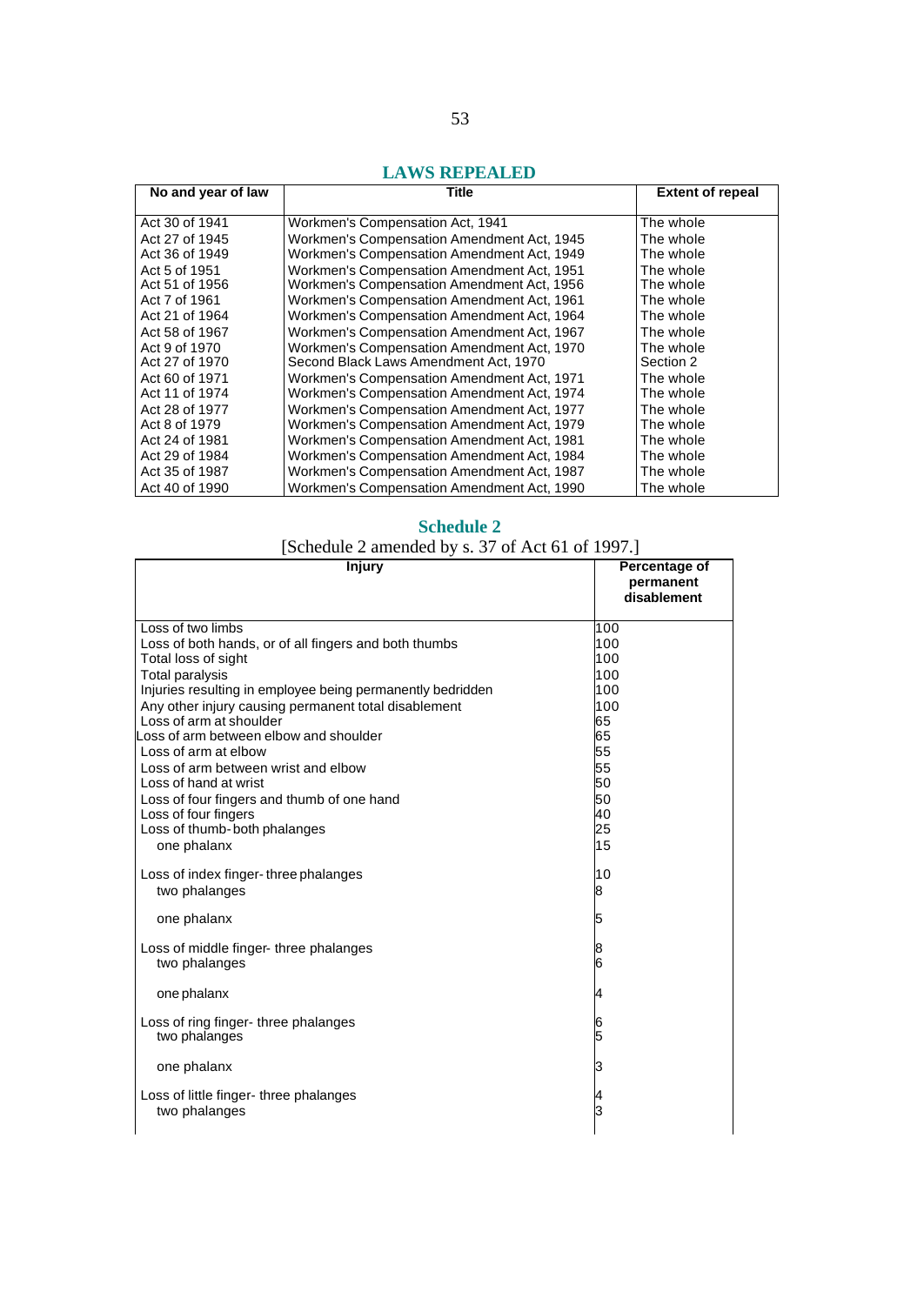# **LAWS REPEALED**

| No and year of law | Title                                      | <b>Extent of repeal</b> |
|--------------------|--------------------------------------------|-------------------------|
| Act 30 of 1941     | Workmen's Compensation Act, 1941           | The whole               |
| Act 27 of 1945     | Workmen's Compensation Amendment Act, 1945 | The whole               |
| Act 36 of 1949     | Workmen's Compensation Amendment Act, 1949 | The whole               |
| Act 5 of 1951      | Workmen's Compensation Amendment Act, 1951 | The whole               |
| Act 51 of 1956     | Workmen's Compensation Amendment Act, 1956 | The whole               |
| Act 7 of 1961      | Workmen's Compensation Amendment Act, 1961 | The whole               |
| Act 21 of 1964     | Workmen's Compensation Amendment Act, 1964 | The whole               |
| Act 58 of 1967     | Workmen's Compensation Amendment Act, 1967 | The whole               |
| Act 9 of 1970      | Workmen's Compensation Amendment Act, 1970 | The whole               |
| Act 27 of 1970     | Second Black Laws Amendment Act, 1970      | Section 2               |
| Act 60 of 1971     | Workmen's Compensation Amendment Act, 1971 | The whole               |
| Act 11 of 1974     | Workmen's Compensation Amendment Act, 1974 | The whole               |
| Act 28 of 1977     | Workmen's Compensation Amendment Act, 1977 | The whole               |
| Act 8 of 1979      | Workmen's Compensation Amendment Act, 1979 | The whole               |
| Act 24 of 1981     | Workmen's Compensation Amendment Act, 1981 | The whole               |
| Act 29 of 1984     | Workmen's Compensation Amendment Act, 1984 | The whole               |
| Act 35 of 1987     | Workmen's Compensation Amendment Act, 1987 | The whole               |
| Act 40 of 1990     | Workmen's Compensation Amendment Act, 1990 | The whole               |

# **Schedule 2**

[Schedule 2 amended by s. 37 of Act 61 of 1997.]

| <b>Injury</b>                                              | Percentage of<br>permanent<br>disablement |
|------------------------------------------------------------|-------------------------------------------|
| Loss of two limbs                                          | 100                                       |
| Loss of both hands, or of all fingers and both thumbs      | 100                                       |
| Total loss of sight                                        | 100                                       |
| <b>Total paralysis</b>                                     | 100                                       |
| Injuries resulting in employee being permanently bedridden | 100                                       |
| Any other injury causing permanent total disablement       | 100                                       |
| Loss of arm at shoulder                                    | 65                                        |
| oss of arm between elbow and shoulder                      | 65                                        |
| Loss of arm at elbow                                       | 55                                        |
| Loss of arm between wrist and elbow                        | 55                                        |
| Loss of hand at wrist                                      | 50                                        |
| Loss of four fingers and thumb of one hand                 | 50                                        |
| Loss of four fingers                                       | 40                                        |
| Loss of thumb-both phalanges                               | 25                                        |
| one phalanx                                                | 15                                        |
| Loss of index finger-three phalanges                       | 10                                        |
| two phalanges                                              | 8                                         |
|                                                            |                                           |
| one phalanx                                                | 5                                         |
| Loss of middle finger-three phalanges                      |                                           |
| two phalanges                                              | 8<br>6                                    |
|                                                            |                                           |
| one phalanx                                                | 4                                         |
|                                                            |                                           |
| Loss of ring finger- three phalanges                       | 6                                         |
| two phalanges                                              | 5                                         |
| one phalanx                                                | з                                         |
|                                                            |                                           |
| Loss of little finger- three phalanges                     |                                           |
| two phalanges                                              | 3                                         |
|                                                            |                                           |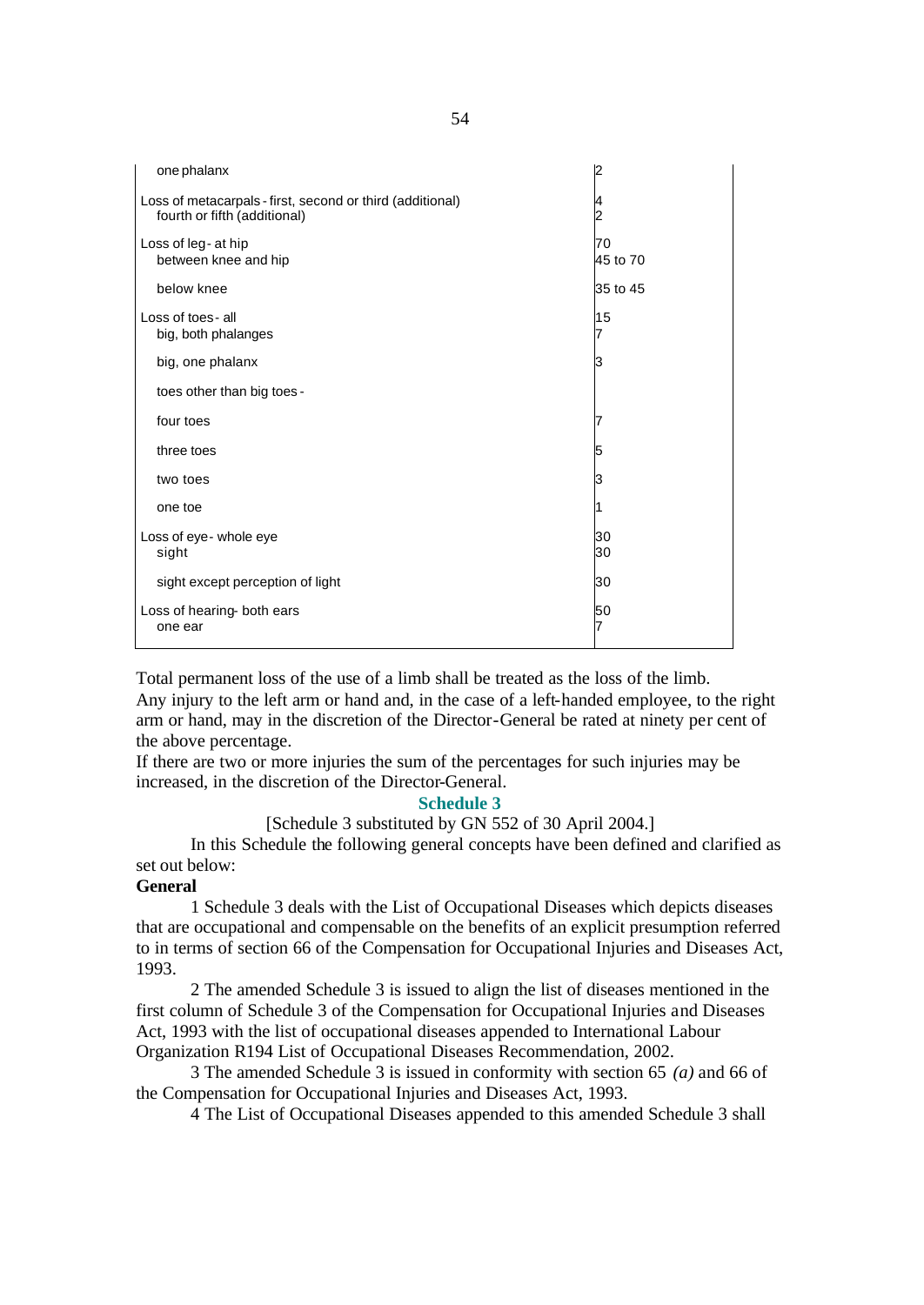| one phalanx                                                                               |                |
|-------------------------------------------------------------------------------------------|----------------|
| Loss of metacarpals - first, second or third (additional)<br>fourth or fifth (additional) |                |
| Loss of leg- at hip<br>between knee and hip                                               | 70<br>45 to 70 |
| below knee                                                                                | 35 to 45       |
| Loss of toes-all<br>big, both phalanges                                                   | 15             |
| big, one phalanx                                                                          | з              |
| toes other than big toes -                                                                |                |
| four toes                                                                                 |                |
| three toes                                                                                | 5              |
| two toes                                                                                  | З              |
| one toe                                                                                   |                |
| Loss of eye- whole eye<br>sight                                                           | 30<br>30       |
| sight except perception of light                                                          | 30             |
| Loss of hearing- both ears<br>one ear                                                     | 50<br>7        |

Total permanent loss of the use of a limb shall be treated as the loss of the limb. Any injury to the left arm or hand and, in the case of a left-handed employee, to the right arm or hand, may in the discretion of the Director-General be rated at ninety per cent of the above percentage.

If there are two or more injuries the sum of the percentages for such injuries may be increased, in the discretion of the Director-General.

# **Schedule 3**

#### [Schedule 3 substituted by GN 552 of 30 April 2004.]

In this Schedule the following general concepts have been defined and clarified as set out below:

#### **General**

1 Schedule 3 deals with the List of Occupational Diseases which depicts diseases that are occupational and compensable on the benefits of an explicit presumption referred to in terms of section 66 of the Compensation for Occupational Injuries and Diseases Act, 1993.

2 The amended Schedule 3 is issued to align the list of diseases mentioned in the first column of Schedule 3 of the Compensation for Occupational Injuries and Diseases Act, 1993 with the list of occupational diseases appended to International Labour Organization R194 List of Occupational Diseases Recommendation, 2002.

3 The amended Schedule 3 is issued in conformity with section 65 *(a)* and 66 of the Compensation for Occupational Injuries and Diseases Act, 1993.

4 The List of Occupational Diseases appended to this amended Schedule 3 shall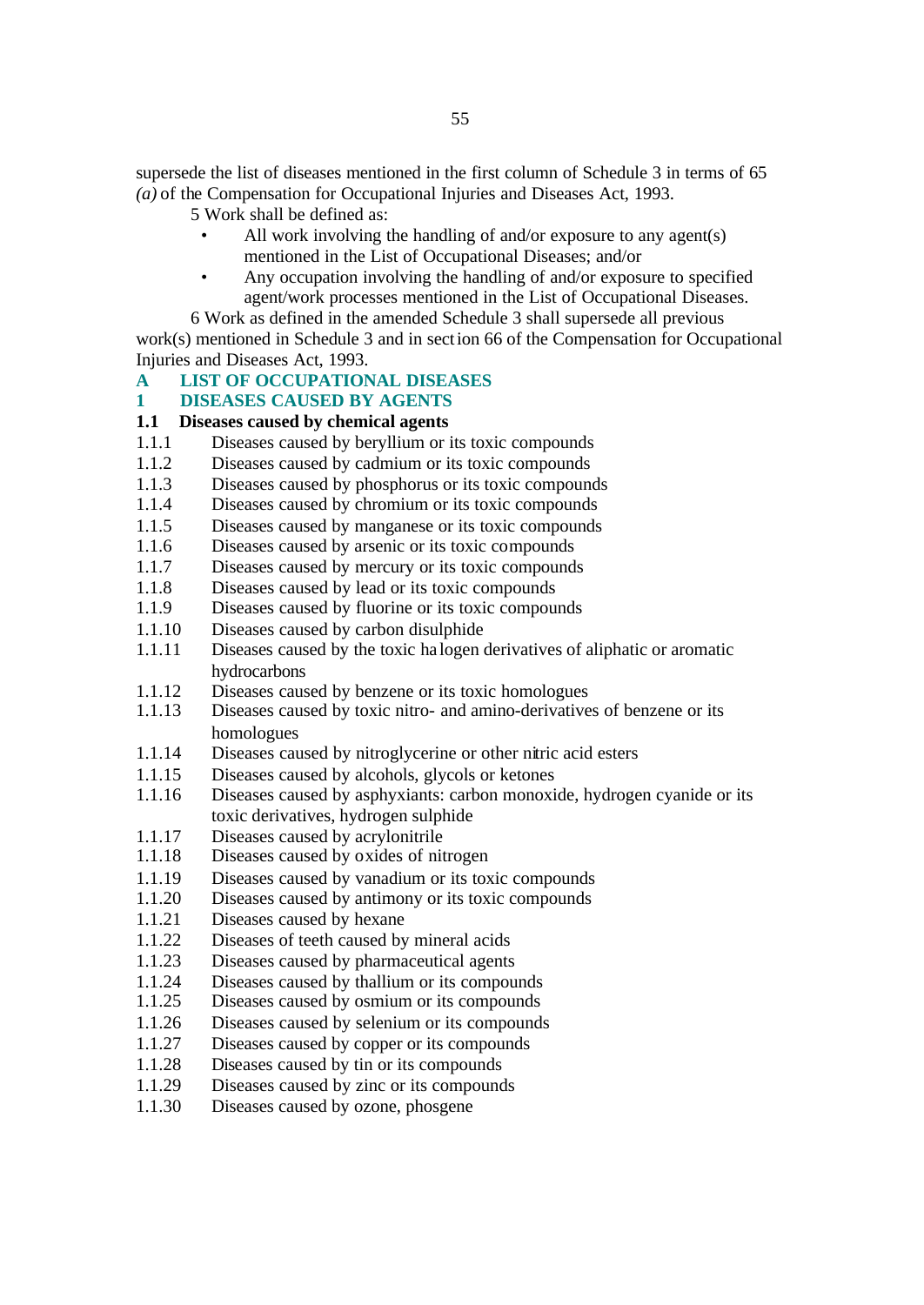supersede the list of diseases mentioned in the first column of Schedule 3 in terms of 65 *(a)* of the Compensation for Occupational Injuries and Diseases Act, 1993.

- 5 Work shall be defined as:
	- All work involving the handling of and/or exposure to any agent(s) mentioned in the List of Occupational Diseases; and/or
	- Any occupation involving the handling of and/or exposure to specified agent/work processes mentioned in the List of Occupational Diseases.

6 Work as defined in the amended Schedule 3 shall supersede all previous work(s) mentioned in Schedule 3 and in section 66 of the Compensation for Occupational Injuries and Diseases Act, 1993.

**A LIST OF OCCUPATIONAL DISEASES**

# **1 DISEASES CAUSED BY AGENTS**

# **1.1 Diseases caused by chemical agents**

- 1.1.1 Diseases caused by beryllium or its toxic compounds
- 1.1.2 Diseases caused by cadmium or its toxic compounds
- 1.1.3 Diseases caused by phosphorus or its toxic compounds
- 1.1.4 Diseases caused by chromium or its toxic compounds
- 1.1.5 Diseases caused by manganese or its toxic compounds
- 1.1.6 Diseases caused by arsenic or its toxic compounds
- 1.1.7 Diseases caused by mercury or its toxic compounds
- 1.1.8 Diseases caused by lead or its toxic compounds
- 1.1.9 Diseases caused by fluorine or its toxic compounds
- 1.1.10 Diseases caused by carbon disulphide
- 1.1.11 Diseases caused by the toxic ha logen derivatives of aliphatic or aromatic hydrocarbons
- 1.1.12 Diseases caused by benzene or its toxic homologues
- 1.1.13 Diseases caused by toxic nitro- and amino-derivatives of benzene or its homologues
- 1.1.14 Diseases caused by nitroglycerine or other nitric acid esters
- 1.1.15 Diseases caused by alcohols, glycols or ketones
- 1.1.16 Diseases caused by asphyxiants: carbon monoxide, hydrogen cyanide or its toxic derivatives, hydrogen sulphide
- 1.1.17 Diseases caused by acrylonitrile
- 1.1.18 Diseases caused by oxides of nitrogen
- 1.1.19 Diseases caused by vanadium or its toxic compounds
- 1.1.20 Diseases caused by antimony or its toxic compounds
- 1.1.21 Diseases caused by hexane
- 1.1.22 Diseases of teeth caused by mineral acids
- 1.1.23 Diseases caused by pharmaceutical agents
- 1.1.24 Diseases caused by thallium or its compounds
- 1.1.25 Diseases caused by osmium or its compounds
- 1.1.26 Diseases caused by selenium or its compounds
- 1.1.27 Diseases caused by copper or its compounds
- 1.1.28 Diseases caused by tin or its compounds
- 1.1.29 Diseases caused by zinc or its compounds
- 1.1.30 Diseases caused by ozone, phosgene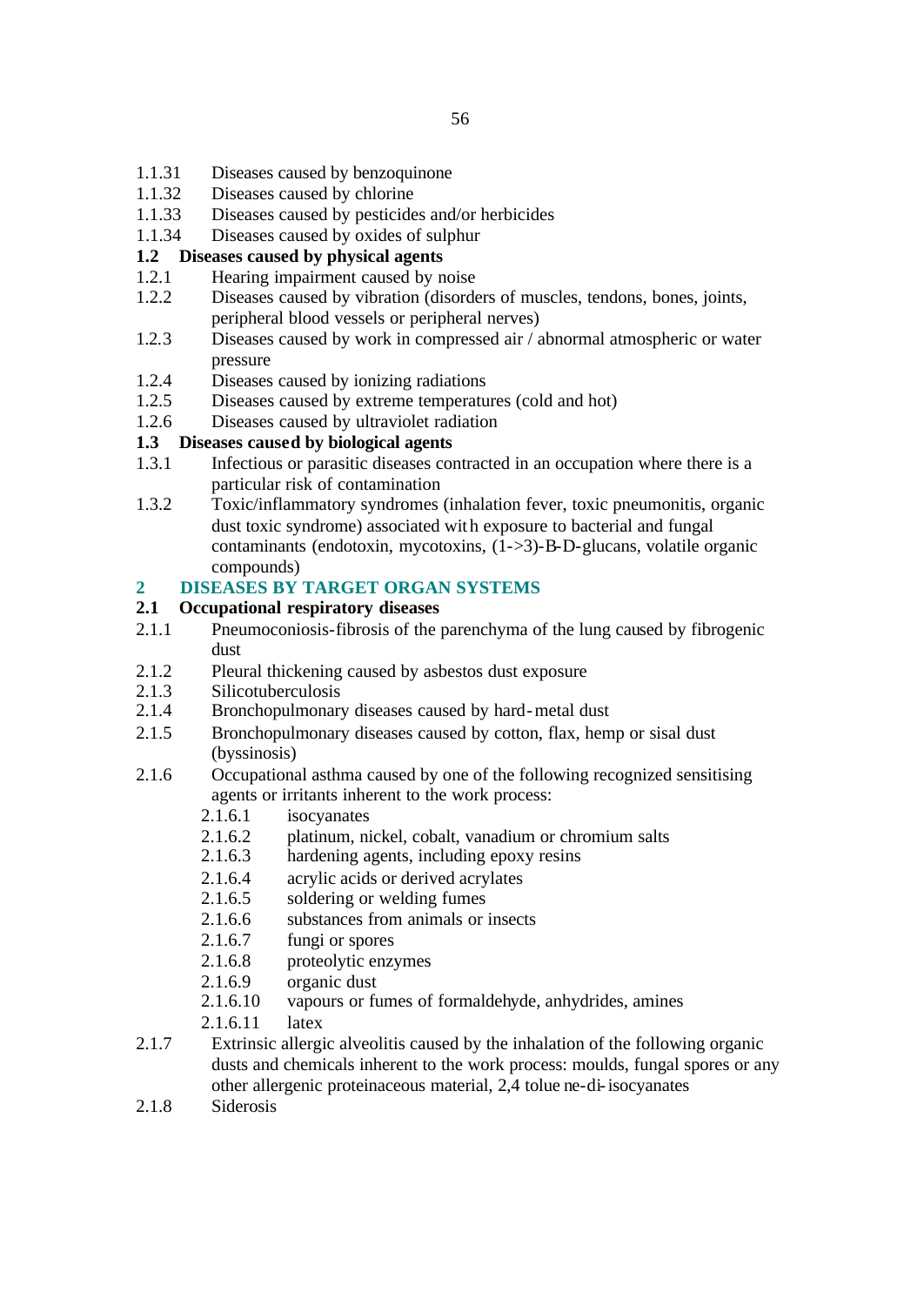- 1.1.31 Diseases caused by benzoquinone
- 1.1.32 Diseases caused by chlorine
- 1.1.33 Diseases caused by pesticides and/or herbicides
- 1.1.34 Diseases caused by oxides of sulphur

# **1.2 Diseases caused by physical agents**

- 1.2.1 Hearing impairment caused by noise
- 1.2.2 Diseases caused by vibration (disorders of muscles, tendons, bones, joints, peripheral blood vessels or peripheral nerves)
- 1.2.3 Diseases caused by work in compressed air / abnormal atmospheric or water pressure
- 1.2.4 Diseases caused by ionizing radiations
- 1.2.5 Diseases caused by extreme temperatures (cold and hot)
- 1.2.6 Diseases caused by ultraviolet radiation

# **1.3 Diseases caused by biological agents**

- 1.3.1 Infectious or parasitic diseases contracted in an occupation where there is a particular risk of contamination
- 1.3.2 Toxic/inflammatory syndromes (inhalation fever, toxic pneumonitis, organic dust toxic syndrome) associated with exposure to bacterial and fungal contaminants (endotoxin, mycotoxins, (1->3)-B-D-glucans, volatile organic compounds)

# **2 DISEASES BY TARGET ORGAN SYSTEMS**

# **2.1 Occupational respiratory diseases**

- 2.1.1 Pneumoconiosis-fibrosis of the parenchyma of the lung caused by fibrogenic dust
- 2.1.2 Pleural thickening caused by asbestos dust exposure
- 2.1.3 Silicotuberculosis
- 2.1.4 Bronchopulmonary diseases caused by hard-metal dust
- 2.1.5 Bronchopulmonary diseases caused by cotton, flax, hemp or sisal dust (byssinosis)
- 2.1.6 Occupational asthma caused by one of the following recognized sensitising agents or irritants inherent to the work process:
	- 2.1.6.1 isocyanates
	- 2.1.6.2 platinum, nickel, cobalt, vanadium or chromium salts
	- 2.1.6.3 hardening agents, including epoxy resins
	- 2.1.6.4 acrylic acids or derived acrylates
	- 2.1.6.5 soldering or welding fumes
	- 2.1.6.6 substances from animals or insects
	- 2.1.6.7 fungi or spores
	- 2.1.6.8 proteolytic enzymes
	- 2.1.6.9 organic dust
	- 2.1.6.10 vapours or fumes of formaldehyde, anhydrides, amines
	- 2.1.6.11 latex
- 2.1.7 Extrinsic allergic alveolitis caused by the inhalation of the following organic dusts and chemicals inherent to the work process: moulds, fungal spores or any other allergenic proteinaceous material, 2,4 tolue ne-di-isocyanates
- 2.1.8 Siderosis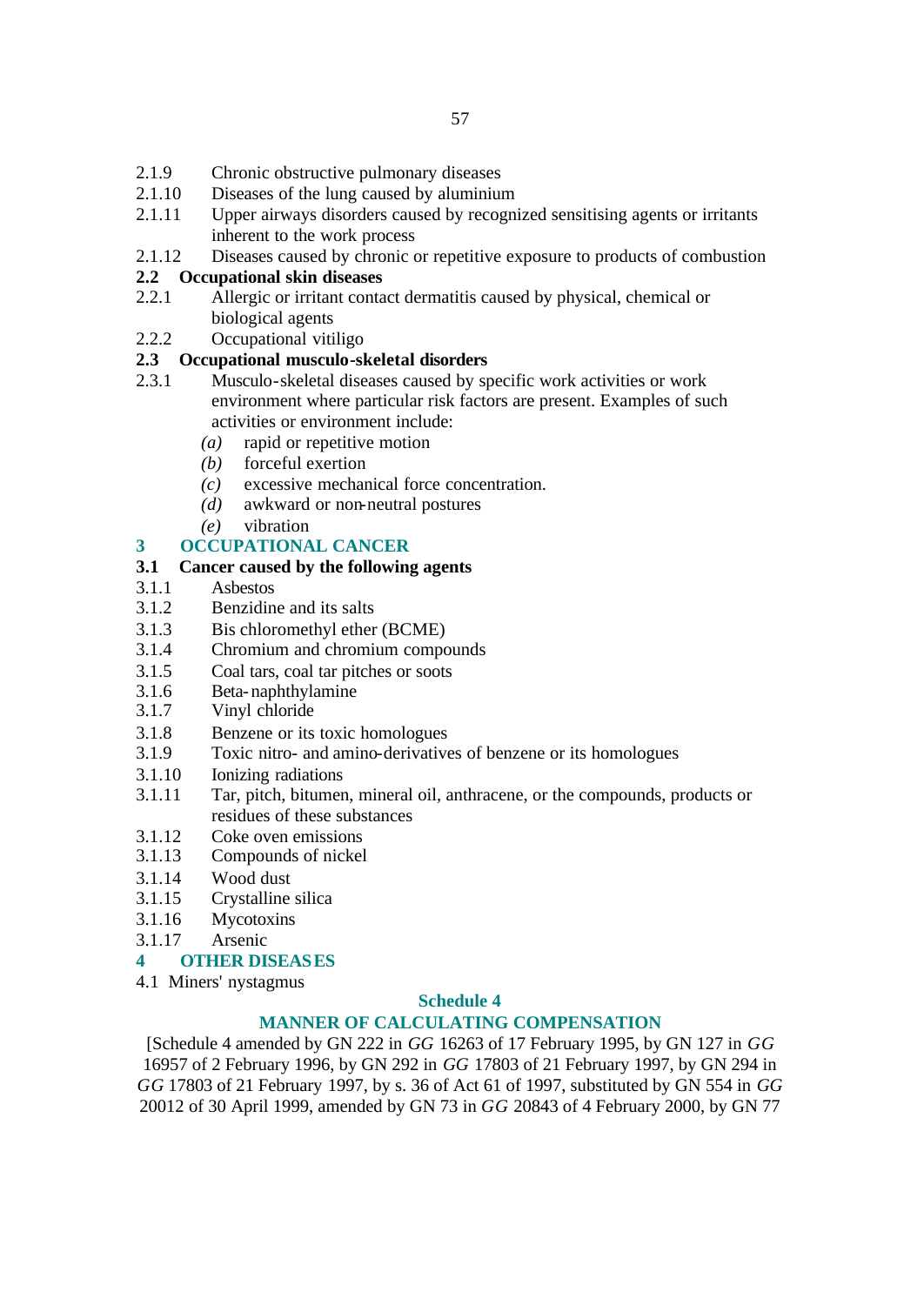- 2.1.9 Chronic obstructive pulmonary diseases
- 2.1.10 Diseases of the lung caused by aluminium
- 2.1.11 Upper airways disorders caused by recognized sensitising agents or irritants inherent to the work process
- 2.1.12 Diseases caused by chronic or repetitive exposure to products of combustion

# **2.2 Occupational skin diseases**

- 2.2.1 Allergic or irritant contact dermatitis caused by physical, chemical or biological agents
- 2.2.2 Occupational vitiligo

# **2.3 Occupational musculo-skeletal disorders**

- 2.3.1 Musculo-skeletal diseases caused by specific work activities or work environment where particular risk factors are present. Examples of such activities or environment include:
	- *(a)* rapid or repetitive motion
	- *(b)* forceful exertion
	- *(c)* excessive mechanical force concentration.
	- *(d)* awkward or non-neutral postures
	- *(e)* vibration

# **3 OCCUPATIONAL CANCER**

# **3.1 Cancer caused by the following agents**

- 3.1.1 Asbestos
- 3.1.2 Benzidine and its salts
- 3.1.3 Bis chloromethyl ether (BCME)
- 3.1.4 Chromium and chromium compounds
- 3.1.5 Coal tars, coal tar pitches or soots
- 3.1.6 Beta-naphthylamine
- 3.1.7 Vinyl chloride
- 3.1.8 Benzene or its toxic homologues
- 3.1.9 Toxic nitro- and amino-derivatives of benzene or its homologues
- 3.1.10 Ionizing radiations
- 3.1.11 Tar, pitch, bitumen, mineral oil, anthracene, or the compounds, products or residues of these substances
- 3.1.12 Coke oven emissions
- 3.1.13 Compounds of nickel
- 3.1.14 Wood dust
- 3.1.15 Crystalline silica
- 3.1.16 Mycotoxins
- 3.1.17 Arsenic

# **4 OTHER DISEASES**

4.1 Miners' nystagmus

# **Schedule 4**

# **MANNER OF CALCULATING COMPENSATION**

[Schedule 4 amended by GN 222 in *GG* 16263 of 17 February 1995, by GN 127 in *GG* 16957 of 2 February 1996, by GN 292 in *GG* 17803 of 21 February 1997, by GN 294 in *GG* 17803 of 21 February 1997, by s. 36 of Act 61 of 1997, substituted by GN 554 in *GG* 20012 of 30 April 1999, amended by GN 73 in *GG* 20843 of 4 February 2000, by GN 77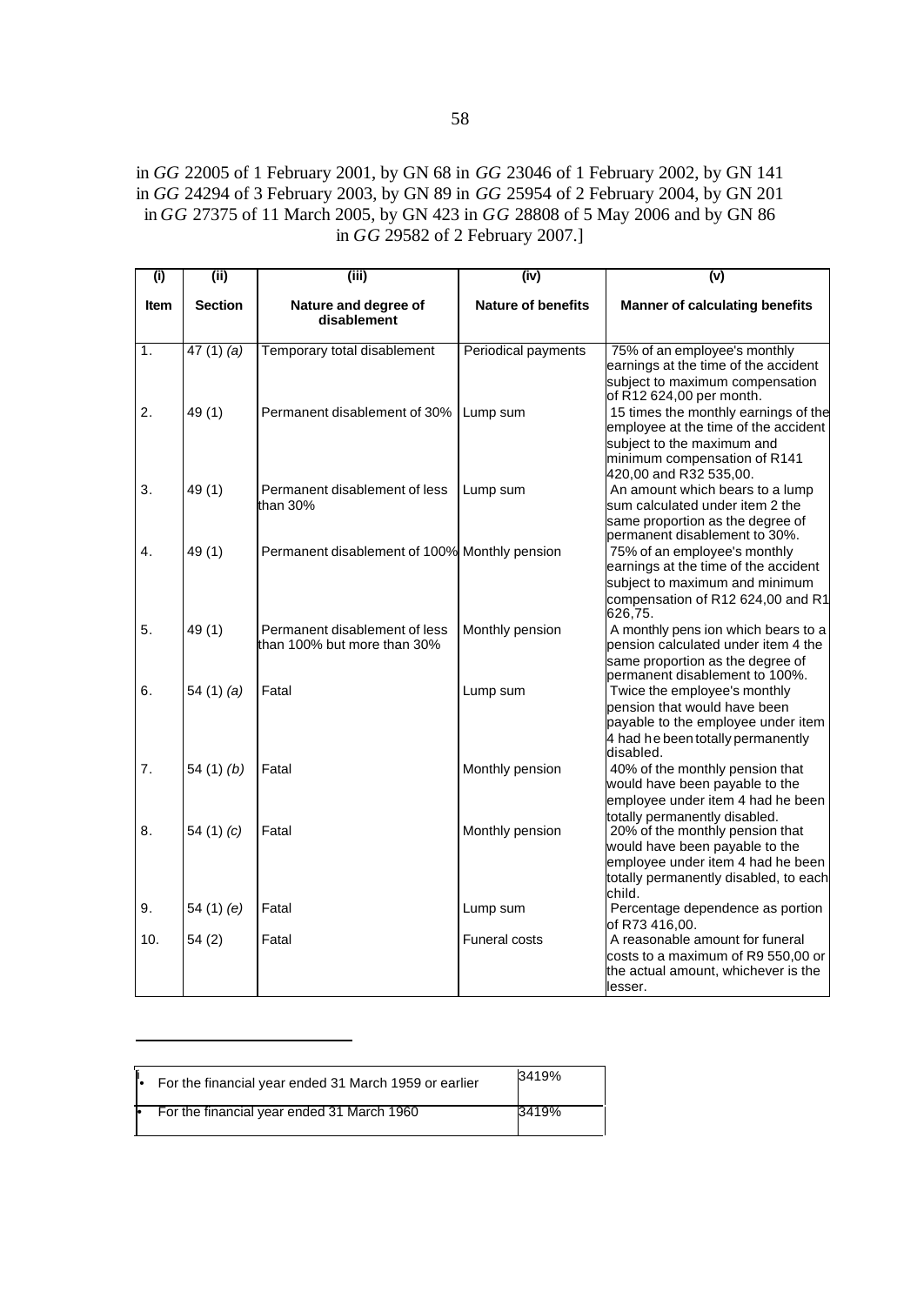in *GG* 22005 of 1 February 2001, by GN 68 in *GG* 23046 of 1 February 2002, by GN 141 in *GG* 24294 of 3 February 2003, by GN 89 in *GG* 25954 of 2 February 2004, by GN 201 in *GG* 27375 of 11 March 2005, by GN 423 in *GG* 28808 of 5 May 2006 and by GN 86 in *GG* 29582 of 2 February 2007.]

| $\overline{(\mathsf{i})}$ | (iii)          | (iii)                                                        | (iv)                      | $\overline{(v)}$                                                                                                                                                                    |
|---------------------------|----------------|--------------------------------------------------------------|---------------------------|-------------------------------------------------------------------------------------------------------------------------------------------------------------------------------------|
| <b>Item</b>               | <b>Section</b> | Nature and degree of<br>disablement                          | <b>Nature of benefits</b> | <b>Manner of calculating benefits</b>                                                                                                                                               |
| 1.                        | $47(1)$ (a)    | Temporary total disablement                                  | Periodical payments       | 75% of an employee's monthly                                                                                                                                                        |
| 2.                        | 49(1)          | Permanent disablement of 30% Lump sum                        |                           | earnings at the time of the accident<br>subject to maximum compensation<br>of R12 624,00 per month.<br>15 times the monthly earnings of the<br>employee at the time of the accident |
|                           |                |                                                              |                           | subject to the maximum and<br>minimum compensation of R141<br>420,00 and R32 535,00.                                                                                                |
| 3.                        | 49 (1)         | Permanent disablement of less<br>than 30%                    | Lump sum                  | An amount which bears to a lump<br>sum calculated under item 2 the<br>same proportion as the degree of<br>permanent disablement to 30%.                                             |
| 4.                        | 49(1)          | Permanent disablement of 100% Monthly pension                |                           | 75% of an employee's monthly<br>earnings at the time of the accident<br>subject to maximum and minimum<br>compensation of R12 624,00 and R1                                         |
| 5.                        | 49(1)          | Permanent disablement of less<br>than 100% but more than 30% | Monthly pension           | 626,75.<br>A monthly pens ion which bears to a<br>pension calculated under item 4 the<br>same proportion as the degree of                                                           |
| 6.                        | 54 $(1)$ $(a)$ | Fatal                                                        | Lump sum                  | permanent disablement to 100%.<br>Twice the employee's monthly<br>pension that would have been<br>payable to the employee under item<br>4 had he been totally permanently           |
| 7.                        | 54 $(1)$ $(b)$ | Fatal                                                        | Monthly pension           | disabled.<br>40% of the monthly pension that<br>would have been payable to the<br>employee under item 4 had he been                                                                 |
| 8.                        | 54 $(1)$ $(c)$ | Fatal                                                        | Monthly pension           | totally permanently disabled.<br>20% of the monthly pension that<br>would have been payable to the<br>employee under item 4 had he been                                             |
| 9.                        | 54 (1) (e)     | Fatal                                                        | Lump sum                  | totally permanently disabled, to each<br>child.<br>Percentage dependence as portion<br>of R73 416,00.                                                                               |
| 10.                       | 54(2)          | Fatal                                                        | <b>Funeral costs</b>      | A reasonable amount for funeral<br>costs to a maximum of R9 550,00 or<br>the actual amount, whichever is the<br>lesser.                                                             |

| ľ. | For the financial year ended 31 March 1959 or earlier | 3419% |  |
|----|-------------------------------------------------------|-------|--|
|    | For the financial year ended 31 March 1960            | 3419% |  |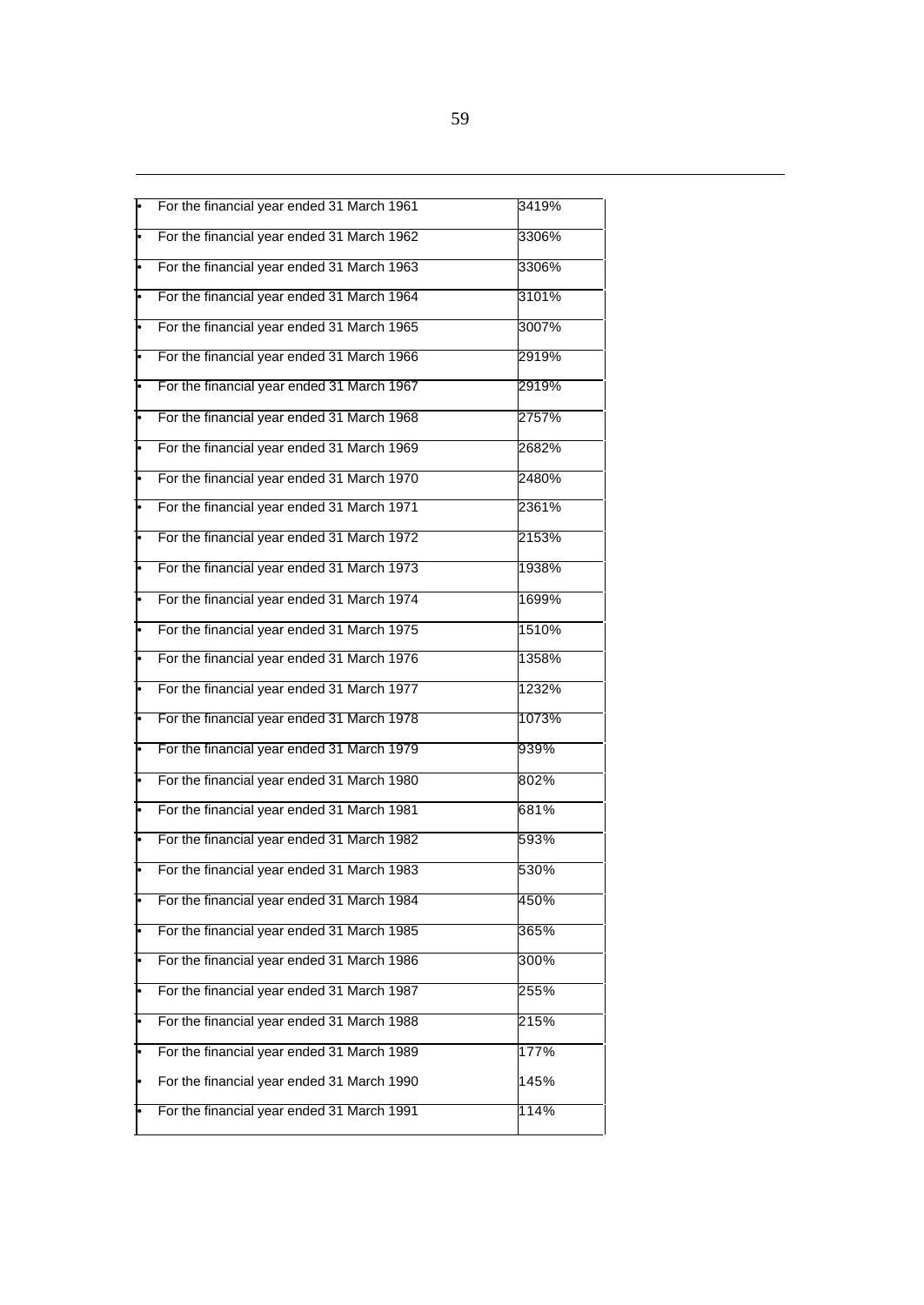|   | For the financial year ended 31 March 1961 | 3419% |
|---|--------------------------------------------|-------|
|   | For the financial year ended 31 March 1962 | 3306% |
|   | For the financial year ended 31 March 1963 | 3306% |
|   | For the financial year ended 31 March 1964 | 3101% |
|   | For the financial year ended 31 March 1965 | 3007% |
|   | For the financial year ended 31 March 1966 | 2919% |
|   | For the financial year ended 31 March 1967 | 2919% |
|   | For the financial year ended 31 March 1968 | 2757% |
|   | For the financial year ended 31 March 1969 | 2682% |
|   | For the financial year ended 31 March 1970 | 2480% |
|   | For the financial year ended 31 March 1971 | 2361% |
|   | For the financial year ended 31 March 1972 | 2153% |
|   | For the financial year ended 31 March 1973 | 1938% |
|   | For the financial year ended 31 March 1974 | 1699% |
|   | For the financial year ended 31 March 1975 | 1510% |
|   | For the financial year ended 31 March 1976 | 1358% |
|   | For the financial year ended 31 March 1977 | 1232% |
|   | For the financial year ended 31 March 1978 | 1073% |
|   | For the financial year ended 31 March 1979 | 939%  |
|   | For the financial year ended 31 March 1980 | 802%  |
|   | For the financial year ended 31 March 1981 | 681%  |
|   | For the financial year ended 31 March 1982 | 593%  |
|   | For the financial year ended 31 March 1983 | 530%  |
|   | For the financial year ended 31 March 1984 | 450%  |
|   | For the financial year ended 31 March 1985 | 365%  |
|   | For the financial year ended 31 March 1986 | 300%  |
|   | For the financial year ended 31 March 1987 | 255%  |
|   | For the financial year ended 31 March 1988 | 215%  |
| F | For the financial year ended 31 March 1989 | 177%  |
|   | For the financial year ended 31 March 1990 | 145%  |
|   | For the financial year ended 31 March 1991 | 114%  |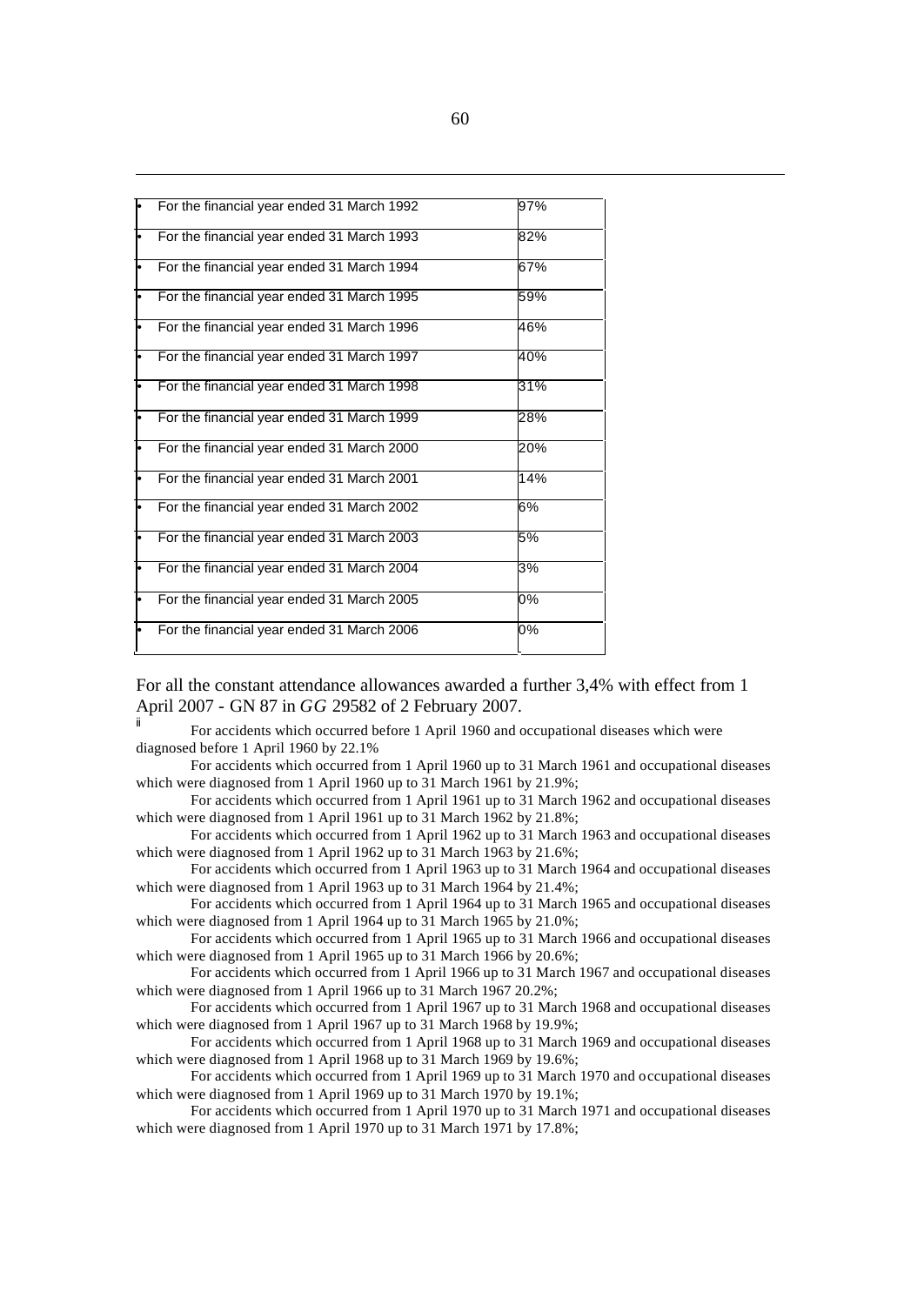| For the financial year ended 31 March 1992 | 97% |
|--------------------------------------------|-----|
| For the financial year ended 31 March 1993 | 82% |
| For the financial year ended 31 March 1994 | 67% |
| For the financial year ended 31 March 1995 | 59% |
| For the financial year ended 31 March 1996 | 46% |
| For the financial year ended 31 March 1997 | 40% |
| For the financial year ended 31 March 1998 | 31% |
| For the financial year ended 31 March 1999 | 28% |
| For the financial year ended 31 March 2000 | 20% |
| For the financial year ended 31 March 2001 | 14% |
| For the financial year ended 31 March 2002 | 6%  |
| For the financial year ended 31 March 2003 | 5%  |
| For the financial year ended 31 March 2004 | 3%  |
| For the financial year ended 31 March 2005 | 0%  |
| For the financial year ended 31 March 2006 | 0%  |

For all the constant attendance allowances awarded a further 3,4% with effect from 1 April 2007 - GN 87 in *GG* 29582 of 2 February 2007.

For accidents which occurred before 1 April 1960 and occupational diseases which were diagnosed before 1 April 1960 by 22.1%

For accidents which occurred from 1 April 1960 up to 31 March 1961 and occupational diseases which were diagnosed from 1 April 1960 up to 31 March 1961 by 21.9%;

For accidents which occurred from 1 April 1961 up to 31 March 1962 and occupational diseases which were diagnosed from 1 April 1961 up to 31 March 1962 by 21.8%;

For accidents which occurred from 1 April 1962 up to 31 March 1963 and occupational diseases which were diagnosed from 1 April 1962 up to 31 March 1963 by 21.6%;

For accidents which occurred from 1 April 1963 up to 31 March 1964 and occupational diseases which were diagnosed from 1 April 1963 up to 31 March 1964 by 21.4%;

For accidents which occurred from 1 April 1964 up to 31 March 1965 and occupational diseases which were diagnosed from 1 April 1964 up to 31 March 1965 by 21.0%;

For accidents which occurred from 1 April 1965 up to 31 March 1966 and occupational diseases which were diagnosed from 1 April 1965 up to 31 March 1966 by 20.6%;

For accidents which occurred from 1 April 1966 up to 31 March 1967 and occupational diseases which were diagnosed from 1 April 1966 up to 31 March 1967 20.2%;

For accidents which occurred from 1 April 1967 up to 31 March 1968 and occupational diseases which were diagnosed from 1 April 1967 up to 31 March 1968 by 19.9%;

For accidents which occurred from 1 April 1968 up to 31 March 1969 and occupational diseases which were diagnosed from 1 April 1968 up to 31 March 1969 by 19.6%;

For accidents which occurred from 1 April 1969 up to 31 March 1970 and occupational diseases which were diagnosed from 1 April 1969 up to 31 March 1970 by 19.1%;

For accidents which occurred from 1 April 1970 up to 31 March 1971 and occupational diseases which were diagnosed from 1 April 1970 up to 31 March 1971 by 17.8%;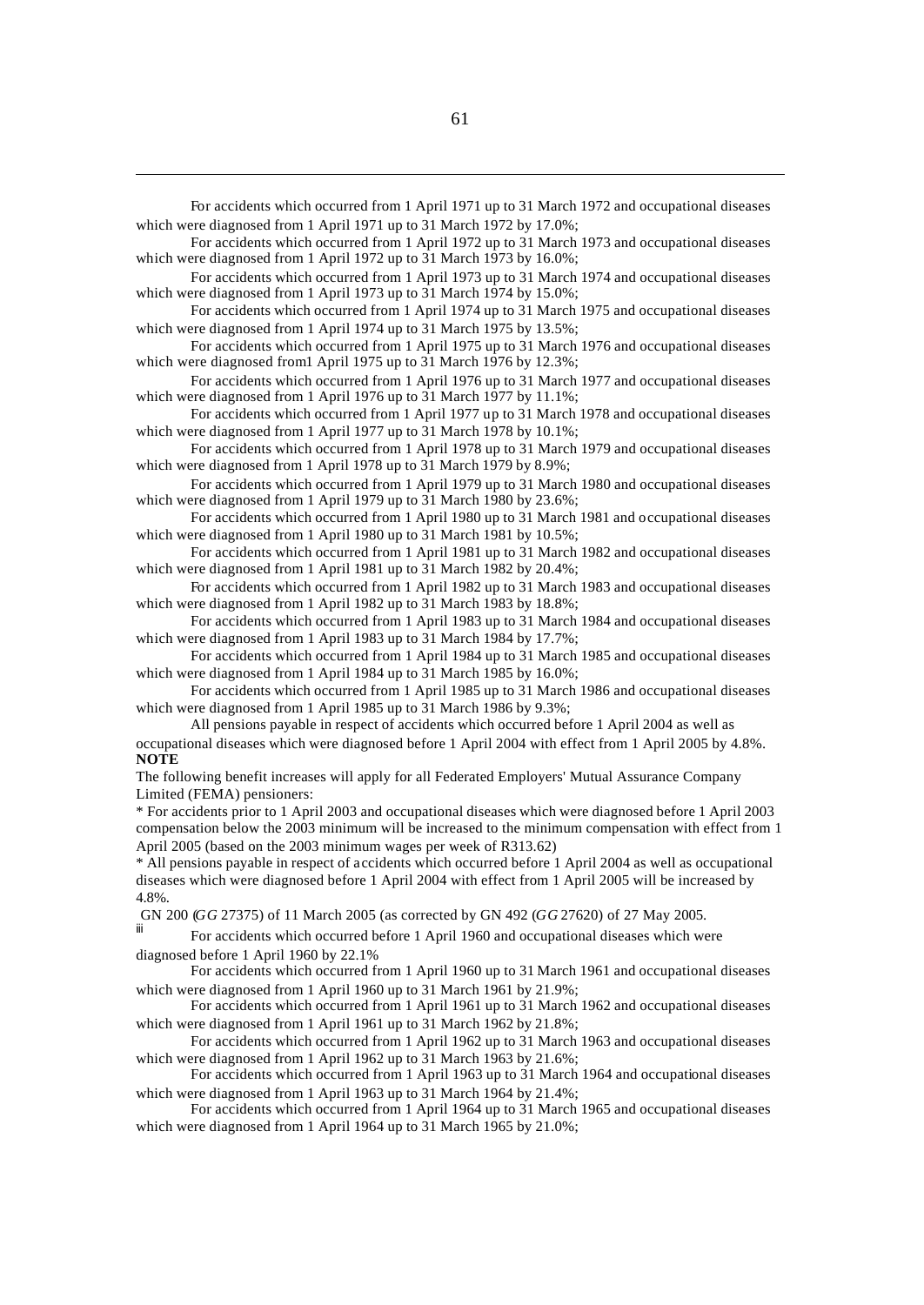For accidents which occurred from 1 April 1971 up to 31 March 1972 and occupational diseases which were diagnosed from 1 April 1971 up to 31 March 1972 by 17.0%;

For accidents which occurred from 1 April 1972 up to 31 March 1973 and occupational diseases which were diagnosed from 1 April 1972 up to 31 March 1973 by 16.0%;

For accidents which occurred from 1 April 1973 up to 31 March 1974 and occupational diseases which were diagnosed from 1 April 1973 up to 31 March 1974 by 15.0%;

For accidents which occurred from 1 April 1974 up to 31 March 1975 and occupational diseases which were diagnosed from 1 April 1974 up to 31 March 1975 by 13.5%;

For accidents which occurred from 1 April 1975 up to 31 March 1976 and occupational diseases which were diagnosed from 1 April 1975 up to 31 March 1976 by 12.3%;

For accidents which occurred from 1 April 1976 up to 31 March 1977 and occupational diseases which were diagnosed from 1 April 1976 up to 31 March 1977 by 11.1%;

For accidents which occurred from 1 April 1977 up to 31 March 1978 and occupational diseases which were diagnosed from 1 April 1977 up to 31 March 1978 by 10.1%;

For accidents which occurred from 1 April 1978 up to 31 March 1979 and occupational diseases which were diagnosed from 1 April 1978 up to 31 March 1979 by 8.9%;

For accidents which occurred from 1 April 1979 up to 31 March 1980 and occupational diseases which were diagnosed from 1 April 1979 up to  $31$  March 1980 by 23.6%;

For accidents which occurred from 1 April 1980 up to 31 March 1981 and occupational diseases which were diagnosed from 1 April 1980 up to 31 March 1981 by 10.5%;

For accidents which occurred from 1 April 1981 up to 31 March 1982 and occupational diseases which were diagnosed from 1 April 1981 up to 31 March 1982 by 20.4%;

For accidents which occurred from 1 April 1982 up to 31 March 1983 and occupational diseases which were diagnosed from 1 April 1982 up to 31 March 1983 by 18.8%;

For accidents which occurred from 1 April 1983 up to 31 March 1984 and occupational diseases which were diagnosed from 1 April 1983 up to 31 March 1984 by 17.7%;

For accidents which occurred from 1 April 1984 up to 31 March 1985 and occupational diseases which were diagnosed from 1 April 1984 up to 31 March 1985 by 16.0%;

For accidents which occurred from 1 April 1985 up to 31 March 1986 and occupational diseases which were diagnosed from 1 April 1985 up to 31 March 1986 by 9.3%;

All pensions payable in respect of accidents which occurred before 1 April 2004 as well as occupational diseases which were diagnosed before 1 April 2004 with effect from 1 April 2005 by 4.8%. **NOTE**

The following benefit increases will apply for all Federated Employers' Mutual Assurance Company Limited (FEMA) pensioners:

\* For accidents prior to 1 April 2003 and occupational diseases which were diagnosed before 1 April 2003 compensation below the 2003 minimum will be increased to the minimum compensation with effect from 1 April 2005 (based on the 2003 minimum wages per week of R313.62)

\* All pensions payable in respect of accidents which occurred before 1 April 2004 as well as occupational diseases which were diagnosed before 1 April 2004 with effect from 1 April 2005 will be increased by 4.8%.

GN 200 (*GG* 27375) of 11 March 2005 (as corrected by GN 492 (*GG* 27620) of 27 May 2005.

For accidents which occurred before 1 April 1960 and occupational diseases which were diagnosed before 1 April 1960 by 22.1%

For accidents which occurred from 1 April 1960 up to 31 March 1961 and occupational diseases which were diagnosed from 1 April 1960 up to 31 March 1961 by 21.9%;

For accidents which occurred from 1 April 1961 up to 31 March 1962 and occupational diseases which were diagnosed from 1 April 1961 up to 31 March 1962 by 21.8%;

For accidents which occurred from 1 April 1962 up to 31 March 1963 and occupational diseases which were diagnosed from 1 April 1962 up to 31 March 1963 by 21.6%;

For accidents which occurred from 1 April 1963 up to 31 March 1964 and occupational diseases which were diagnosed from 1 April 1963 up to 31 March 1964 by 21.4%;

For accidents which occurred from 1 April 1964 up to 31 March 1965 and occupational diseases which were diagnosed from 1 April 1964 up to 31 March 1965 by 21.0%;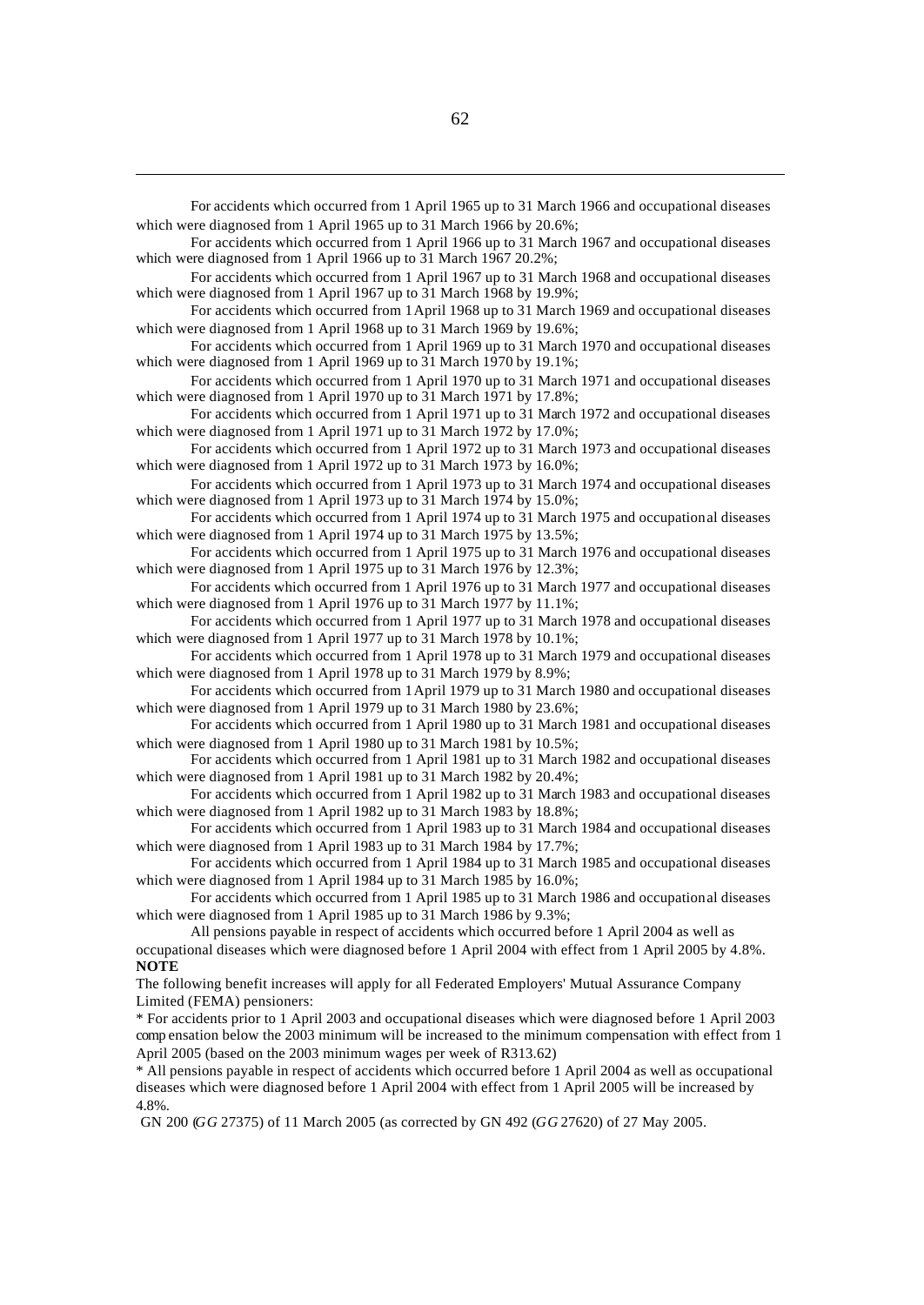For accidents which occurred from 1 April 1965 up to 31 March 1966 and occupational diseases which were diagnosed from 1 April 1965 up to 31 March 1966 by 20.6%; For accidents which occurred from 1 April 1966 up to 31 March 1967 and occupational diseases which were diagnosed from 1 April 1966 up to 31 March 1967 20.2%; For accidents which occurred from 1 April 1967 up to 31 March 1968 and occupational diseases which were diagnosed from 1 April 1967 up to 31 March 1968 by 19.9%; For accidents which occurred from 1 April 1968 up to 31 March 1969 and occupational diseases which were diagnosed from 1 April 1968 up to 31 March 1969 by 19.6%; For accidents which occurred from 1 April 1969 up to 31 March 1970 and occupational diseases which were diagnosed from 1 April 1969 up to 31 March 1970 by 19.1%; For accidents which occurred from 1 April 1970 up to 31 March 1971 and occupational diseases which were diagnosed from 1 April 1970 up to 31 March 1971 by 17.8%; For accidents which occurred from 1 April 1971 up to 31 March 1972 and occupational diseases which were diagnosed from 1 April 1971 up to 31 March 1972 by 17.0%; For accidents which occurred from 1 April 1972 up to 31 March 1973 and occupational diseases which were diagnosed from 1 April 1972 up to  $31$  March 1973 by 16.0%; For accidents which occurred from 1 April 1973 up to 31 March 1974 and occupational diseases which were diagnosed from 1 April 1973 up to  $31$  March 1974 by 15.0%; For accidents which occurred from 1 April 1974 up to 31 March 1975 and occupational diseases which were diagnosed from 1 April 1974 up to 31 March 1975 by 13.5%; For accidents which occurred from 1 April 1975 up to 31 March 1976 and occupational diseases which were diagnosed from 1 April 1975 up to 31 March 1976 by 12.3%; For accidents which occurred from 1 April 1976 up to 31 March 1977 and occupational diseases which were diagnosed from 1 April 1976 up to 31 March 1977 by 11.1%; For accidents which occurred from 1 April 1977 up to 31 March 1978 and occupational diseases which were diagnosed from 1 April 1977 up to 31 March 1978 by 10.1%; For accidents which occurred from 1 April 1978 up to 31 March 1979 and occupational diseases which were diagnosed from 1 April 1978 up to 31 March 1979 by 8.9%; For accidents which occurred from 1 April 1979 up to 31 March 1980 and occupational diseases which were diagnosed from 1 April 1979 up to 31 March 1980 by 23.6%; For accidents which occurred from 1 April 1980 up to 31 March 1981 and occupational diseases which were diagnosed from 1 April 1980 up to 31 March 1981 by 10.5%; For accidents which occurred from 1 April 1981 up to 31 March 1982 and occupational diseases which were diagnosed from 1 April 1981 up to 31 March 1982 by 20.4%; For accidents which occurred from 1 April 1982 up to 31 March 1983 and occupational diseases which were diagnosed from 1 April 1982 up to 31 March 1983 by 18.8%; For accidents which occurred from 1 April 1983 up to 31 March 1984 and occupational diseases which were diagnosed from 1 April 1983 up to 31 March 1984 by 17.7%; For accidents which occurred from 1 April 1984 up to 31 March 1985 and occupational diseases which were diagnosed from 1 April 1984 up to 31 March 1985 by 16.0%; For accidents which occurred from 1 April 1985 up to 31 March 1986 and occupational diseases which were diagnosed from 1 April 1985 up to 31 March 1986 by 9.3%; All pensions payable in respect of accidents which occurred before 1 April 2004 as well as occupational diseases which were diagnosed before 1 April 2004 with effect from 1 April 2005 by 4.8%. **NOTE** The following benefit increases will apply for all Federated Employers' Mutual Assurance Company Limited (FEMA) pensioners: \* For accidents prior to 1 April 2003 and occupational diseases which were diagnosed before 1 April 2003 comp ensation below the 2003 minimum will be increased to the minimum compensation with effect from 1 April 2005 (based on the 2003 minimum wages per week of R313.62) \* All pensions payable in respect of accidents which occurred before 1 April 2004 as well as occupational diseases which were diagnosed before 1 April 2004 with effect from 1 April 2005 will be increased by 4.8%.

GN 200 (*GG* 27375) of 11 March 2005 (as corrected by GN 492 (*GG* 27620) of 27 May 2005.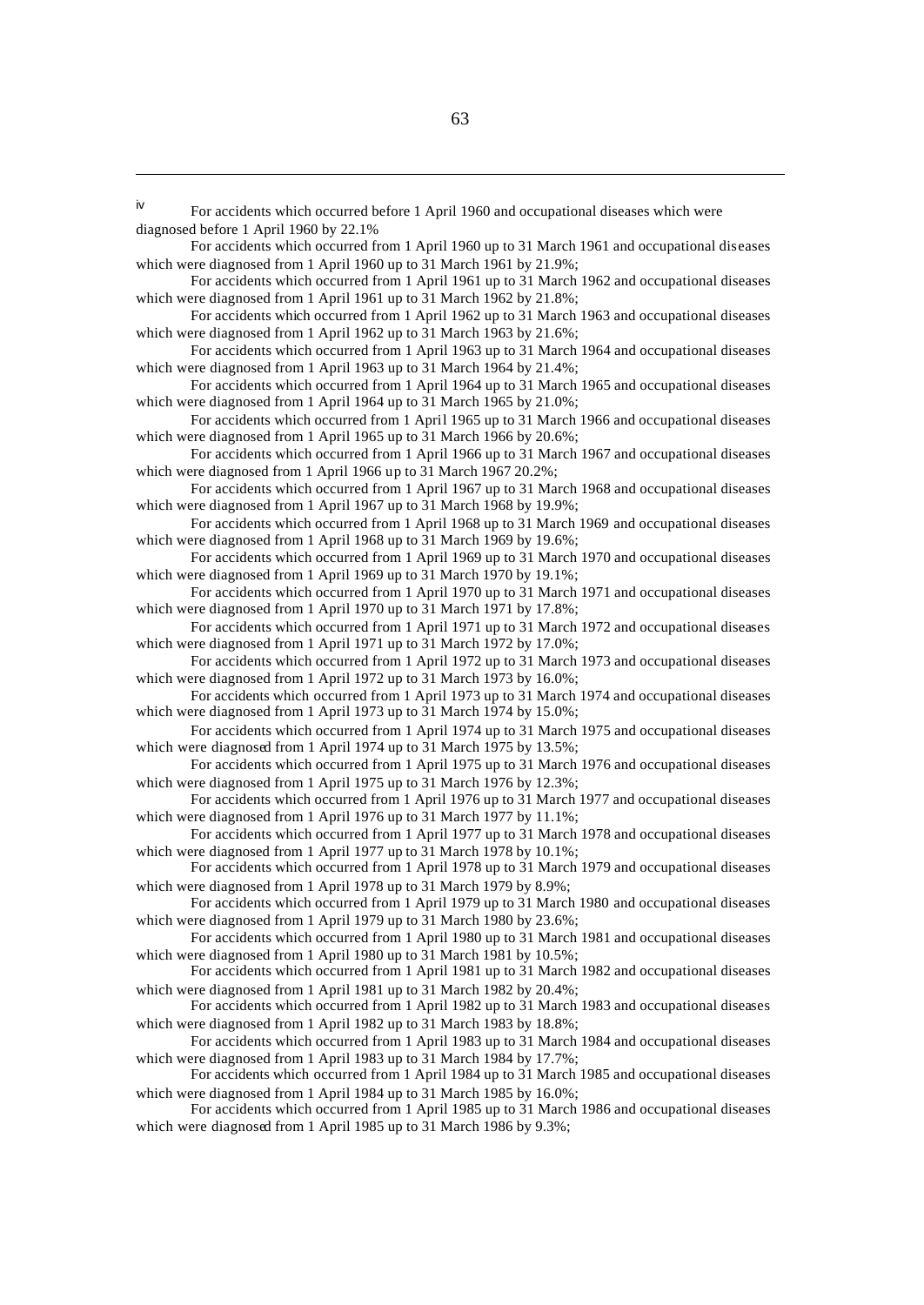iv For accidents which occurred before 1 April 1960 and occupational diseases which were diagnosed before 1 April 1960 by 22.1%

For accidents which occurred from 1 April 1960 up to 31 March 1961 and occupational diseases which were diagnosed from 1 April 1960 up to 31 March 1961 by 21.9%;

For accidents which occurred from 1 April 1961 up to 31 March 1962 and occupational diseases which were diagnosed from 1 April 1961 up to 31 March 1962 by 21.8%;

For accidents which occurred from 1 April 1962 up to 31 March 1963 and occupational diseases which were diagnosed from 1 April 1962 up to 31 March 1963 by 21.6%;

For accidents which occurred from 1 April 1963 up to 31 March 1964 and occupational diseases which were diagnosed from 1 April 1963 up to 31 March 1964 by 21.4%;

For accidents which occurred from 1 April 1964 up to 31 March 1965 and occupational diseases which were diagnosed from 1 April 1964 up to  $31$  March 1965 by 21.0%;

For accidents which occurred from 1 April 1965 up to 31 March 1966 and occupational diseases which were diagnosed from 1 April 1965 up to 31 March 1966 by 20.6%;

For accidents which occurred from 1 April 1966 up to 31 March 1967 and occupational diseases which were diagnosed from 1 April 1966 up to 31 March 1967 20.2%;

For accidents which occurred from 1 April 1967 up to 31 March 1968 and occupational diseases which were diagnosed from 1 April 1967 up to 31 March 1968 by 19.9%;

For accidents which occurred from 1 April 1968 up to 31 March 1969 and occupational diseases which were diagnosed from 1 April 1968 up to 31 March 1969 by 19.6%;

For accidents which occurred from 1 April 1969 up to 31 March 1970 and occupational diseases which were diagnosed from 1 April 1969 up to 31 March 1970 by 19.1%;

For accidents which occurred from 1 April 1970 up to 31 March 1971 and occupational diseases which were diagnosed from 1 April 1970 up to 31 March 1971 by 17.8%;

For accidents which occurred from 1 April 1971 up to 31 March 1972 and occupational diseases which were diagnosed from 1 April 1971 up to 31 March 1972 by 17.0%;

For accidents which occurred from 1 April 1972 up to 31 March 1973 and occupational diseases which were diagnosed from 1 April 1972 up to 31 March 1973 by 16.0%;

For accidents which occurred from 1 April 1973 up to 31 March 1974 and occupational diseases which were diagnosed from 1 April 1973 up to 31 March 1974 by 15.0%;

For accidents which occurred from 1 April 1974 up to 31 March 1975 and occupational diseases which were diagnosed from 1 April 1974 up to 31 March 1975 by 13.5%;

For accidents which occurred from 1 April 1975 up to 31 March 1976 and occupational diseases which were diagnosed from 1 April 1975 up to 31 March 1976 by 12.3%;

For accidents which occurred from 1 April 1976 up to 31 March 1977 and occupational diseases which were diagnosed from 1 April 1976 up to 31 March 1977 by 11.1%;

For accidents which occurred from 1 April 1977 up to 31 March 1978 and occupational diseases which were diagnosed from 1 April 1977 up to 31 March 1978 by 10.1%;

For accidents which occurred from 1 April 1978 up to 31 March 1979 and occupational diseases which were diagnosed from 1 April 1978 up to 31 March 1979 by 8.9%;

For accidents which occurred from 1 April 1979 up to 31 March 1980 and occupational diseases which were diagnosed from 1 April 1979 up to 31 March 1980 by 23.6%;

For accidents which occurred from 1 April 1980 up to 31 March 1981 and occupational diseases which were diagnosed from 1 April 1980 up to 31 March 1981 by 10.5%;

For accidents which occurred from 1 April 1981 up to 31 March 1982 and occupational diseases which were diagnosed from 1 April 1981 up to 31 March 1982 by 20.4%;

For accidents which occurred from 1 April 1982 up to 31 March 1983 and occupational diseases which were diagnosed from 1 April 1982 up to 31 March 1983 by 18.8%;

For accidents which occurred from 1 April 1983 up to 31 March 1984 and occupational diseases which were diagnosed from 1 April 1983 up to 31 March 1984 by 17.7%;

For accidents which occurred from 1 April 1984 up to 31 March 1985 and occupational diseases which were diagnosed from 1 April 1984 up to 31 March 1985 by 16.0%;

For accidents which occurred from 1 April 1985 up to 31 March 1986 and occupational diseases which were diagnosed from 1 April 1985 up to 31 March 1986 by 9.3%;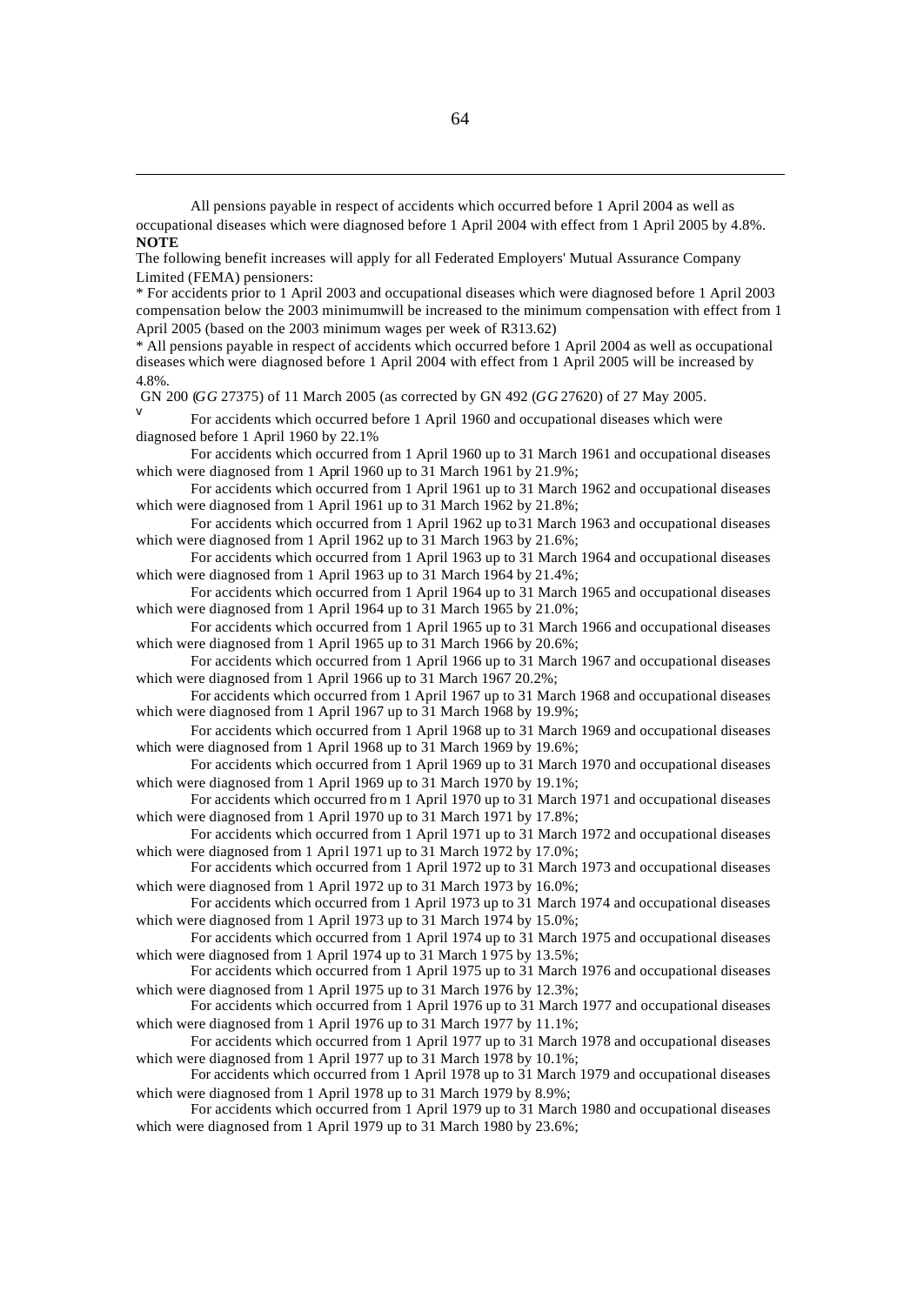All pensions payable in respect of accidents which occurred before 1 April 2004 as well as

- occupational diseases which were diagnosed before 1 April 2004 with effect from 1 April 2005 by 4.8%. **NOTE**
- The following benefit increases will apply for all Federated Employers' Mutual Assurance Company Limited (FEMA) pensioners:

\* For accidents prior to 1 April 2003 and occupational diseases which were diagnosed before 1 April 2003 compensation below the 2003 minimum will be increased to the minimum compensation with effect from 1 April 2005 (based on the 2003 minimum wages per week of R313.62)

\* All pensions payable in respect of accidents which occurred before 1 April 2004 as well as occupational diseases which were diagnosed before 1 April 2004 with effect from 1 April 2005 will be increased by 4.8%.

GN 200 (*GG* 27375) of 11 March 2005 (as corrected by GN 492 (*GG* 27620) of 27 May 2005.

v For accidents which occurred before 1 April 1960 and occupational diseases which were diagnosed before 1 April 1960 by 22.1%

For accidents which occurred from 1 April 1960 up to 31 March 1961 and occupational diseases which were diagnosed from 1 April 1960 up to 31 March 1961 by 21.9%;

For accidents which occurred from 1 April 1961 up to 31 March 1962 and occupational diseases which were diagnosed from 1 April 1961 up to 31 March 1962 by 21.8%;

For accidents which occurred from 1 April 1962 up to 31 March 1963 and occupational diseases which were diagnosed from 1 April 1962 up to 31 March 1963 by 21.6%;

For accidents which occurred from 1 April 1963 up to 31 March 1964 and occupational diseases which were diagnosed from 1 April 1963 up to 31 March 1964 by 21.4%;

For accidents which occurred from 1 April 1964 up to 31 March 1965 and occupational diseases which were diagnosed from 1 April 1964 up to 31 March 1965 by 21.0%;

For accidents which occurred from 1 April 1965 up to 31 March 1966 and occupational diseases which were diagnosed from 1 April 1965 up to 31 March 1966 by 20.6%;

For accidents which occurred from 1 April 1966 up to 31 March 1967 and occupational diseases which were diagnosed from 1 April 1966 up to 31 March 1967 20.2%;

For accidents which occurred from 1 April 1967 up to 31 March 1968 and occupational diseases which were diagnosed from 1 April 1967 up to 31 March 1968 by 19.9%;

For accidents which occurred from 1 April 1968 up to 31 March 1969 and occupational diseases which were diagnosed from 1 April 1968 up to 31 March 1969 by 19.6%;

For accidents which occurred from 1 April 1969 up to 31 March 1970 and occupational diseases which were diagnosed from 1 April 1969 up to 31 March 1970 by 19.1%;

For accidents which occurred fro m 1 April 1970 up to 31 March 1971 and occupational diseases which were diagnosed from 1 April 1970 up to 31 March 1971 by 17.8%;

For accidents which occurred from 1 April 1971 up to 31 March 1972 and occupational diseases which were diagnosed from 1 April 1971 up to 31 March 1972 by 17.0%;

For accidents which occurred from 1 April 1972 up to 31 March 1973 and occupational diseases which were diagnosed from 1 April 1972 up to 31 March 1973 by 16.0%;

For accidents which occurred from 1 April 1973 up to 31 March 1974 and occupational diseases which were diagnosed from 1 April 1973 up to 31 March 1974 by 15.0%;

For accidents which occurred from 1 April 1974 up to 31 March 1975 and occupational diseases which were diagnosed from 1 April 1974 up to 31 March 1 975 by 13.5%;

For accidents which occurred from 1 April 1975 up to 31 March 1976 and occupational diseases which were diagnosed from 1 April 1975 up to 31 March 1976 by 12.3%;

For accidents which occurred from 1 April 1976 up to 31 March 1977 and occupational diseases which were diagnosed from 1 April 1976 up to 31 March 1977 by 11.1%;

For accidents which occurred from 1 April 1977 up to 31 March 1978 and occupational diseases which were diagnosed from 1 April 1977 up to 31 March 1978 by 10.1%;

For accidents which occurred from 1 April 1978 up to 31 March 1979 and occupational diseases which were diagnosed from 1 April 1978 up to 31 March 1979 by 8.9%;

For accidents which occurred from 1 April 1979 up to 31 March 1980 and occupational diseases which were diagnosed from 1 April 1979 up to 31 March 1980 by 23.6%;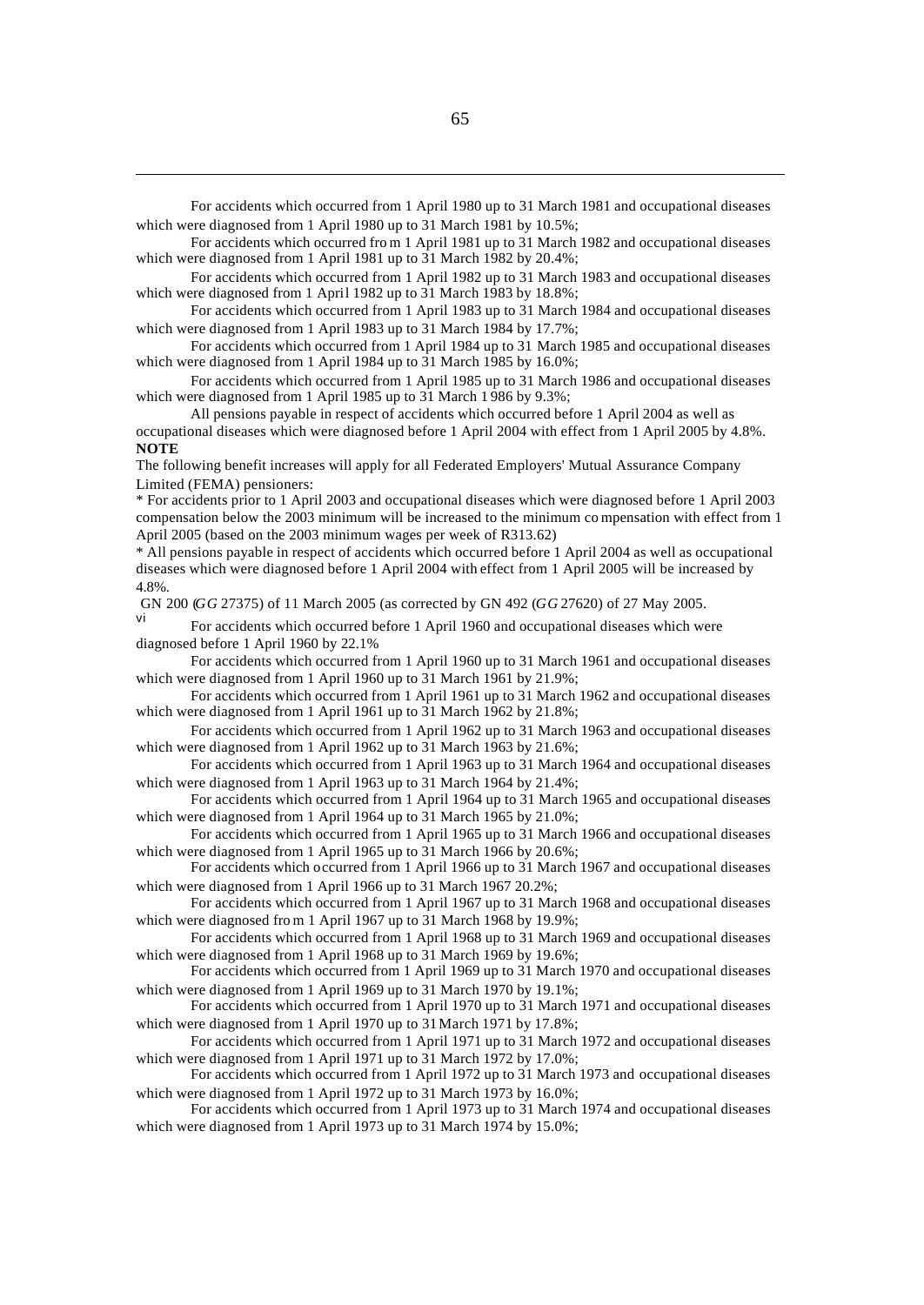For accidents which occurred from 1 April 1980 up to 31 March 1981 and occupational diseases which were diagnosed from 1 April 1980 up to 31 March 1981 by 10.5%;

For accidents which occurred fro m 1 April 1981 up to 31 March 1982 and occupational diseases which were diagnosed from 1 April 1981 up to 31 March 1982 by 20.4%;

For accidents which occurred from 1 April 1982 up to 31 March 1983 and occupational diseases which were diagnosed from 1 April 1982 up to 31 March 1983 by 18.8%;

For accidents which occurred from 1 April 1983 up to 31 March 1984 and occupational diseases which were diagnosed from 1 April 1983 up to 31 March 1984 by 17.7%;

For accidents which occurred from 1 April 1984 up to 31 March 1985 and occupational diseases which were diagnosed from 1 April 1984 up to 31 March 1985 by 16.0%;

For accidents which occurred from 1 April 1985 up to 31 March 1986 and occupational diseases which were diagnosed from 1 April 1985 up to 31 March 1 986 by 9.3%;

All pensions payable in respect of accidents which occurred before 1 April 2004 as well as occupational diseases which were diagnosed before 1 April 2004 with effect from 1 April 2005 by 4.8%. **NOTE**

The following benefit increases will apply for all Federated Employers' Mutual Assurance Company Limited (FEMA) pensioners:

\* For accidents prior to 1 April 2003 and occupational diseases which were diagnosed before 1 April 2003 compensation below the 2003 minimum will be increased to the minimum co mpensation with effect from 1 April 2005 (based on the 2003 minimum wages per week of R313.62)

\* All pensions payable in respect of accidents which occurred before 1 April 2004 as well as occupational diseases which were diagnosed before 1 April 2004 with effect from 1 April 2005 will be increased by 4.8%.

GN 200 (*GG* 27375) of 11 March 2005 (as corrected by GN 492 (*GG* 27620) of 27 May 2005.

For accidents which occurred before 1 April 1960 and occupational diseases which were diagnosed before 1 April 1960 by 22.1%

For accidents which occurred from 1 April 1960 up to 31 March 1961 and occupational diseases which were diagnosed from 1 April 1960 up to 31 March 1961 by 21.9%;

For accidents which occurred from 1 April 1961 up to 31 March 1962 and occupational diseases which were diagnosed from 1 April 1961 up to 31 March 1962 by 21.8%;

For accidents which occurred from 1 April 1962 up to 31 March 1963 and occupational diseases which were diagnosed from 1 April 1962 up to 31 March 1963 by 21.6%;

For accidents which occurred from 1 April 1963 up to 31 March 1964 and occupational diseases which were diagnosed from 1 April 1963 up to 31 March 1964 by 21.4%;

For accidents which occurred from 1 April 1964 up to 31 March 1965 and occupational diseases which were diagnosed from 1 April 1964 up to 31 March 1965 by 21.0%;

For accidents which occurred from 1 April 1965 up to 31 March 1966 and occupational diseases which were diagnosed from 1 April 1965 up to 31 March 1966 by 20.6%;

For accidents which occurred from 1 April 1966 up to 31 March 1967 and occupational diseases which were diagnosed from 1 April 1966 up to 31 March 1967 20.2%;

For accidents which occurred from 1 April 1967 up to 31 March 1968 and occupational diseases which were diagnosed fro m 1 April 1967 up to 31 March 1968 by 19.9%;

For accidents which occurred from 1 April 1968 up to 31 March 1969 and occupational diseases which were diagnosed from 1 April 1968 up to 31 March 1969 by 19.6%;

For accidents which occurred from 1 April 1969 up to 31 March 1970 and occupational diseases which were diagnosed from 1 April 1969 up to 31 March 1970 by 19.1%;

For accidents which occurred from 1 April 1970 up to 31 March 1971 and occupational diseases which were diagnosed from 1 April 1970 up to 31 March 1971 by 17.8%;

For accidents which occurred from 1 April 1971 up to 31 March 1972 and occupational diseases which were diagnosed from 1 April 1971 up to 31 March 1972 by 17.0%;

For accidents which occurred from 1 April 1972 up to 31 March 1973 and occupational diseases which were diagnosed from 1 April 1972 up to 31 March 1973 by 16.0%;

For accidents which occurred from 1 April 1973 up to 31 March 1974 and occupational diseases which were diagnosed from 1 April 1973 up to 31 March 1974 by 15.0%;